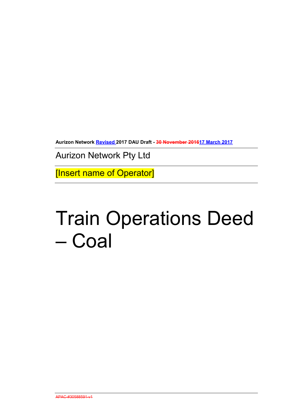**Aurizon Network Revised 2017 DAU Draft - 30 November 201617 March 2017**

Aurizon Network Pty Ltd

[Insert name of Operator]

# Train Operations Deed – Coal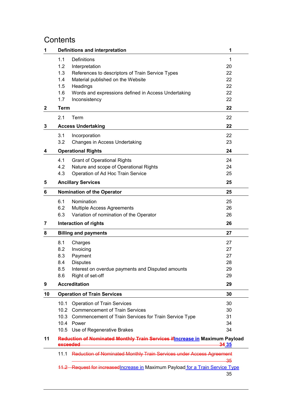# **Contents**

| 1            |             | <b>Definitions and interpretation</b>                                           | 1     |
|--------------|-------------|---------------------------------------------------------------------------------|-------|
|              | 1.1         | <b>Definitions</b>                                                              | 1     |
|              | 1.2         | Interpretation                                                                  | 20    |
|              | 1.3         | References to descriptors of Train Service Types                                | 22    |
|              | 1.4         | Material published on the Website                                               | 22    |
|              | 1.5         | Headings                                                                        | 22    |
|              | 1.6         | Words and expressions defined in Access Undertaking                             | 22    |
|              | 1.7         | Inconsistency                                                                   | 22    |
| $\mathbf{2}$ | <b>Term</b> |                                                                                 | 22    |
|              | 2.1         | Term                                                                            | 22    |
| 3            |             | <b>Access Undertaking</b>                                                       | 22    |
|              | 3.1         | Incorporation                                                                   | 22    |
|              | 3.2         | Changes in Access Undertaking                                                   | 23    |
| 4            |             | <b>Operational Rights</b>                                                       | 24    |
|              | 4.1         | <b>Grant of Operational Rights</b>                                              | 24    |
|              | 4.2         | Nature and scope of Operational Rights                                          | 24    |
|              | 4.3         | Operation of Ad Hoc Train Service                                               | 25    |
| 5            |             | <b>Ancillary Services</b>                                                       | 25    |
| 6            |             | <b>Nomination of the Operator</b>                                               | 25    |
|              |             |                                                                                 |       |
|              | 6.1         | Nomination                                                                      | 25    |
|              | 6.2         | Multiple Access Agreements                                                      | 26    |
|              | 6.3         | Variation of nomination of the Operator                                         | 26    |
| 7            |             | Interaction of rights                                                           | 26    |
| 8            |             | <b>Billing and payments</b>                                                     | 27    |
|              | 8.1         | Charges                                                                         | 27    |
|              | 8.2         | Invoicing                                                                       | 27    |
|              | 8.3         | Payment                                                                         | 27    |
|              | 8.4         | <b>Disputes</b>                                                                 | 28    |
|              | 8.5         | Interest on overdue payments and Disputed amounts                               | 29    |
|              | 8.6         | Right of set-off                                                                | 29    |
| 9            |             | <b>Accreditation</b>                                                            | 29    |
| 10           |             | <b>Operation of Train Services</b>                                              | 30    |
|              | 10.1        | <b>Operation of Train Services</b>                                              | 30    |
|              |             | 10.2 Commencement of Train Services                                             | 30    |
|              |             | 10.3 Commencement of Train Services for Train Service Type                      | 31    |
|              |             | 10.4 Power                                                                      | 34    |
|              |             | 10.5 Use of Regenerative Brakes                                                 | 34    |
| 11           | exceeded    | Reduction of Nominated Monthly Train Services if Increase in Maximum Payload    | 34 35 |
|              |             | 11.1 Reduction of Nominated Monthly Train Services under Access Agreement       | -35   |
|              |             | 11.2 Request for increased Increase in Maximum Payload for a Train Service Type | 35    |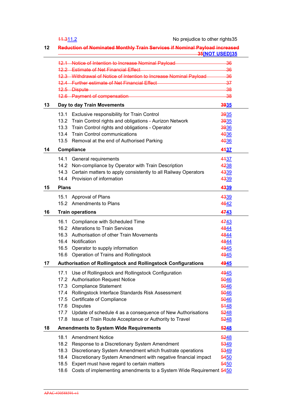|    | 11.311.2<br>No prejudice to other rights35                                                                              |       |  |
|----|-------------------------------------------------------------------------------------------------------------------------|-------|--|
| 12 | <b>Reduction of Nominated Monthly Train Services if Nominal Payload increased</b><br><u>35[NOT USED]35 35[NOT USED]</u> |       |  |
|    | 12.1 Notice of Intention to Increase Nominal Payload <b>Committee Contract Contract</b>                                 | -36   |  |
|    | 12.2 Estimate of Net Financial Effect <b>Contract Contract Contract Contract Contract Contract Contract Contract</b>    | $-36$ |  |
|    | 12.3 Withdrawal of Notice of Intention to Increase Nominal Payload                                                      | $-36$ |  |
|    | 12.4 Further estimate of Net Financial Effect <b>Contract Contract Contract Contract Contract Contract Contract Co</b>  | $-37$ |  |
|    |                                                                                                                         | -38   |  |
|    | 12.6 Payment of compensation <b>COVID-12.6</b> Payment of compensation                                                  | -38   |  |
| 13 | Day to day Train Movements                                                                                              | 3935  |  |
|    | 13.1 Exclusive responsibility for Train Control                                                                         | 3935  |  |
|    | Train Control rights and obligations - Aurizon Network<br>13.2                                                          | 3935  |  |
|    | 13.3 Train Control rights and obligations - Operator                                                                    | 3936  |  |
|    | 13.4 Train Control communications                                                                                       | 4036  |  |
|    | 13.5 Removal at the end of Authorised Parking                                                                           | 4036  |  |
| 14 | <b>Compliance</b>                                                                                                       | 4437  |  |
|    | 14.1<br>General requirements                                                                                            | 4437  |  |
|    | 14.2 Non-compliance by Operator with Train Description                                                                  | 4238  |  |
|    | 14.3 Certain matters to apply consistently to all Railway Operators                                                     | 4339  |  |
|    | 14.4 Provision of information                                                                                           | 4339  |  |
| 15 | <b>Plans</b>                                                                                                            | 4339  |  |
|    | Approval of Plans<br>15.1                                                                                               | 4339  |  |
|    | 15.2 Amendments to Plans                                                                                                | 4642  |  |
| 16 | <b>Train operations</b>                                                                                                 | 4743  |  |
|    | Compliance with Scheduled Time<br>16.1                                                                                  | 4743  |  |
|    | 16.2 Alterations to Train Services                                                                                      | 4844  |  |
|    | 16.3 Authorisation of other Train Movements                                                                             | 4844  |  |
|    | Notification<br>16.4                                                                                                    | 4844  |  |
|    | Operator to supply information<br>16.5                                                                                  | 4945  |  |
|    | 16.6 Operation of Trains and Rollingstock                                                                               | 4945  |  |
| 17 | <b>Authorisation of Rollingstock and Rollingstock Configurations</b>                                                    | 4945  |  |
|    | Use of Rollingstock and Rollingstock Configuration<br>17.1                                                              | 4945  |  |
|    | <b>Authorisation Request Notice</b><br>17.2                                                                             | 5046  |  |
|    | 17.3<br><b>Compliance Statement</b>                                                                                     | 5046  |  |
|    | Rollingstock Interface Standards Risk Assessment<br>17.4                                                                | 5046  |  |
|    | Certificate of Compliance<br>17.5                                                                                       | 5046  |  |
|    | <b>Disputes</b><br>17.6                                                                                                 | 5448  |  |
|    | Update of schedule 4 as a consequence of New Authorisations<br>17.7                                                     | 5248  |  |
|    | Issue of Train Route Acceptance or Authority to Travel<br>17.8                                                          | 5248  |  |
| 18 | <b>Amendments to System Wide Requirements</b>                                                                           | 5248  |  |
|    | 18.1<br><b>Amendment Notice</b>                                                                                         | 5248  |  |
|    | 18.2<br>Response to a Discretionary System Amendment                                                                    | 5349  |  |
|    | 18.3<br>Discretionary System Amendment which frustrate operations                                                       | 5349  |  |
|    | 18.4<br>Discretionary System Amendment with negative financial impact                                                   | 5450  |  |
|    | 18.5<br>Expert must have regard to certain matters                                                                      | 5450  |  |
|    | Costs of implementing amendments to a System Wide Requirement 5450<br>18.6                                              |       |  |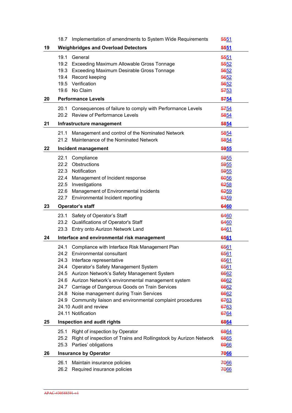|    | 18.7 Implementation of amendments to System Wide Requirements             | <del>55</del> 51 |
|----|---------------------------------------------------------------------------|------------------|
| 19 | <b>Weighbridges and Overload Detectors</b>                                | 5551             |
|    | General<br>19.1                                                           | 5551             |
|    | 19.2<br>Exceeding Maximum Allowable Gross Tonnage                         | 5552             |
|    | 19.3 Exceeding Maximum Desirable Gross Tonnage                            | 5652             |
|    | Record keeping<br>19.4                                                    | 5652             |
|    | Verification<br>19.5                                                      | 5652             |
|    | No Claim<br>19.6                                                          | 5753             |
| 20 | <b>Performance Levels</b>                                                 | 5754             |
|    | Consequences of failure to comply with Performance Levels<br>20.1         | 5754             |
|    | 20.2 Review of Performance Levels                                         | 5854             |
| 21 | Infrastructure management                                                 | 5854             |
|    | 21.1<br>Management and control of the Nominated Network                   | 5854             |
|    | Maintenance of the Nominated Network<br>21.2                              | 5854             |
|    |                                                                           |                  |
| 22 | Incident management                                                       | 5955             |
|    | 22.1<br>Compliance                                                        | 5955             |
|    | 22.2<br>Obstructions                                                      | 5955             |
|    | 22.3 Notification                                                         | 5955             |
|    | 22.4<br>Management of Incident response                                   | 6056             |
|    | Investigations<br>22.5                                                    | 6258             |
|    | 22.6<br>Management of Environmental Incidents                             | 6259             |
|    | Environmental Incident reporting<br>22.7                                  | 6359             |
| 23 | <b>Operator's staff</b>                                                   | 6460             |
|    | 23.1<br>Safety of Operator's Staff                                        | 6460             |
|    | Qualifications of Operator's Staff<br>23.2                                | 6460             |
|    | Entry onto Aurizon Network Land<br>23.3                                   | 6461             |
| 24 | Interface and environmental risk management                               | 6561             |
|    | Compliance with Interface Risk Management Plan<br>24.1                    | 6561             |
|    | 24.2<br>Environmental consultant                                          | 6561             |
|    | 24.3<br>Interface representative                                          | 6561             |
|    | 24.4<br>Operator's Safety Management System                               | 6561             |
|    | 24.5<br>Aurizon Network's Safety Management System                        | 6662             |
|    | 24.6 Aurizon Network's environmental management system                    | 6662             |
|    | 24.7<br>Carriage of Dangerous Goods on Train Services                     | 6662             |
|    | 24.8<br>Noise management during Train Services                            | 6662             |
|    | 24.9<br>Community liaison and environmental complaint procedures          | 6763             |
|    | 24.10 Audit and review                                                    | 6763             |
|    | 24.11 Notification                                                        | 6764             |
| 25 | Inspection and audit rights                                               | 6864             |
|    | Right of inspection by Operator<br>25.1                                   | 6864             |
|    | 25.2<br>Right of inspection of Trains and Rollingstock by Aurizon Network | 6865             |
|    | 25.3<br>Parties' obligations                                              | 6966             |
| 26 | <b>Insurance by Operator</b>                                              | 7066             |
|    | 26.1<br>Maintain insurance policies                                       | 7066             |
|    | Required insurance policies<br>26.2                                       | 7066             |
|    |                                                                           |                  |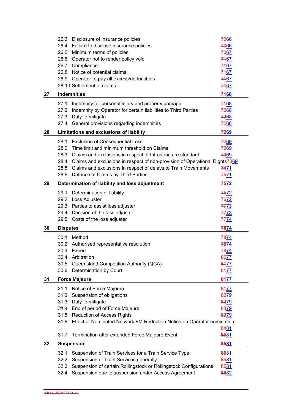|    |                 | 26.3 Disclosure of insurance policies                                                        | 7066        |
|----|-----------------|----------------------------------------------------------------------------------------------|-------------|
|    |                 | 26.4 Failure to disclose insurance policies                                                  | 7066        |
|    |                 | 26.5 Minimum terms of policies                                                               | 7067        |
|    |                 | 26.6 Operator not to render policy void                                                      | 7467        |
|    |                 | 26.7 Compliance                                                                              | 7467        |
|    | 26.8            | Notice of potential claims                                                                   | 7467        |
|    | 26.9            | Operator to pay all excess/deductibles                                                       | 7467        |
|    |                 | 26.10 Settlement of claims                                                                   | 7467        |
| 27 |                 | <b>Indemnities</b>                                                                           | 7468        |
|    |                 |                                                                                              |             |
|    | 27.1            | Indemnity for personal injury and property damage                                            | 7468        |
|    | 27.2            | Indemnity by Operator for certain liabilities to Third Parties                               | 7268        |
|    | 27.3            | Duty to mitigate                                                                             | 7268        |
|    | 27.4            | General provisions regarding indemnities                                                     | 7268        |
| 28 |                 | Limitations and exclusions of liability                                                      | 7269        |
|    | 28.1            | <b>Exclusion of Consequential Loss</b>                                                       | 7269        |
|    | 28.2            | Time limit and minimum threshold on Claims                                                   | 7269        |
|    | 28.3            | Claims and exclusions in respect of Infrastructure standard                                  | 7369        |
|    |                 | 28.4 Claims and exclusions in respect of non-provision of Operational Rights <sup>7369</sup> |             |
|    |                 | 28.5 Claims and exclusions in respect of delays to Train Movements                           | 7471        |
|    | 28.6            | Defence of Claims by Third Parties                                                           | <u>7571</u> |
| 29 |                 | Determination of liability and loss adjustment                                               | 7572        |
|    |                 | 29.1 Determination of liability                                                              | 7572        |
|    |                 | 29.2 Loss Adjuster                                                                           | 7672        |
|    |                 | 29.3 Parties to assist loss adjuster                                                         | 7773        |
|    |                 |                                                                                              |             |
|    |                 |                                                                                              |             |
|    |                 | 29.4 Decision of the loss adjuster                                                           | 7773        |
|    | 29.5            | Costs of the loss adjuster                                                                   | <u>7774</u> |
| 30 | <b>Disputes</b> |                                                                                              | 7874        |
|    | 30.1            | Method                                                                                       | 7874        |
|    | 30.2            | Authorised representative resolution                                                         | 7874        |
|    | 30.3            | Expert                                                                                       | 7874        |
|    | 30.4            | Arbitration                                                                                  | 8077        |
|    | 30.5            | Queensland Competition Authority (QCA)                                                       | 8477        |
|    | 30.6            | Determination by Court                                                                       | 8477        |
| 31 |                 | <b>Force Majeure</b>                                                                         | 8477        |
|    | 31.1            | Notice of Force Majeure                                                                      | 8477        |
|    | 31.2            | Suspension of obligations                                                                    | 8279        |
|    | 31.3            | Duty to mitigate                                                                             | 8279        |
|    |                 | 31.4 End of period of Force Majeure                                                          | 8379        |
|    | 31.5            | <b>Reduction of Access Rights</b>                                                            | 8379        |
|    | 31.6            | Effect of Nominated Network FM Reduction Notice on Operator nomination                       |             |
|    |                 |                                                                                              | 8481        |
|    | 31.7            | Termination after extended Force Majeure Event                                               | 8581        |
| 32 |                 | <b>Suspension</b>                                                                            | 8581        |
|    | 32.1            | Suspension of Train Services for a Train Service Type                                        | 8581        |
|    | 32.2            | Suspension of Train Services generally                                                       | 8581        |
|    | 32.3            | Suspension of certain Rollingstock or Rollingstock Configurations                            | 8581        |
|    | 32.4            | Suspension due to suspension under Access Agreement                                          | 8682        |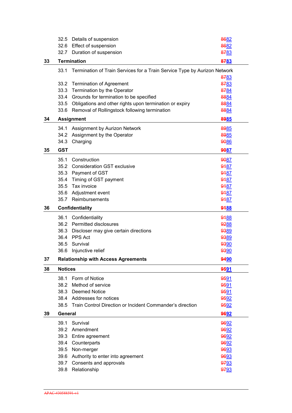|    | 32.5           | Details of suspension                                                     | 8682         |
|----|----------------|---------------------------------------------------------------------------|--------------|
|    | 32.6           | <b>Effect of suspension</b>                                               | 8682         |
|    | 32.7           | Duration of suspension                                                    | 8783         |
| 33 |                | <b>Termination</b>                                                        | 8783         |
|    | 33.1           | Termination of Train Services for a Train Service Type by Aurizon Network |              |
|    |                |                                                                           | 8783         |
|    | 33.2           | <b>Termination of Agreement</b>                                           | 8783         |
|    | 33.3           | Termination by the Operator                                               | 8784         |
|    | 33.4           | Grounds for termination to be specified                                   | 8884         |
|    | 33.5           | Obligations and other rights upon termination or expiry                   | 8884         |
|    | 33.6           | Removal of Rollingstock following termination                             | 8884         |
| 34 |                | <b>Assignment</b>                                                         | 8985         |
|    | 34.1           | Assignment by Aurizon Network                                             | 8985         |
|    | 34.2           | Assignment by the Operator                                                | 8985         |
|    | 34.3           | Charging                                                                  | 9086         |
| 35 | <b>GST</b>     |                                                                           | <b>9087</b>  |
|    | 35.1           | Construction                                                              | 9087         |
|    |                | 35.2 Consideration GST exclusive                                          | 9187         |
|    | 35.3           | Payment of GST                                                            | 9187         |
|    | 35.4           | Timing of GST payment                                                     | 9187         |
|    | 35.5           | Tax invoice                                                               | 9187         |
|    | 35.6           | Adjustment event                                                          | 9187         |
|    | 35.7           | Reimbursements                                                            | 9187         |
|    |                |                                                                           |              |
| 36 |                | Confidentiality                                                           | 9188         |
|    | 36.1           | Confidentiality                                                           | 9188         |
|    | 36.2           | Permitted disclosures                                                     | 9288         |
|    | 36.3           | Discloser may give certain directions                                     | 9389         |
|    | 36.4           | PPS Act                                                                   | 9389         |
|    | 36.5           | Survival                                                                  | 9390         |
|    | 36.6           | Injunctive relief                                                         | 9390         |
| 37 |                | <b>Relationship with Access Agreements</b>                                | 94 <u>90</u> |
| 38 | <b>Notices</b> |                                                                           | 9591         |
|    | 38.1           | Form of Notice                                                            | 9591         |
|    | 38.2           | Method of service                                                         | 9591         |
|    | 38.3           | <b>Deemed Notice</b>                                                      | 9591         |
|    |                | 38.4 Addresses for notices                                                | 9592         |
|    | 38.5           | Train Control Direction or Incident Commander's direction                 | 9592         |
| 39 | General        |                                                                           | 9692         |
|    | 39.1           | Survival                                                                  | 9692         |
|    | 39.2           | Amendment                                                                 | 9692         |
|    | 39.3           | Entire agreement                                                          | 9692         |
|    | 39.4           | Counterparts                                                              | 9692         |
|    | 39.5           | Non-merger                                                                | 9693         |
|    | 39.6           | Authority to enter into agreement                                         | 9693         |
|    | 39.7<br>39.8   | Consents and approvals<br>Relationship                                    | 9793<br>9793 |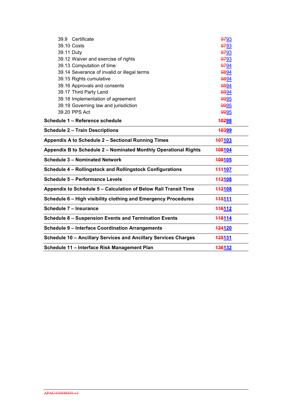| 39.9 Certificate                                                | 9793          |  |
|-----------------------------------------------------------------|---------------|--|
| 39.10 Costs                                                     | 9793          |  |
| 39.11 Duty                                                      | 9793          |  |
| 39.12 Waiver and exercise of rights                             | 9793          |  |
| 39.13 Computation of time                                       | 9794          |  |
| 39.14 Severance of invalid or illegal terms                     | 9894          |  |
| 39.15 Rights cumulative                                         | 9894          |  |
| 39.16 Approvals and consents                                    | 9894          |  |
| 39.17 Third Party Land                                          | 9894          |  |
| 39.18 Implementation of agreement                               | 9995          |  |
| 39.19 Governing law and jurisdiction                            | 9995          |  |
| 39.20 PPS Act                                                   | 9995          |  |
| Schedule 1 - Reference schedule                                 | <b>40298</b>  |  |
| <b>Schedule 2 - Train Descriptions</b>                          | <b>10399</b>  |  |
| Appendix A to Schedule 2 - Sectional Running Times              | 107103        |  |
| Appendix B to Schedule 2 - Nominated Monthly Operational Rights | 108104        |  |
| <b>Schedule 3 - Nominated Network</b>                           | 109105        |  |
| Schedule 4 - Rollingstock and Rollingstock Configurations       | <b>444107</b> |  |
| <b>Schedule 5 - Performance Levels</b>                          | 112108        |  |
| Appendix to Schedule 5 - Calculation of Below Rail Transit Time | 112108        |  |
| Schedule 6 - High visibility clothing and Emergency Procedures  | <b>445111</b> |  |
| Schedule 7 - Insurance                                          | 116112        |  |
| Schedule 8 - Suspension Events and Termination Events           | 118114        |  |
| <b>Schedule 9 - Interface Coordination Arrangements</b>         | 124120        |  |
| Schedule 10 - Ancillary Services and Ancillary Services Charges | 135131        |  |
| Schedule 11 - Interface Risk Management Plan                    | 136132        |  |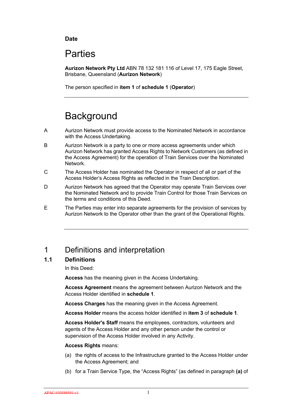#### **Date**

# **Parties**

**Aurizon Network Pty Ltd** ABN 78 132 181 116 of Level 17, 175 Eagle Street, Brisbane, Queensland (**Aurizon Network**)

The person specified in **item 1** of **schedule 1** (**Operator**)

# **Background**

- A Aurizon Network must provide access to the Nominated Network in accordance with the Access Undertaking.
- B Aurizon Network is a party to one or more access agreements under which Aurizon Network has granted Access Rights to Network Customers (as defined in the Access Agreement) for the operation of Train Services over the Nominated Network.
- C The Access Holder has nominated the Operator in respect of all or part of the Access Holder's Access Rights as reflected in the Train Description.
- D Aurizon Network has agreed that the Operator may operate Train Services over the Nominated Network and to provide Train Control for those Train Services on the terms and conditions of this Deed.
- E The Parties may enter into separate agreements for the provision of services by Aurizon Network to the Operator other than the grant of the Operational Rights.

# 1 Definitions and interpretation

## **1.1 Definitions**

In this Deed:

**Access** has the meaning given in the Access Undertaking.

**Access Agreement** means the agreement between Aurizon Network and the Access Holder identified in **schedule 1**.

**Access Charges** has the meaning given in the Access Agreement.

**Access Holder** means the access holder identified in **item 3** of **schedule 1**.

**Access Holder's Staff** means the employees, contractors, volunteers and agents of the Access Holder and any other person under the control or supervision of the Access Holder involved in any Activity.

#### **Access Rights** means:

- (a) the rights of access to the Infrastructure granted to the Access Holder under the Access Agreement; and
- (b) for a Train Service Type, the "Access Rights" (as defined in paragraph **(a)** of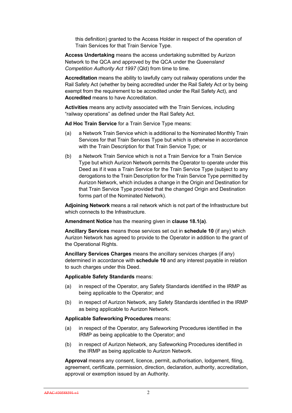this definition) granted to the Access Holder in respect of the operation of Train Services for that Train Service Type.

**Access Undertaking** means the access undertaking submitted by Aurizon Network to the QCA and approved by the QCA under the *Queensland Competition Authority Act 1997* (Qld) from time to time.

**Accreditation** means the ability to lawfully carry out railway operations under the Rail Safety Act (whether by being accredited under the Rail Safety Act or by being exempt from the requirement to be accredited under the Rail Safety Act), and **Accredited** means to have Accreditation.

**Activities** means any activity associated with the Train Services, including "railway operations" as defined under the Rail Safety Act.

**Ad Hoc Train Service** for a Train Service Type means:

- (a) a Network Train Service which is additional to the Nominated Monthly Train Services for that Train Services Type but which is otherwise in accordance with the Train Description for that Train Service Type; or
- (b) a Network Train Service which is not a Train Service for a Train Service Type but which Aurizon Network permits the Operator to operate under this Deed as if it was a Train Service for the Train Service Type (subject to any derogations to the Train Description for the Train Service Type permitted by Aurizon Network, which includes a change in the Origin and Destination for that Train Service Type provided that the changed Origin and Destination forms part of the Nominated Network).

**Adjoining Network** means a rail network which is not part of the Infrastructure but which connects to the Infrastructure.

**Amendment Notice** has the meaning given in **clause 18.1(a)**.

**Ancillary Services** means those services set out in **schedule 10** (if any) which Aurizon Network has agreed to provide to the Operator in addition to the grant of the Operational Rights.

**Ancillary Services Charges** means the ancillary services charges (if any) determined in accordance with **schedule 10** and any interest payable in relation to such charges under this Deed.

**Applicable Safety Standards** means:

- (a) in respect of the Operator, any Safety Standards identified in the IRMP as being applicable to the Operator; and
- (b) in respect of Aurizon Network, any Safety Standards identified in the IRMP as being applicable to Aurizon Network.

#### **Applicable Safeworking Procedures** means:

- (a) in respect of the Operator, any Safeworking Procedures identified in the IRMP as being applicable to the Operator; and
- (b) in respect of Aurizon Network, any Safeworking Procedures identified in the IRMP as being applicable to Aurizon Network.

**Approval** means any consent, licence, permit, authorisation, lodgement, filing, agreement, certificate, permission, direction, declaration, authority, accreditation, approval or exemption issued by an Authority.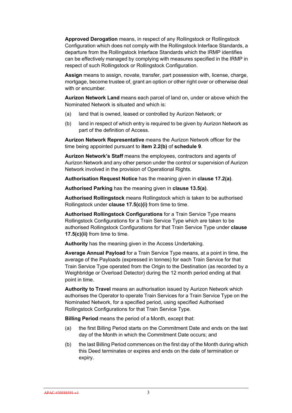**Approved Derogation** means, in respect of any Rollingstock or Rollingstock Configuration which does not comply with the Rollingstock Interface Standards, a departure from the Rollingstock Interface Standards which the IRMP identifies can be effectively managed by complying with measures specified in the IRMP in respect of such Rollingstock or Rollingstock Configuration.

**Assign** means to assign, novate, transfer, part possession with, license, charge, mortgage, become trustee of, grant an option or other right over or otherwise deal with or encumber.

**Aurizon Network Land** means each parcel of land on, under or above which the Nominated Network is situated and which is:

- (a) land that is owned, leased or controlled by Aurizon Network; or
- (b) land in respect of which entry is required to be given by Aurizon Network as part of the definition of Access.

**Aurizon Network Representative** means the Aurizon Network officer for the time being appointed pursuant to **item 2.2(b)** of **schedule 9**.

**Aurizon Network's Staff** means the employees, contractors and agents of Aurizon Network and any other person under the control or supervision of Aurizon Network involved in the provision of Operational Rights.

**Authorisation Request Notice** has the meaning given in **clause 17.2(a)**.

**Authorised Parking** has the meaning given in **clause 13.5(a)**.

**Authorised Rollingstock** means Rollingstock which is taken to be authorised Rollingstock under **clause 17.5(c)(i)** from time to time.

**Authorised Rollingstock Configurations** for a Train Service Type means Rollingstock Configurations for a Train Service Type which are taken to be authorised Rollingstock Configurations for that Train Service Type under **clause 17.5(c)(ii)** from time to time.

**Authority** has the meaning given in the Access Undertaking.

**Average Annual Payload** for a Train Service Type means, at a point in time, the average of the Payloads (expressed in tonnes) for each Train Service for that Train Service Type operated from the Origin to the Destination (as recorded by a Weighbridge or Overload Detector) during the 12 month period ending at that point in time.

**Authority to Travel** means an authorisation issued by Aurizon Network which authorises the Operator to operate Train Services for a Train Service Type on the Nominated Network, for a specified period, using specified Authorised Rollingstock Configurations for that Train Service Type.

**Billing Period** means the period of a Month, except that:

- (a) the first Billing Period starts on the Commitment Date and ends on the last day of the Month in which the Commitment Date occurs; and
- (b) the last Billing Period commences on the first day of the Month during which this Deed terminates or expires and ends on the date of termination or expiry.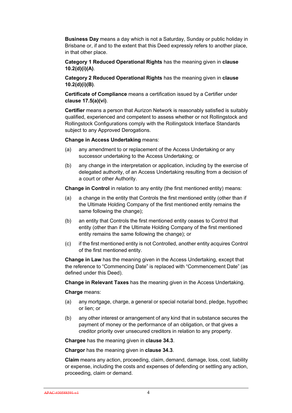**Business Day** means a day which is not a Saturday, Sunday or public holiday in Brisbane or, if and to the extent that this Deed expressly refers to another place, in that other place.

**Category 1 Reduced Operational Rights** has the meaning given in **clause 10.2(d)(i)(A)**.

**Category 2 Reduced Operational Rights** has the meaning given in **clause 10.2(d)(i)(B)**.

**Certificate of Compliance** means a certification issued by a Certifier under **clause 17.5(a)(vi)**.

**Certifier** means a person that Aurizon Network is reasonably satisfied is suitably qualified, experienced and competent to assess whether or not Rollingstock and Rollingstock Configurations comply with the Rollingstock Interface Standards subject to any Approved Derogations.

**Change in Access Undertaking** means:

- (a) any amendment to or replacement of the Access Undertaking or any successor undertaking to the Access Undertaking; or
- (b) any change in the interpretation or application, including by the exercise of delegated authority, of an Access Undertaking resulting from a decision of a court or other Authority.

**Change in Control** in relation to any entity (the first mentioned entity) means:

- (a) a change in the entity that Controls the first mentioned entity (other than if the Ultimate Holding Company of the first mentioned entity remains the same following the change);
- (b) an entity that Controls the first mentioned entity ceases to Control that entity (other than if the Ultimate Holding Company of the first mentioned entity remains the same following the change); or
- (c) if the first mentioned entity is not Controlled, another entity acquires Control of the first mentioned entity.

**Change in Law** has the meaning given in the Access Undertaking, except that the reference to "Commencing Date" is replaced with "Commencement Date" (as defined under this Deed).

**Change in Relevant Taxes** has the meaning given in the Access Undertaking.

**Charge** means:

- (a) any mortgage, charge, a general or special notarial bond, pledge, hypothec or lien; or
- (b) any other interest or arrangement of any kind that in substance secures the payment of money or the performance of an obligation, or that gives a creditor priority over unsecured creditors in relation to any property.

**Chargee** has the meaning given in **clause 34.3**.

**Chargor** has the meaning given in **clause 34.3**.

**Claim** means any action, proceeding, claim, demand, damage, loss, cost, liability or expense, including the costs and expenses of defending or settling any action, proceeding, claim or demand.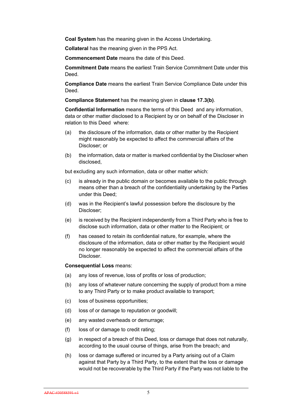**Coal System** has the meaning given in the Access Undertaking.

**Collateral** has the meaning given in the PPS Act.

**Commencement Date** means the date of this Deed.

**Commitment Date** means the earliest Train Service Commitment Date under this **Deed** 

**Compliance Date** means the earliest Train Service Compliance Date under this Deed.

**Compliance Statement** has the meaning given in **clause 17.3(b)**.

**Confidential Information** means the terms of this Deed and any information, data or other matter disclosed to a Recipient by or on behalf of the Discloser in relation to this Deed where:

- (a) the disclosure of the information, data or other matter by the Recipient might reasonably be expected to affect the commercial affairs of the Discloser; or
- (b) the information, data or matter is marked confidential by the Discloser when disclosed,

but excluding any such information, data or other matter which:

- (c) is already in the public domain or becomes available to the public through means other than a breach of the confidentiality undertaking by the Parties under this Deed;
- (d) was in the Recipient's lawful possession before the disclosure by the Discloser;
- (e) is received by the Recipient independently from a Third Party who is free to disclose such information, data or other matter to the Recipient; or
- (f) has ceased to retain its confidential nature, for example, where the disclosure of the information, data or other matter by the Recipient would no longer reasonably be expected to affect the commercial affairs of the Discloser.

#### **Consequential Loss** means:

- (a) any loss of revenue, loss of profits or loss of production;
- (b) any loss of whatever nature concerning the supply of product from a mine to any Third Party or to make product available to transport;
- (c) loss of business opportunities;
- (d) loss of or damage to reputation or goodwill;
- (e) any wasted overheads or demurrage;
- (f) loss of or damage to credit rating;
- (g) in respect of a breach of this Deed, loss or damage that does not naturally, according to the usual course of things, arise from the breach; and
- (h) loss or damage suffered or incurred by a Party arising out of a Claim against that Party by a Third Party, to the extent that the loss or damage would not be recoverable by the Third Party if the Party was not liable to the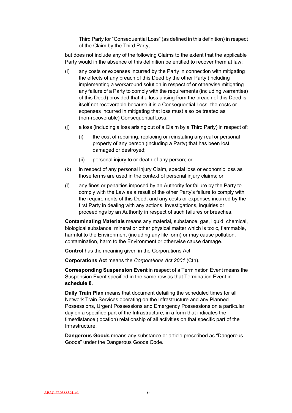Third Party for "Consequential Loss" (as defined in this definition) in respect of the Claim by the Third Party,

but does not include any of the following Claims to the extent that the applicable Party would in the absence of this definition be entitled to recover them at law:

- (i) any costs or expenses incurred by the Party in connection with mitigating the effects of any breach of this Deed by the other Party (including implementing a workaround solution in respect of or otherwise mitigating any failure of a Party to comply with the requirements (including warranties) of this Deed) provided that if a loss arising from the breach of this Deed is itself not recoverable because it is a Consequential Loss, the costs or expenses incurred in mitigating that loss must also be treated as (non-recoverable) Consequential Loss;
- (j) a loss (including a loss arising out of a Claim by a Third Party) in respect of:
	- (i) the cost of repairing, replacing or reinstating any real or personal property of any person (including a Party) that has been lost, damaged or destroyed;
	- (ii) personal injury to or death of any person; or
- (k) in respect of any personal injury Claim, special loss or economic loss as those terms are used in the context of personal injury claims; or
- (l) any fines or penalties imposed by an Authority for failure by the Party to comply with the Law as a result of the other Party's failure to comply with the requirements of this Deed, and any costs or expenses incurred by the first Party in dealing with any actions, investigations, inquiries or proceedings by an Authority in respect of such failures or breaches.

**Contaminating Materials** means any material, substance, gas, liquid, chemical, biological substance, mineral or other physical matter which is toxic, flammable, harmful to the Environment (including any life form) or may cause pollution, contamination, harm to the Environment or otherwise cause damage.

**Control** has the meaning given in the Corporations Act.

**Corporations Act** means the *Corporations Act 2001* (Cth).

**Corresponding Suspension Event** in respect of a Termination Event means the Suspension Event specified in the same row as that Termination Event in **schedule 8**.

**Daily Train Plan** means that document detailing the scheduled times for all Network Train Services operating on the Infrastructure and any Planned Possessions, Urgent Possessions and Emergency Possessions on a particular day on a specified part of the Infrastructure, in a form that indicates the time/distance (location) relationship of all activities on that specific part of the Infrastructure.

**Dangerous Goods** means any substance or article prescribed as "Dangerous Goods" under the Dangerous Goods Code.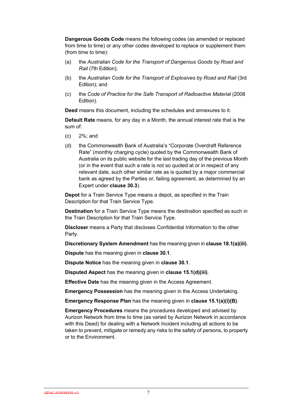**Dangerous Goods Code** means the following codes (as amended or replaced from time to time) or any other codes developed to replace or supplement them (from time to time):

- (a) the *Australian Code for the Transport of Dangerous Goods by Road and Rail* (7th Edition);
- (b) the *Australian Code for the Transport of Explosives by Road and Rail* (3rd Edition); and
- (c) the *Code of Practice for the Safe Transport of Radioactive Material* (2008 Edition).

**Deed** means this document, including the schedules and annexures to it.

**Default Rate** means, for any day in a Month, the annual interest rate that is the sum of:

- (c) 2%; and
- (d) the Commonwealth Bank of Australia's "Corporate Overdraft Reference Rate" (monthly charging cycle) quoted by the Commonwealth Bank of Australia on its public website for the last trading day of the previous Month (or in the event that such a rate is not so quoted at or in respect of any relevant date, such other similar rate as is quoted by a major commercial bank as agreed by the Parties or, failing agreement, as determined by an Expert under **clause 30.3**).

**Depot** for a Train Service Type means a depot, as specified in the Train Description for that Train Service Type.

**Destination** for a Train Service Type means the destination specified as such in the Train Description for that Train Service Type.

**Discloser** means a Party that discloses Confidential Information to the other Party.

**Discretionary System Amendment** has the meaning given in **clause 18.1(a)(iii)**.

**Dispute** has the meaning given in **clause 30.1**.

**Dispute Notice** has the meaning given in **clause 30.1**.

**Disputed Aspect** has the meaning given in **clause 15.1(d)(iii)**.

**Effective Date** has the meaning given in the Access Agreement.

**Emergency Possession** has the meaning given in the Access Undertaking.

**Emergency Response Plan** has the meaning given in **clause 15.1(a)(i)(B)**.

**Emergency Procedures** means the procedures developed and advised by Aurizon Network from time to time (as varied by Aurizon Network in accordance with this Deed) for dealing with a Network Incident including all actions to be taken to prevent, mitigate or remedy any risks to the safety of persons, to property or to the Environment.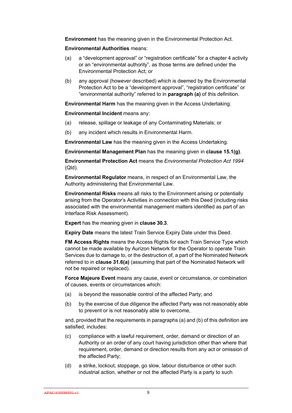**Environment** has the meaning given in the Environmental Protection Act.

#### **Environmental Authorities** means:

- (a) a "development approval" or "registration certificate" for a chapter 4 activity or an "environmental authority", as those terms are defined under the Environmental Protection Act; or
- (b) any approval (however described) which is deemed by the Environmental Protection Act to be a "development approval", "registration certificate" or "environmental authority" referred to in **paragraph (a)** of this definition.

**Environmental Harm** has the meaning given in the Access Undertaking.

**Environmental Incident** means any:

- (a) release, spillage or leakage of any Contaminating Materials; or
- (b) any incident which results in Environmental Harm.

**Environmental Law** has the meaning given in the Access Undertaking.

**Environmental Management Plan** has the meaning given in **clause 15.1(g)**.

**Environmental Protection Act** means the *Environmental Protection Act 1994*  (Qld)*.*

**Environmental Regulator** means, in respect of an Environmental Law, the Authority administering that Environmental Law.

**Environmental Risks** means all risks to the Environment arising or potentially arising from the Operator's Activities in connection with this Deed (including risks associated with the environmental management matters identified as part of an Interface Risk Assessment).

**Expert** has the meaning given in **clause 30.3**.

**Expiry Date** means the latest Train Service Expiry Date under this Deed.

**FM Access Rights** means the Access Rights for each Train Service Type which cannot be made available by Aurizon Network for the Operator to operate Train Services due to damage to, or the destruction of, a part of the Nominated Network referred to in **clause 31.6(a)** (assuming that part of the Nominated Network will not be repaired or replaced).

**Force Majeure Event** means any cause, event or circumstance, or combination of causes, events or circumstances which:

- (a) is beyond the reasonable control of the affected Party; and
- (b) by the exercise of due diligence the affected Party was not reasonably able to prevent or is not reasonably able to overcome,

and, provided that the requirements in paragraphs (a) and (b) of this definition are satisfied, includes:

- (c) compliance with a lawful requirement, order, demand or direction of an Authority or an order of any court having jurisdiction other than where that requirement, order, demand or direction results from any act or omission of the affected Party;
- (d) a strike, lockout, stoppage, go slow, labour disturbance or other such industrial action, whether or not the affected Party is a party to such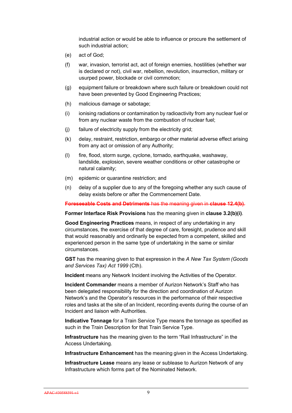industrial action or would be able to influence or procure the settlement of such industrial action;

- (e) act of God;
- (f) war, invasion, terrorist act, act of foreign enemies, hostilities (whether war is declared or not), civil war, rebellion, revolution, insurrection, military or usurped power, blockade or civil commotion;
- (g) equipment failure or breakdown where such failure or breakdown could not have been prevented by Good Engineering Practices;
- (h) malicious damage or sabotage;
- (i) ionising radiations or contamination by radioactivity from any nuclear fuel or from any nuclear waste from the combustion of nuclear fuel;
- (j) failure of electricity supply from the electricity grid;
- (k) delay, restraint, restriction, embargo or other material adverse effect arising from any act or omission of any Authority;
- (l) fire, flood, storm surge, cyclone, tornado, earthquake, washaway, landslide, explosion, severe weather conditions or other catastrophe or natural calamity;
- (m) epidemic or quarantine restriction; and
- (n) delay of a supplier due to any of the foregoing whether any such cause of delay exists before or after the Commencement Date.

**Foreseeable Costs and Detriments** has the meaning given in **clause 12.4(b)**.

**Former Interface Risk Provisions** has the meaning given in **clause 3.2(b)(i)**.

**Good Engineering Practices** means, in respect of any undertaking in any circumstances, the exercise of that degree of care, foresight, prudence and skill that would reasonably and ordinarily be expected from a competent, skilled and experienced person in the same type of undertaking in the same or similar circumstances.

**GST** has the meaning given to that expression in the *A New Tax System (Goods and Services Tax) Act 1999* (Cth).

**Incident** means any Network Incident involving the Activities of the Operator.

**Incident Commander** means a member of Aurizon Network's Staff who has been delegated responsibility for the direction and coordination of Aurizon Network's and the Operator's resources in the performance of their respective roles and tasks at the site of an Incident, recording events during the course of an Incident and liaison with Authorities.

**Indicative Tonnage** for a Train Service Type means the tonnage as specified as such in the Train Description for that Train Service Type.

**Infrastructure** has the meaning given to the term "Rail Infrastructure" in the Access Undertaking.

**Infrastructure Enhancement** has the meaning given in the Access Undertaking.

**Infrastructure Lease** means any lease or sublease to Aurizon Network of any Infrastructure which forms part of the Nominated Network.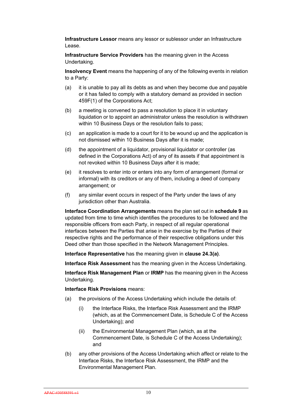**Infrastructure Lessor** means any lessor or sublessor under an Infrastructure Lease.

**Infrastructure Service Providers** has the meaning given in the Access Undertaking.

**Insolvency Event** means the happening of any of the following events in relation to a Party:

- (a) it is unable to pay all its debts as and when they become due and payable or it has failed to comply with a statutory demand as provided in section 459F(1) of the Corporations Act;
- (b) a meeting is convened to pass a resolution to place it in voluntary liquidation or to appoint an administrator unless the resolution is withdrawn within 10 Business Days or the resolution fails to pass;
- (c) an application is made to a court for it to be wound up and the application is not dismissed within 10 Business Days after it is made;
- (d) the appointment of a liquidator, provisional liquidator or controller (as defined in the Corporations Act) of any of its assets if that appointment is not revoked within 10 Business Days after it is made;
- (e) it resolves to enter into or enters into any form of arrangement (formal or informal) with its creditors or any of them, including a deed of company arrangement; or
- (f) any similar event occurs in respect of the Party under the laws of any jurisdiction other than Australia.

**Interface Coordination Arrangements** means the plan set out in **schedule 9** as updated from time to time which identifies the procedures to be followed and the responsible officers from each Party, in respect of all regular operational interfaces between the Parties that arise in the exercise by the Parties of their respective rights and the performance of their respective obligations under this Deed other than those specified in the Network Management Principles.

**Interface Representative** has the meaning given in **clause 24.3(a)**.

**Interface Risk Assessment** has the meaning given in the Access Undertaking.

**Interface Risk Management Plan** or **IRMP** has the meaning given in the Access Undertaking.

**Interface Risk Provisions** means:

- (a) the provisions of the Access Undertaking which include the details of:
	- (i) the Interface Risks, the Interface Risk Assessment and the IRMP (which, as at the Commencement Date, is Schedule C of the Access Undertaking); and
	- (ii) the Environmental Management Plan (which, as at the Commencement Date, is Schedule C of the Access Undertaking); and
- (b) any other provisions of the Access Undertaking which affect or relate to the Interface Risks, the Interface Risk Assessment, the IRMP and the Environmental Management Plan.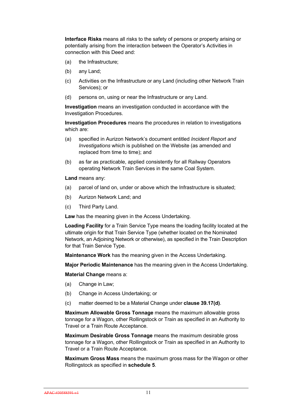**Interface Risks** means all risks to the safety of persons or property arising or potentially arising from the interaction between the Operator's Activities in connection with this Deed and:

- (a) the Infrastructure;
- (b) any Land;
- (c) Activities on the Infrastructure or any Land (including other Network Train Services); or
- (d) persons on, using or near the Infrastructure or any Land.

**Investigation** means an investigation conducted in accordance with the Investigation Procedures.

**Investigation Procedures** means the procedures in relation to investigations which are:

- (a) specified in Aurizon Network's document entitled *Incident Report and Investigations* which is published on the Website (as amended and replaced from time to time); and
- (b) as far as practicable, applied consistently for all Railway Operators operating Network Train Services in the same Coal System.

**Land** means any:

- (a) parcel of land on, under or above which the Infrastructure is situated;
- (b) Aurizon Network Land; and
- (c) Third Party Land.

**Law** has the meaning given in the Access Undertaking.

**Loading Facility** for a Train Service Type means the loading facility located at the ultimate origin for that Train Service Type (whether located on the Nominated Network, an Adjoining Network or otherwise), as specified in the Train Description for that Train Service Type.

**Maintenance Work** has the meaning given in the Access Undertaking.

**Major Periodic Maintenance** has the meaning given in the Access Undertaking.

**Material Change** means a:

- (a) Change in Law;
- (b) Change in Access Undertaking; or
- (c) matter deemed to be a Material Change under **clause 39.17(d)**.

**Maximum Allowable Gross Tonnage** means the maximum allowable gross tonnage for a Wagon, other Rollingstock or Train as specified in an Authority to Travel or a Train Route Acceptance.

**Maximum Desirable Gross Tonnage** means the maximum desirable gross tonnage for a Wagon, other Rollingstock or Train as specified in an Authority to Travel or a Train Route Acceptance.

**Maximum Gross Mass** means the maximum gross mass for the Wagon or other Rollingstock as specified in **schedule 5**.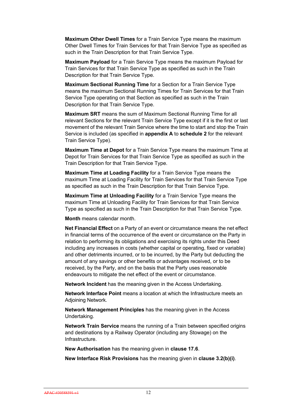**Maximum Other Dwell Times** for a Train Service Type means the maximum Other Dwell Times for Train Services for that Train Service Type as specified as such in the Train Description for that Train Service Type.

**Maximum Payload** for a Train Service Type means the maximum Payload for Train Services for that Train Service Type as specified as such in the Train Description for that Train Service Type.

**Maximum Sectional Running Time** for a Section for a Train Service Type means the maximum Sectional Running Times for Train Services for that Train Service Type operating on that Section as specified as such in the Train Description for that Train Service Type.

**Maximum SRT** means the sum of Maximum Sectional Running Time for all relevant Sections for the relevant Train Service Type except if it is the first or last movement of the relevant Train Service where the time to start and stop the Train Service is included (as specified in **appendix A** to **schedule 2** for the relevant Train Service Type).

**Maximum Time at Depot** for a Train Service Type means the maximum Time at Depot for Train Services for that Train Service Type as specified as such in the Train Description for that Train Service Type.

**Maximum Time at Loading Facility** for a Train Service Type means the maximum Time at Loading Facility for Train Services for that Train Service Type as specified as such in the Train Description for that Train Service Type.

**Maximum Time at Unloading Facility** for a Train Service Type means the maximum Time at Unloading Facility for Train Services for that Train Service Type as specified as such in the Train Description for that Train Service Type.

**Month** means calendar month.

**Net Financial Effect** on a Party of an event or circumstance means the net effect in financial terms of the occurrence of the event or circumstance on the Party in relation to performing its obligations and exercising its rights under this Deed including any increases in costs (whether capital or operating, fixed or variable) and other detriments incurred, or to be incurred, by the Party but deducting the amount of any savings or other benefits or advantages received, or to be received, by the Party, and on the basis that the Party uses reasonable endeavours to mitigate the net effect of the event or circumstance.

**Network Incident** has the meaning given in the Access Undertaking.

**Network Interface Point** means a location at which the Infrastructure meets an Adjoining Network.

**Network Management Principles** has the meaning given in the Access Undertaking.

**Network Train Service** means the running of a Train between specified origins and destinations by a Railway Operator (including any Stowage) on the Infrastructure.

**New Authorisation** has the meaning given in **clause 17.6**.

**New Interface Risk Provisions** has the meaning given in **clause 3.2(b)(i)**.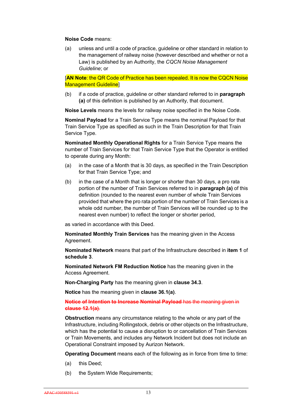#### **Noise Code** means:

(a) unless and until a code of practice, guideline or other standard in relation to the management of railway noise (however described and whether or not a Law) is published by an Authority, the *CQCN Noise Management Guideline*; or

[**AN Note**: the QR Code of Practice has been repealed. It is now the CQCN Noise Management Guideline]

(b) if a code of practice, guideline or other standard referred to in **paragraph (a)** of this definition is published by an Authority, that document.

**Noise Levels** means the levels for railway noise specified in the Noise Code.

**Nominal Payload** for a Train Service Type means the nominal Payload for that Train Service Type as specified as such in the Train Description for that Train Service Type.

**Nominated Monthly Operational Rights** for a Train Service Type means the number of Train Services for that Train Service Type that the Operator is entitled to operate during any Month:

- (a) in the case of a Month that is 30 days, as specified in the Train Description for that Train Service Type; and
- (b) in the case of a Month that is longer or shorter than 30 days, a pro rata portion of the number of Train Services referred to in **paragraph (a)** of this definition (rounded to the nearest even number of whole Train Services provided that where the pro rata portion of the number of Train Services is a whole odd number, the number of Train Services will be rounded up to the nearest even number) to reflect the longer or shorter period,

as varied in accordance with this Deed.

**Nominated Monthly Train Services** has the meaning given in the Access Agreement.

**Nominated Network** means that part of the Infrastructure described in **item 1** of **schedule 3**.

**Nominated Network FM Reduction Notice** has the meaning given in the Access Agreement.

**Non-Charging Party** has the meaning given in **clause 34.3**.

**Notice** has the meaning given in **clause 36.1(a)**.

#### **Notice of Intention to Increase Nominal Payload** has the meaning given in **clause 12.1(a)**.

**Obstruction** means any circumstance relating to the whole or any part of the Infrastructure, including Rollingstock, debris or other objects on the Infrastructure, which has the potential to cause a disruption to or cancellation of Train Services or Train Movements, and includes any Network Incident but does not include an Operational Constraint imposed by Aurizon Network.

**Operating Document** means each of the following as in force from time to time:

- (a) this Deed;
- (b) the System Wide Requirements: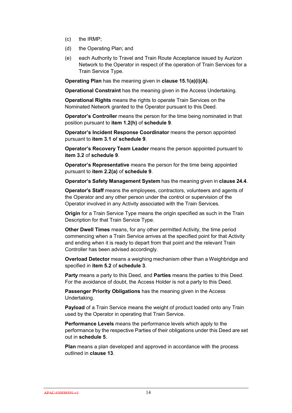- (c) the IRMP;
- (d) the Operating Plan; and
- (e) each Authority to Travel and Train Route Acceptance issued by Aurizon Network to the Operator in respect of the operation of Train Services for a Train Service Type.

**Operating Plan** has the meaning given in **clause 15.1(a)(i)(A)**.

**Operational Constraint** has the meaning given in the Access Undertaking.

**Operational Rights** means the rights to operate Train Services on the Nominated Network granted to the Operator pursuant to this Deed.

**Operator's Controller** means the person for the time being nominated in that position pursuant to **item 1.2(h)** of **schedule 9**.

**Operator's Incident Response Coordinator** means the person appointed pursuant to **item 3.1 o**f **schedule 9**.

**Operator's Recovery Team Leader** means the person appointed pursuant to **item 3.2** of **schedule 9**.

**Operator's Representative** means the person for the time being appointed pursuant to **item 2.2(a)** of **schedule 9**.

**Operator's Safety Management System** has the meaning given in **clause 24.4**.

**Operator's Staff** means the employees, contractors, volunteers and agents of the Operator and any other person under the control or supervision of the Operator involved in any Activity associated with the Train Services.

**Origin** for a Train Service Type means the origin specified as such in the Train Description for that Train Service Type.

**Other Dwell Times** means, for any other permitted Activity, the time period commencing when a Train Service arrives at the specified point for that Activity and ending when it is ready to depart from that point and the relevant Train Controller has been advised accordingly.

**Overload Detector** means a weighing mechanism other than a Weighbridge and specified in **item 5.2** of **schedule 3**.

**Party** means a party to this Deed, and **Parties** means the parties to this Deed. For the avoidance of doubt, the Access Holder is not a party to this Deed.

**Passenger Priority Obligations** has the meaning given in the Access Undertaking.

**Payload** of a Train Service means the weight of product loaded onto any Train used by the Operator in operating that Train Service.

**Performance Levels** means the performance levels which apply to the performance by the respective Parties of their obligations under this Deed are set out in **schedule 5**.

**Plan** means a plan developed and approved in accordance with the process outlined in **clause 13**.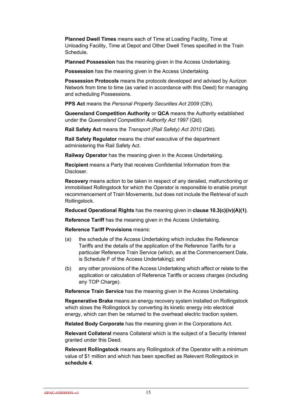**Planned Dwell Times** means each of Time at Loading Facility, Time at Unloading Facility, Time at Depot and Other Dwell Times specified in the Train Schedule.

**Planned Possession** has the meaning given in the Access Undertaking.

**Possession** has the meaning given in the Access Undertaking.

**Possession Protocols** means the protocols developed and advised by Aurizon Network from time to time (as varied in accordance with this Deed) for managing and scheduling Possessions.

**PPS Act** means the *Personal Property Securities Act 2009* (Cth).

**Queensland Competition Authority** or **QCA** means the Authority established under the *Queensland Competition Authority Act 1997* (Qld).

**Rail Safety Act** means the *Transport (Rail Safety) Act 2010* (Qld).

**Rail Safety Regulator** means the chief executive of the department administering the Rail Safety Act.

**Railway Operator** has the meaning given in the Access Undertaking.

**Recipient** means a Party that receives Confidential Information from the Discloser.

**Recovery** means action to be taken in respect of any derailed, malfunctioning or immobilised Rollingstock for which the Operator is responsible to enable prompt recommencement of Train Movements, but does not include the Retrieval of such Rollingstock.

**Reduced Operational Rights** has the meaning given in **clause 10.3(c)(iv)(A)(1)**.

**Reference Tariff** has the meaning given in the Access Undertaking.

**Reference Tariff Provisions** means:

- (a) the schedule of the Access Undertaking which includes the Reference Tariffs and the details of the application of the Reference Tariffs for a particular Reference Train Service (which, as at the Commencement Date, is Schedule F of the Access Undertaking); and
- (b) any other provisions of the Access Undertaking which affect or relate to the application or calculation of Reference Tariffs or access charges (including any TOP Charge).

**Reference Train Service** has the meaning given in the Access Undertaking.

**Regenerative Brake** means an energy recovery system installed on Rollingstock which slows the Rollingstock by converting its kinetic energy into electrical energy, which can then be returned to the overhead electric traction system.

**Related Body Corporate** has the meaning given in the Corporations Act.

**Relevant Collateral** means Collateral which is the subject of a Security Interest granted under this Deed.

**Relevant Rollingstock** means any Rollingstock of the Operator with a minimum value of \$1 million and which has been specified as Relevant Rollingstock in **schedule 4**.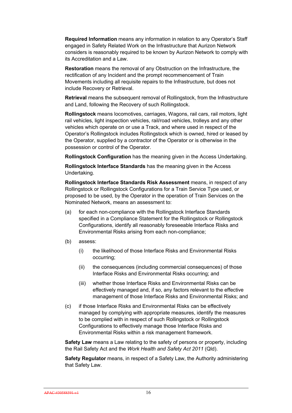**Required Information** means any information in relation to any Operator's Staff engaged in Safety Related Work on the Infrastructure that Aurizon Network considers is reasonably required to be known by Aurizon Network to comply with its Accreditation and a Law.

**Restoration** means the removal of any Obstruction on the Infrastructure, the rectification of any Incident and the prompt recommencement of Train Movements including all requisite repairs to the Infrastructure, but does not include Recovery or Retrieval.

**Retrieval** means the subsequent removal of Rollingstock, from the Infrastructure and Land, following the Recovery of such Rollingstock.

**Rollingstock** means locomotives, carriages, Wagons, rail cars, rail motors, light rail vehicles, light inspection vehicles, rail/road vehicles, trolleys and any other vehicles which operate on or use a Track, and where used in respect of the Operator's Rollingstock includes Rollingstock which is owned, hired or leased by the Operator, supplied by a contractor of the Operator or is otherwise in the possession or control of the Operator.

**Rollingstock Configuration** has the meaning given in the Access Undertaking.

**Rollingstock Interface Standards** has the meaning given in the Access Undertaking.

**Rollingstock Interface Standards Risk Assessment** means, in respect of any Rollingstock or Rollingstock Configurations for a Train Service Type used, or proposed to be used, by the Operator in the operation of Train Services on the Nominated Network, means an assessment to:

- (a) for each non-compliance with the Rollingstock Interface Standards specified in a Compliance Statement for the Rollingstock or Rollingstock Configurations, identify all reasonably foreseeable Interface Risks and Environmental Risks arising from each non-compliance;
- (b) assess:
	- (i) the likelihood of those Interface Risks and Environmental Risks occurring;
	- (ii) the consequences (including commercial consequences) of those Interface Risks and Environmental Risks occurring; and
	- (iii) whether those Interface Risks and Environmental Risks can be effectively managed and, if so, any factors relevant to the effective management of those Interface Risks and Environmental Risks; and
- (c) if those Interface Risks and Environmental Risks can be effectively managed by complying with appropriate measures, identify the measures to be complied with in respect of such Rollingstock or Rollingstock Configurations to effectively manage those Interface Risks and Environmental Risks within a risk management framework.

**Safety Law** means a Law relating to the safety of persons or property, including the Rail Safety Act and the *Work Health and Safety Act 2011* (Qld).

**Safety Regulator** means, in respect of a Safety Law, the Authority administering that Safety Law.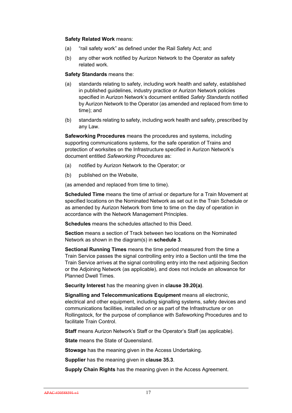#### **Safety Related Work** means:

- (a) "rail safety work" as defined under the Rail Safety Act; and
- (b) any other work notified by Aurizon Network to the Operator as safety related work.

#### **Safety Standards** means the:

- (a) standards relating to safety, including work health and safety, established in published guidelines, industry practice or Aurizon Network policies specified in Aurizon Network's document entitled *Safety Standards* notified by Aurizon Network to the Operator (as amended and replaced from time to time); and
- (b) standards relating to safety, including work health and safety, prescribed by any Law.

**Safeworking Procedures** means the procedures and systems, including supporting communications systems, for the safe operation of Trains and protection of worksites on the Infrastructure specified in Aurizon Network's document entitled *Safeworking Procedures* as:

- (a) notified by Aurizon Network to the Operator; or
- (b) published on the Website.

(as amended and replaced from time to time).

**Scheduled Time** means the time of arrival or departure for a Train Movement at specified locations on the Nominated Network as set out in the Train Schedule or as amended by Aurizon Network from time to time on the day of operation in accordance with the Network Management Principles.

**Schedules** means the schedules attached to this Deed.

**Section** means a section of Track between two locations on the Nominated Network as shown in the diagram(s) in **schedule 3**.

**Sectional Running Times** means the time period measured from the time a Train Service passes the signal controlling entry into a Section until the time the Train Service arrives at the signal controlling entry into the next adjoining Section or the Adjoining Network (as applicable), and does not include an allowance for Planned Dwell Times.

**Security Interest** has the meaning given in **clause 39.20(a)**.

**Signalling and Telecommunications Equipment** means all electronic, electrical and other equipment, including signalling systems, safety devices and communications facilities, installed on or as part of the Infrastructure or on Rollingstock, for the purpose of compliance with Safeworking Procedures and to facilitate Train Control.

**Staff** means Aurizon Network's Staff or the Operator's Staff (as applicable).

**State** means the State of Queensland.

**Stowage** has the meaning given in the Access Undertaking.

**Supplier** has the meaning given in **clause 35.3**.

**Supply Chain Rights** has the meaning given in the Access Agreement.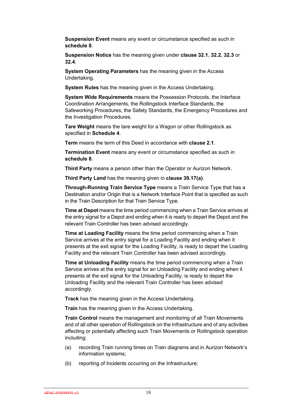**Suspension Event** means any event or circumstance specified as such in **schedule 8**.

**Suspension Notice** has the meaning given under **clause 32.1**, **32.2**, **32.3** or **32.4**.

**System Operating Parameters** has the meaning given in the Access Undertaking.

**System Rules** has the meaning given in the Access Undertaking.

**System Wide Requirements** means the Possession Protocols, the Interface Coordination Arrangements, the Rollingstock Interface Standards, the Safeworking Procedures, the Safety Standards, the Emergency Procedures and the Investigation Procedures.

**Tare Weight** means the tare weight for a Wagon or other Rollingstock as specified in **Schedule 4**.

**Term** means the term of this Deed in accordance with **clause 2.1**.

**Termination Event** means any event or circumstance specified as such in **schedule 8**.

**Third Party** means a person other than the Operator or Aurizon Network.

**Third Party Land** has the meaning given in **clause 39.17(a)**.

**Through-Running Train Service Type** means a Train Service Type that has a Destination and/or Origin that is a Network Interface Point that is specified as such in the Train Description for that Train Service Type.

**Time at Depot** means the time period commencing when a Train Service arrives at the entry signal for a Depot and ending when it is ready to depart the Depot and the relevant Train Controller has been advised accordingly.

**Time at Loading Facility** means the time period commencing when a Train Service arrives at the entry signal for a Loading Facility and ending when it presents at the exit signal for the Loading Facility, is ready to depart the Loading Facility and the relevant Train Controller has been advised accordingly.

**Time at Unloading Facility** means the time period commencing when a Train Service arrives at the entry signal for an Unloading Facility and ending when it presents at the exit signal for the Unloading Facility, is ready to depart the Unloading Facility and the relevant Train Controller has been advised accordingly.

**Track** has the meaning given in the Access Undertaking.

**Train** has the meaning given in the Access Undertaking.

**Train Control** means the management and monitoring of all Train Movements and of all other operation of Rollingstock on the Infrastructure and of any activities affecting or potentially affecting such Train Movements or Rollingstock operation including:

- (a) recording Train running times on Train diagrams and in Aurizon Network's information systems;
- (b) reporting of Incidents occurring on the Infrastructure;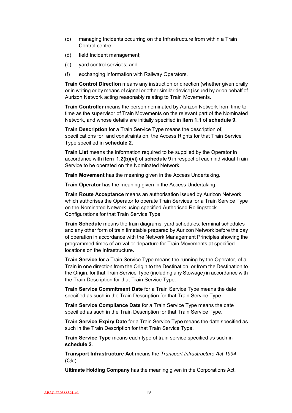- (c) managing Incidents occurring on the Infrastructure from within a Train Control centre;
- (d) field Incident management;
- (e) yard control services; and
- (f) exchanging information with Railway Operators.

**Train Control Direction** means any instruction or direction (whether given orally or in writing or by means of signal or other similar device) issued by or on behalf of Aurizon Network acting reasonably relating to Train Movements.

**Train Controller** means the person nominated by Aurizon Network from time to time as the supervisor of Train Movements on the relevant part of the Nominated Network, and whose details are initially specified in **item 1.1** of **schedule 9**.

**Train Description** for a Train Service Type means the description of, specifications for, and constraints on, the Access Rights for that Train Service Type specified in **schedule 2**.

**Train List** means the information required to be supplied by the Operator in accordance with **item 1.2(b)(vi)** of **schedule 9** in respect of each individual Train Service to be operated on the Nominated Network.

**Train Movement** has the meaning given in the Access Undertaking.

**Train Operator** has the meaning given in the Access Undertaking.

**Train Route Acceptance** means an authorisation issued by Aurizon Network which authorises the Operator to operate Train Services for a Train Service Type on the Nominated Network using specified Authorised Rollingstock Configurations for that Train Service Type.

**Train Schedule** means the train diagrams, yard schedules, terminal schedules and any other form of train timetable prepared by Aurizon Network before the day of operation in accordance with the Network Management Principles showing the programmed times of arrival or departure for Train Movements at specified locations on the Infrastructure.

**Train Service** for a Train Service Type means the running by the Operator, of a Train in one direction from the Origin to the Destination, or from the Destination to the Origin, for that Train Service Type (including any Stowage) in accordance with the Train Description for that Train Service Type.

**Train Service Commitment Date** for a Train Service Type means the date specified as such in the Train Description for that Train Service Type.

**Train Service Compliance Date** for a Train Service Type means the date specified as such in the Train Description for that Train Service Type.

**Train Service Expiry Date** for a Train Service Type means the date specified as such in the Train Description for that Train Service Type.

**Train Service Type** means each type of train service specified as such in **schedule 2**.

**Transport Infrastructure Act** means the *Transport Infrastructure Act 1994* (Qld).

**Ultimate Holding Company** has the meaning given in the Corporations Act.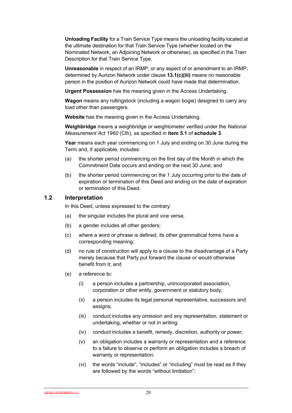**Unloading Facility** for a Train Service Type means the unloading facility located at the ultimate destination for that Train Service Type (whether located on the Nominated Network, an Adjoining Network or otherwise), as specified in the Train Description for that Train Service Type.

**Unreasonable** in respect of an IRMP, or any aspect of or amendment to an IRMP, determined by Aurizon Network under clause **13.1(c)(iii)** means no reasonable person in the position of Aurizon Network could have made that determination.

**Urgent Possession** has the meaning given in the Access Undertaking.

**Wagon** means any rollingstock (including a wagon bogie) designed to carry any load other than passengers.

**Website** has the meaning given in the Access Undertaking.

**Weighbridge** means a weighbridge or weightometer verified under the *National Measurement Act 1960* (Cth), as specified in **item 5.1** of **schedule 3**.

**Year** means each year commencing on 1 July and ending on 30 June during the Term and, if applicable, includes:

- (a) the shorter period commencing on the first day of the Month in which the Commitment Date occurs and ending on the next 30 June; and
- (b) the shorter period commencing on the 1 July occurring prior to the date of expiration or termination of this Deed and ending on the date of expiration or termination of this Deed.

#### **1.2 Interpretation**

In this Deed, unless expressed to the contrary:

- (a) the singular includes the plural and vice versa;
- (b) a gender includes all other genders;
- (c) where a word or phrase is defined, its other grammatical forms have a corresponding meaning;
- (d) no rule of construction will apply to a clause to the disadvantage of a Party merely because that Party put forward the clause or would otherwise benefit from it; and
- (e) a reference to:
	- (i) a person includes a partnership, unincorporated association, corporation or other entity, government or statutory body;
	- (ii) a person includes its legal personal representative, successors and assigns;
	- (iii) conduct includes any omission and any representation, statement or undertaking, whether or not in writing;
	- (iv) conduct includes a benefit, remedy, discretion, authority or power;
	- (v) an obligation includes a warranty or representation and a reference to a failure to observe or perform an obligation includes a breach of warranty or representation;
	- (vi) the words "include", "includes" or "including" must be read as if they are followed by the words "without limitation";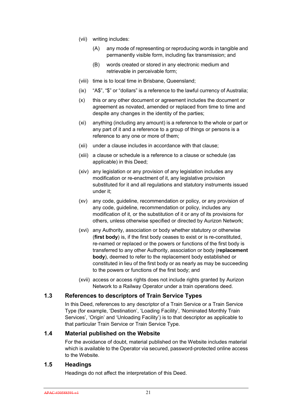- (vii) writing includes:
	- (A) any mode of representing or reproducing words in tangible and permanently visible form, including fax transmission; and
	- (B) words created or stored in any electronic medium and retrievable in perceivable form;
- (viii) time is to local time in Brisbane, Queensland;
- (ix) "A\$", "\$" or "dollars" is a reference to the lawful currency of Australia;
- (x) this or any other document or agreement includes the document or agreement as novated, amended or replaced from time to time and despite any changes in the identity of the parties;
- (xi) anything (including any amount) is a reference to the whole or part or any part of it and a reference to a group of things or persons is a reference to any one or more of them;
- (xii) under a clause includes in accordance with that clause;
- (xiii) a clause or schedule is a reference to a clause or schedule (as applicable) in this Deed;
- (xiv) any legislation or any provision of any legislation includes any modification or re-enactment of it, any legislative provision substituted for it and all regulations and statutory instruments issued under it;
- (xv) any code, guideline, recommendation or policy, or any provision of any code, guideline, recommendation or policy, includes any modification of it, or the substitution of it or any of its provisions for others, unless otherwise specified or directed by Aurizon Network;
- (xvi) any Authority, association or body whether statutory or otherwise (**first body**) is, if the first body ceases to exist or is re-constituted, re-named or replaced or the powers or functions of the first body is transferred to any other Authority, association or body (**replacement body**), deemed to refer to the replacement body established or constituted in lieu of the first body or as nearly as may be succeeding to the powers or functions of the first body; and
- (xvii) access or access rights does not include rights granted by Aurizon Network to a Railway Operator under a train operations deed.

#### **1.3 References to descriptors of Train Service Types**

In this Deed, references to any descriptor of a Train Service or a Train Service Type (for example, 'Destination', 'Loading Facility', 'Nominated Monthly Train Services', 'Origin' and 'Unloading Facility') is to that descriptor as applicable to that particular Train Service or Train Service Type.

#### **1.4 Material published on the Website**

For the avoidance of doubt, material published on the Website includes material which is available to the Operator via secured, password-protected online access to the Website.

#### **1.5 Headings**

Headings do not affect the interpretation of this Deed.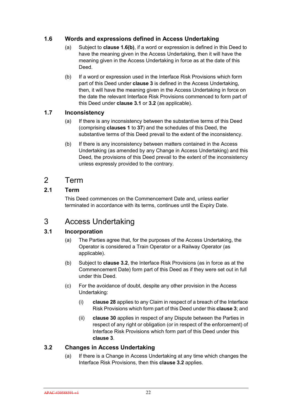## **1.6 Words and expressions defined in Access Undertaking**

- (a) Subject to **clause 1.6(b)**, if a word or expression is defined in this Deed to have the meaning given in the Access Undertaking, then it will have the meaning given in the Access Undertaking in force as at the date of this Deed.
- (b) If a word or expression used in the Interface Risk Provisions which form part of this Deed under **clause 3** is defined in the Access Undertaking, then, it will have the meaning given in the Access Undertaking in force on the date the relevant Interface Risk Provisions commenced to form part of this Deed under **clause 3.1** or **3.2** (as applicable).

## **1.7 Inconsistency**

- (a) If there is any inconsistency between the substantive terms of this Deed (comprising **clauses 1** to **37**) and the schedules of this Deed, the substantive terms of this Deed prevail to the extent of the inconsistency.
- (b) If there is any inconsistency between matters contained in the Access Undertaking (as amended by any Change in Access Undertaking) and this Deed, the provisions of this Deed prevail to the extent of the inconsistency unless expressly provided to the contrary.

# 2 Term

## **2.1 Term**

This Deed commences on the Commencement Date and, unless earlier terminated in accordance with its terms, continues until the Expiry Date.

# 3 Access Undertaking

## **3.1 Incorporation**

- (a) The Parties agree that, for the purposes of the Access Undertaking, the Operator is considered a Train Operator or a Railway Operator (as applicable).
- (b) Subject to **clause 3.2**, the Interface Risk Provisions (as in force as at the Commencement Date) form part of this Deed as if they were set out in full under this Deed.
- (c) For the avoidance of doubt, despite any other provision in the Access Undertaking:
	- (i) **clause 28** applies to any Claim in respect of a breach of the Interface Risk Provisions which form part of this Deed under this **clause 3**; and
	- (ii) **clause 30** applies in respect of any Dispute between the Parties in respect of any right or obligation (or in respect of the enforcement) of Interface Risk Provisions which form part of this Deed under this **clause 3**.

## **3.2 Changes in Access Undertaking**

(a) If there is a Change in Access Undertaking at any time which changes the Interface Risk Provisions, then this **clause 3.2** applies.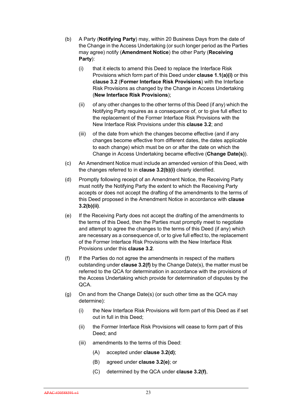- (b) A Party (**Notifying Party**) may, within 20 Business Days from the date of the Change in the Access Undertaking (or such longer period as the Parties may agree) notify (**Amendment Notice**) the other Party (**Receiving Party**):
	- (i) that it elects to amend this Deed to replace the Interface Risk Provisions which form part of this Deed under **clause 1.1(a)(i)** or this **clause 3.2** (**Former Interface Risk Provisions**) with the Interface Risk Provisions as changed by the Change in Access Undertaking (**New Interface Risk Provisions**);
	- (ii) of any other changes to the other terms of this Deed (if any) which the Notifying Party requires as a consequence of, or to give full effect to the replacement of the Former Interface Risk Provisions with the New Interface Risk Provisions under this **clause 3.2**; and
	- (iii) of the date from which the changes become effective (and if any changes become effective from different dates, the dates applicable to each change) which must be on or after the date on which the Change in Access Undertaking became effective (**Change Date(s)**).
- (c) An Amendment Notice must include an amended version of this Deed, with the changes referred to in **clause 3.2(b)(i)** clearly identified.
- (d) Promptly following receipt of an Amendment Notice, the Receiving Party must notify the Notifying Party the extent to which the Receiving Party accepts or does not accept the drafting of the amendments to the terms of this Deed proposed in the Amendment Notice in accordance with **clause 3.2(b)(ii)**.
- (e) If the Receiving Party does not accept the drafting of the amendments to the terms of this Deed, then the Parties must promptly meet to negotiate and attempt to agree the changes to the terms of this Deed (if any) which are necessary as a consequence of, or to give full effect to, the replacement of the Former Interface Risk Provisions with the New Interface Risk Provisions under this **clause 3.2**.
- (f) If the Parties do not agree the amendments in respect of the matters outstanding under **clause 3.2(f)** by the Change Date(s), the matter must be referred to the QCA for determination in accordance with the provisions of the Access Undertaking which provide for determination of disputes by the QCA.
- (g) On and from the Change Date(s) (or such other time as the QCA may determine):
	- (i) the New Interface Risk Provisions will form part of this Deed as if set out in full in this Deed;
	- (ii) the Former Interface Risk Provisions will cease to form part of this Deed; and
	- (iii) amendments to the terms of this Deed:
		- (A) accepted under **clause 3.2(d)**;
		- (B) agreed under **clause 3.2(e)**; or
		- (C) determined by the QCA under **clause 3.2(f)**,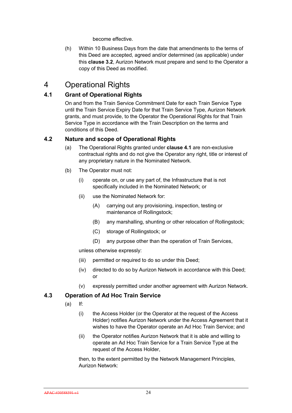become effective.

(h) Within 10 Business Days from the date that amendments to the terms of this Deed are accepted, agreed and/or determined (as applicable) under this **clause 3.2**, Aurizon Network must prepare and send to the Operator a copy of this Deed as modified.

## 4 Operational Rights

## **4.1 Grant of Operational Rights**

On and from the Train Service Commitment Date for each Train Service Type until the Train Service Expiry Date for that Train Service Type, Aurizon Network grants, and must provide, to the Operator the Operational Rights for that Train Service Type in accordance with the Train Description on the terms and conditions of this Deed.

#### **4.2 Nature and scope of Operational Rights**

- (a) The Operational Rights granted under **clause 4.1** are non-exclusive contractual rights and do not give the Operator any right, title or interest of any proprietary nature in the Nominated Network.
- (b) The Operator must not:
	- (i) operate on, or use any part of, the Infrastructure that is not specifically included in the Nominated Network; or
	- (ii) use the Nominated Network for:
		- (A) carrying out any provisioning, inspection, testing or maintenance of Rollingstock;
		- (B) any marshalling, shunting or other relocation of Rollingstock;
		- (C) storage of Rollingstock; or
		- (D) any purpose other than the operation of Train Services,

unless otherwise expressly:

- (iii) permitted or required to do so under this Deed;
- (iv) directed to do so by Aurizon Network in accordance with this Deed; or
- (v) expressly permitted under another agreement with Aurizon Network.

## **4.3 Operation of Ad Hoc Train Service**

- $(a)$  If:
	- (i) the Access Holder (or the Operator at the request of the Access Holder) notifies Aurizon Network under the Access Agreement that it wishes to have the Operator operate an Ad Hoc Train Service; and
	- (ii) the Operator notifies Aurizon Network that it is able and willing to operate an Ad Hoc Train Service for a Train Service Type at the request of the Access Holder,

then, to the extent permitted by the Network Management Principles, Aurizon Network: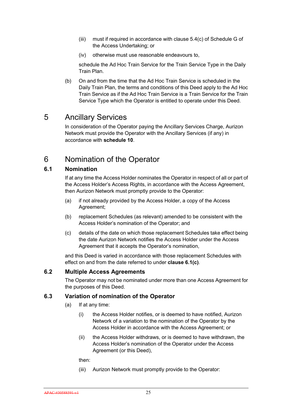- (iii) must if required in accordance with clause 5.4(c) of Schedule G of the Access Undertaking; or
- (iv) otherwise must use reasonable endeavours to,

schedule the Ad Hoc Train Service for the Train Service Type in the Daily Train Plan.

(b) On and from the time that the Ad Hoc Train Service is scheduled in the Daily Train Plan, the terms and conditions of this Deed apply to the Ad Hoc Train Service as if the Ad Hoc Train Service is a Train Service for the Train Service Type which the Operator is entitled to operate under this Deed.

## 5 Ancillary Services

In consideration of the Operator paying the Ancillary Services Charge, Aurizon Network must provide the Operator with the Ancillary Services (if any) in accordance with **schedule 10**.

# 6 Nomination of the Operator

#### **6.1 Nomination**

If at any time the Access Holder nominates the Operator in respect of all or part of the Access Holder's Access Rights, in accordance with the Access Agreement, then Aurizon Network must promptly provide to the Operator:

- (a) if not already provided by the Access Holder, a copy of the Access Agreement;
- (b) replacement Schedules (as relevant) amended to be consistent with the Access Holder's nomination of the Operator; and
- (c) details of the date on which those replacement Schedules take effect being the date Aurizon Network notifies the Access Holder under the Access Agreement that it accepts the Operator's nomination,

and this Deed is varied in accordance with those replacement Schedules with effect on and from the date referred to under **clause 6.1(c)**.

#### **6.2 Multiple Access Agreements**

The Operator may not be nominated under more than one Access Agreement for the purposes of this Deed.

#### **6.3 Variation of nomination of the Operator**

- (a) If at any time:
	- (i) the Access Holder notifies, or is deemed to have notified, Aurizon Network of a variation to the nomination of the Operator by the Access Holder in accordance with the Access Agreement; or
	- (ii) the Access Holder withdraws, or is deemed to have withdrawn, the Access Holder's nomination of the Operator under the Access Agreement (or this Deed),

then:

(iii) Aurizon Network must promptly provide to the Operator: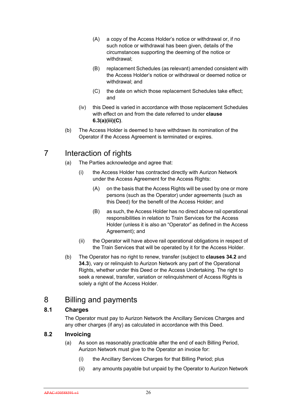- (A) a copy of the Access Holder's notice or withdrawal or, if no such notice or withdrawal has been given, details of the circumstances supporting the deeming of the notice or withdrawal;
- (B) replacement Schedules (as relevant) amended consistent with the Access Holder's notice or withdrawal or deemed notice or withdrawal; and
- (C) the date on which those replacement Schedules take effect; and
- (iv) this Deed is varied in accordance with those replacement Schedules with effect on and from the date referred to under **clause 6.3(a)(iii)(C)**.
- (b) The Access Holder is deemed to have withdrawn its nomination of the Operator if the Access Agreement is terminated or expires.

# 7 Interaction of rights

- (a) The Parties acknowledge and agree that:
	- (i) the Access Holder has contracted directly with Aurizon Network under the Access Agreement for the Access Rights:
		- (A) on the basis that the Access Rights will be used by one or more persons (such as the Operator) under agreements (such as this Deed) for the benefit of the Access Holder; and
		- (B) as such, the Access Holder has no direct above rail operational responsibilities in relation to Train Services for the Access Holder (unless it is also an "Operator" as defined in the Access Agreement); and
	- (ii) the Operator will have above rail operational obligations in respect of the Train Services that will be operated by it for the Access Holder.
- (b) The Operator has no right to renew, transfer (subject to **clauses 34.2** and **34.3**), vary or relinquish to Aurizon Network any part of the Operational Rights, whether under this Deed or the Access Undertaking. The right to seek a renewal, transfer, variation or relinquishment of Access Rights is solely a right of the Access Holder.

## 8 Billing and payments

## **8.1 Charges**

The Operator must pay to Aurizon Network the Ancillary Services Charges and any other charges (if any) as calculated in accordance with this Deed.

## **8.2 Invoicing**

- (a) As soon as reasonably practicable after the end of each Billing Period, Aurizon Network must give to the Operator an invoice for:
	- (i) the Ancillary Services Charges for that Billing Period; plus
	- (ii) any amounts payable but unpaid by the Operator to Aurizon Network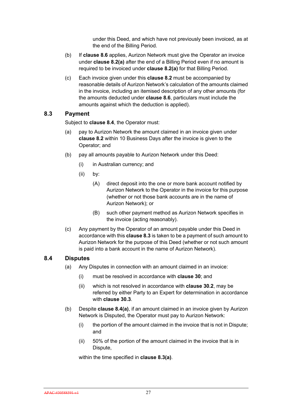under this Deed, and which have not previously been invoiced, as at the end of the Billing Period.

- (b) If **clause 8.6** applies, Aurizon Network must give the Operator an invoice under **clause 8.2(a)** after the end of a Billing Period even if no amount is required to be invoiced under **clause 8.2(a)** for that Billing Period.
- (c) Each invoice given under this **clause 8.2** must be accompanied by reasonable details of Aurizon Network's calculation of the amounts claimed in the invoice, including an itemised description of any other amounts (for the amounts deducted under **clause 8.6**, particulars must include the amounts against which the deduction is applied).

#### **8.3 Payment**

Subject to **clause 8.4**, the Operator must:

- (a) pay to Aurizon Network the amount claimed in an invoice given under **clause 8.2** within 10 Business Days after the invoice is given to the Operator; and
- (b) pay all amounts payable to Aurizon Network under this Deed:
	- (i) in Australian currency; and
	- (ii) by:
		- (A) direct deposit into the one or more bank account notified by Aurizon Network to the Operator in the invoice for this purpose (whether or not those bank accounts are in the name of Aurizon Network); or
		- (B) such other payment method as Aurizon Network specifies in the invoice (acting reasonably).
- (c) Any payment by the Operator of an amount payable under this Deed in accordance with this **clause 8.3** is taken to be a payment of such amount to Aurizon Network for the purpose of this Deed (whether or not such amount is paid into a bank account in the name of Aurizon Network).

#### **8.4 Disputes**

- (a) Any Disputes in connection with an amount claimed in an invoice:
	- (i) must be resolved in accordance with **clause 30**; and
	- (ii) which is not resolved in accordance with **clause 30.2**, may be referred by either Party to an Expert for determination in accordance with **clause 30.3**.
- (b) Despite **clause 8.4(a)**, if an amount claimed in an invoice given by Aurizon Network is Disputed, the Operator must pay to Aurizon Network:
	- (i) the portion of the amount claimed in the invoice that is not in Dispute; and
	- (ii) 50% of the portion of the amount claimed in the invoice that is in Dispute,

within the time specified in **clause 8.3(a)**.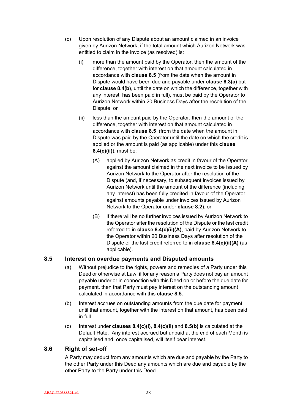- (c) Upon resolution of any Dispute about an amount claimed in an invoice given by Aurizon Network, if the total amount which Aurizon Network was entitled to claim in the invoice (as resolved) is:
	- (i) more than the amount paid by the Operator, then the amount of the difference, together with interest on that amount calculated in accordance with **clause 8.5** (from the date when the amount in Dispute would have been due and payable under **clause 8.3(a)** but for **clause 8.4(b)**, until the date on which the difference, together with any interest, has been paid in full), must be paid by the Operator to Aurizon Network within 20 Business Days after the resolution of the Dispute; or
	- (ii) less than the amount paid by the Operator, then the amount of the difference, together with interest on that amount calculated in accordance with **clause 8.5** (from the date when the amount in Dispute was paid by the Operator until the date on which the credit is applied or the amount is paid (as applicable) under this **clause 8.4(c)(ii)**), must be:
		- (A) applied by Aurizon Network as credit in favour of the Operator against the amount claimed in the next invoice to be issued by Aurizon Network to the Operator after the resolution of the Dispute (and, if necessary, to subsequent invoices issued by Aurizon Network until the amount of the difference (including any interest) has been fully credited in favour of the Operator against amounts payable under invoices issued by Aurizon Network to the Operator under **clause 8.2**); or
		- (B) if there will be no further invoices issued by Aurizon Network to the Operator after the resolution of the Dispute or the last credit referred to in **clause 8.4(c)(ii)(A)**, paid by Aurizon Network to the Operator within 20 Business Days after resolution of the Dispute or the last credit referred to in **clause 8.4(c)(ii)(A)** (as applicable).

#### **8.5 Interest on overdue payments and Disputed amounts**

- (a) Without prejudice to the rights, powers and remedies of a Party under this Deed or otherwise at Law, if for any reason a Party does not pay an amount payable under or in connection with this Deed on or before the due date for payment, then that Party must pay interest on the outstanding amount calculated in accordance with this **clause 8.5**.
- (b) Interest accrues on outstanding amounts from the due date for payment until that amount, together with the interest on that amount, has been paid in full.
- (c) Interest under **clauses 8.4(c)(i)**, **8.4(c)(ii)** and **8.5(b)** is calculated at the Default Rate. Any interest accrued but unpaid at the end of each Month is capitalised and, once capitalised, will itself bear interest.

#### **8.6 Right of set-off**

A Party may deduct from any amounts which are due and payable by the Party to the other Party under this Deed any amounts which are due and payable by the other Party to the Party under this Deed.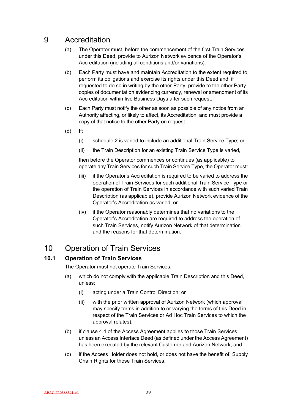## 9 Accreditation

- (a) The Operator must, before the commencement of the first Train Services under this Deed, provide to Aurizon Network evidence of the Operator's Accreditation (including all conditions and/or variations).
- (b) Each Party must have and maintain Accreditation to the extent required to perform its obligations and exercise its rights under this Deed and, if requested to do so in writing by the other Party, provide to the other Party copies of documentation evidencing currency, renewal or amendment of its Accreditation within five Business Days after such request.
- (c) Each Party must notify the other as soon as possible of any notice from an Authority affecting, or likely to affect, its Accreditation, and must provide a copy of that notice to the other Party on request.
- (d) If:
	- (i) schedule 2 is varied to include an additional Train Service Type; or
	- (ii) the Train Description for an existing Train Service Type is varied,

then before the Operator commences or continues (as applicable) to operate any Train Services for such Train Service Type, the Operator must:

- (iii) if the Operator's Accreditation is required to be varied to address the operation of Train Services for such additional Train Service Type or the operation of Train Services in accordance with such varied Train Description (as applicable), provide Aurizon Network evidence of the Operator's Accreditation as varied; or
- (iv) if the Operator reasonably determines that no variations to the Operator's Accreditation are required to address the operation of such Train Services, notify Aurizon Network of that determination and the reasons for that determination.

## 10 Operation of Train Services

## **10.1 Operation of Train Services**

The Operator must not operate Train Services:

- (a) which do not comply with the applicable Train Description and this Deed, unless:
	- (i) acting under a Train Control Direction; or
	- (ii) with the prior written approval of Aurizon Network (which approval may specify terms in addition to or varying the terms of this Deed in respect of the Train Services or Ad Hoc Train Services to which the approval relates);
- (b) if clause 4.4 of the Access Agreement applies to those Train Services, unless an Access Interface Deed (as defined under the Access Agreement) has been executed by the relevant Customer and Aurizon Network; and
- (c) if the Access Holder does not hold, or does not have the benefit of, Supply Chain Rights for those Train Services.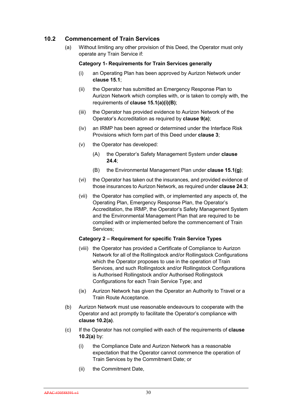# **10.2 Commencement of Train Services**

(a) Without limiting any other provision of this Deed, the Operator must only operate any Train Service if:

#### **Category 1- Requirements for Train Services generally**

- (i) an Operating Plan has been approved by Aurizon Network under **clause 15.1**;
- (ii) the Operator has submitted an Emergency Response Plan to Aurizon Network which complies with, or is taken to comply with, the requirements of **clause 15.1(a)(i)(B)**;
- (iii) the Operator has provided evidence to Aurizon Network of the Operator's Accreditation as required by **clause 9(a)**;
- (iv) an IRMP has been agreed or determined under the Interface Risk Provisions which form part of this Deed under **clause 3**;
- (v) the Operator has developed:
	- (A) the Operator's Safety Management System under **clause 24.4**;
	- (B) the Environmental Management Plan under **clause 15.1(g)**;
- (vi) the Operator has taken out the insurances, and provided evidence of those insurances to Aurizon Network, as required under **clause 24.3**;
- (vii) the Operator has complied with, or implemented any aspects of, the Operating Plan, Emergency Response Plan, the Operator's Accreditation, the IRMP, the Operator's Safety Management System and the Environmental Management Plan that are required to be complied with or implemented before the commencement of Train Services;

## **Category 2 – Requirement for specific Train Service Types**

- (viii) the Operator has provided a Certificate of Compliance to Aurizon Network for all of the Rollingstock and/or Rollingstock Configurations which the Operator proposes to use in the operation of Train Services, and such Rollingstock and/or Rollingstock Configurations is Authorised Rollingstock and/or Authorised Rollingstock Configurations for each Train Service Type; and
- (ix) Aurizon Network has given the Operator an Authority to Travel or a Train Route Acceptance.
- (b) Aurizon Network must use reasonable endeavours to cooperate with the Operator and act promptly to facilitate the Operator's compliance with **clause 10.2(a)**.
- (c) If the Operator has not complied with each of the requirements of **clause 10.2(a)** by:
	- (i) the Compliance Date and Aurizon Network has a reasonable expectation that the Operator cannot commence the operation of Train Services by the Commitment Date; or
	- (ii) the Commitment Date,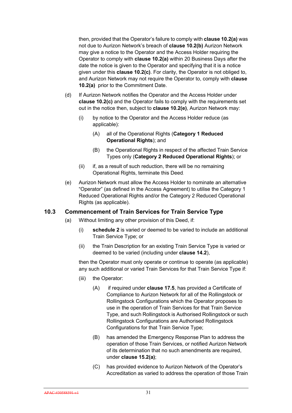then, provided that the Operator's failure to comply with **clause 10.2(a)** was not due to Aurizon Network's breach of **clause 10.2(b)** Aurizon Network may give a notice to the Operator and the Access Holder requiring the Operator to comply with **clause 10.2(a)** within 20 Business Days after the date the notice is given to the Operator and specifying that it is a notice given under this **clause 10.2(c)**. For clarity, the Operator is not obliged to, and Aurizon Network may not require the Operator to, comply with **clause 10.2(a)** prior to the Commitment Date.

- (d) If Aurizon Network notifies the Operator and the Access Holder under **clause 10.2(c)** and the Operator fails to comply with the requirements set out in the notice then, subject to **clause 10.2(e)**, Aurizon Network may:
	- (i) by notice to the Operator and the Access Holder reduce (as applicable):
		- (A) all of the Operational Rights (**Category 1 Reduced Operational Rights**); and
		- (B) the Operational Rights in respect of the affected Train Service Types only (**Category 2 Reduced Operational Rights**); or
	- (ii) if, as a result of such reduction, there will be no remaining Operational Rights, terminate this Deed.
- (e) Aurizon Network must allow the Access Holder to nominate an alternative "Operator" (as defined in the Access Agreement) to utilise the Category 1 Reduced Operational Rights and/or the Category 2 Reduced Operational Rights (as applicable).

## **10.3 Commencement of Train Services for Train Service Type**

- (a) Without limiting any other provision of this Deed, if:
	- (i) **schedule 2** is varied or deemed to be varied to include an additional Train Service Type; or
	- (ii) the Train Description for an existing Train Service Type is varied or deemed to be varied (including under **clause 14.2**),

then the Operator must only operate or continue to operate (as applicable) any such additional or varied Train Services for that Train Service Type if:

- (iii) the Operator:
	- (A) if required under **clause 17.5**, has provided a Certificate of Compliance to Aurizon Network for all of the Rollingstock or Rollingstock Configurations which the Operator proposes to use in the operation of Train Services for that Train Service Type, and such Rollingstock is Authorised Rollingstock or such Rollingstock Configurations are Authorised Rollingstock Configurations for that Train Service Type;
	- (B) has amended the Emergency Response Plan to address the operation of those Train Services, or notified Aurizon Network of its determination that no such amendments are required, under **clause 15.2(a)**;
	- (C) has provided evidence to Aurizon Network of the Operator's Accreditation as varied to address the operation of those Train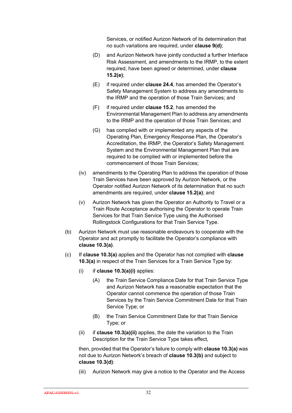Services, or notified Aurizon Network of its determination that no such variations are required, under **clause 9(d)**;

- (D) and Aurizon Network have jointly conducted a further Interface Risk Assessment, and amendments to the IRMP, to the extent required, have been agreed or determined, under **clause 15.2(e)**;
- (E) if required under **clause 24.4**, has amended the Operator's Safety Management System to address any amendments to the IRMP and the operation of those Train Services; and
- (F) if required under **clause 15.2**, has amended the Environmental Management Plan to address any amendments to the IRMP and the operation of those Train Services; and
- (G) has complied with or implemented any aspects of the Operating Plan, Emergency Response Plan, the Operator's Accreditation, the IRMP, the Operator's Safety Management System and the Environmental Management Plan that are required to be complied with or implemented before the commencement of those Train Services;
- (iv) amendments to the Operating Plan to address the operation of those Train Services have been approved by Aurizon Network, or the Operator notified Aurizon Network of its determination that no such amendments are required, under **clause 15.2(a)**; and
- (v) Aurizon Network has given the Operator an Authority to Travel or a Train Route Acceptance authorising the Operator to operate Train Services for that Train Service Type using the Authorised Rollingstock Configurations for that Train Service Type.
- (b) Aurizon Network must use reasonable endeavours to cooperate with the Operator and act promptly to facilitate the Operator's compliance with **clause 10.3(a)**.
- (c) If **clause 10.3(a)** applies and the Operator has not complied with **clause 10.3(a)** in respect of the Train Services for a Train Service Type by:
	- (i) if **clause 10.3(a)(i)** applies:
		- (A) the Train Service Compliance Date for that Train Service Type and Aurizon Network has a reasonable expectation that the Operator cannot commence the operation of those Train Services by the Train Service Commitment Date for that Train Service Type; or
		- (B) the Train Service Commitment Date for that Train Service Type; or
	- (ii) if **clause 10.3(a)(ii)** applies, the date the variation to the Train Description for the Train Service Type takes effect,

then, provided that the Operator's failure to comply with **clause 10.3(a)** was not due to Aurizon Network's breach of **clause 10.3(b)** and subject to **clause 10.3(d)**:

(iii) Aurizon Network may give a notice to the Operator and the Access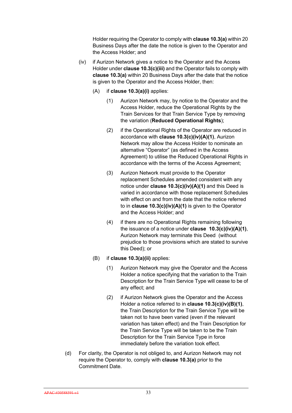Holder requiring the Operator to comply with **clause 10.3(a)** within 20 Business Days after the date the notice is given to the Operator and the Access Holder; and

- (iv) if Aurizon Network gives a notice to the Operator and the Access Holder under **clause 10.3(c)(iii)** and the Operator fails to comply with **clause 10.3(a)** within 20 Business Days after the date that the notice is given to the Operator and the Access Holder, then:
	- (A) if **clause 10.3(a)(i)** applies:
		- (1) Aurizon Network may, by notice to the Operator and the Access Holder, reduce the Operational Rights by the Train Services for that Train Service Type by removing the variation (**Reduced Operational Rights**);
		- (2) if the Operational Rights of the Operator are reduced in accordance with **clause 10.3(c)(iv)(A)(1)**, Aurizon Network may allow the Access Holder to nominate an alternative "Operator" (as defined in the Access Agreement) to utilise the Reduced Operational Rights in accordance with the terms of the Access Agreement;
		- (3) Aurizon Network must provide to the Operator replacement Schedules amended consistent with any notice under **clause 10.3(c)(iv)(A)(1)** and this Deed is varied in accordance with those replacement Schedules with effect on and from the date that the notice referred to in **clause 10.3(c)(iv)(A)(1)** is given to the Operator and the Access Holder; and
		- (4) if there are no Operational Rights remaining following the issuance of a notice under **clause 10.3(c)(iv)(A)(1)**, Aurizon Network may terminate this Deed (without prejudice to those provisions which are stated to survive this Deed); or
	- (B) if **clause 10.3(a)(ii)** applies:
		- (1) Aurizon Network may give the Operator and the Access Holder a notice specifying that the variation to the Train Description for the Train Service Type will cease to be of any effect; and
		- (2) if Aurizon Network gives the Operator and the Access Holder a notice referred to in **clause 10.3(c)(iv)(B)(1)**, the Train Description for the Train Service Type will be taken not to have been varied (even if the relevant variation has taken effect) and the Train Description for the Train Service Type will be taken to be the Train Description for the Train Service Type in force immediately before the variation took effect.
- (d) For clarity, the Operator is not obliged to, and Aurizon Network may not require the Operator to, comply with **clause 10.3(a)** prior to the Commitment Date.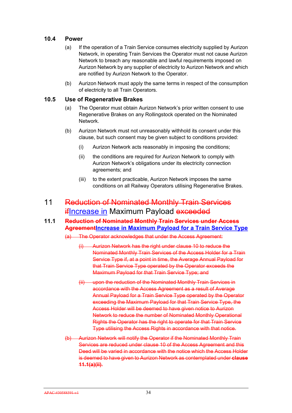# **10.4 Power**

- (a) If the operation of a Train Service consumes electricity supplied by Aurizon Network, in operating Train Services the Operator must not cause Aurizon Network to breach any reasonable and lawful requirements imposed on Aurizon Network by any supplier of electricity to Aurizon Network and which are notified by Aurizon Network to the Operator.
- (b) Aurizon Network must apply the same terms in respect of the consumption of electricity to all Train Operators.

## **10.5 Use of Regenerative Brakes**

- (a) The Operator must obtain Aurizon Network's prior written consent to use Regenerative Brakes on any Rollingstock operated on the Nominated Network.
- (b) Aurizon Network must not unreasonably withhold its consent under this clause, but such consent may be given subject to conditions provided:
	- (i) Aurizon Network acts reasonably in imposing the conditions;
	- (ii) the conditions are required for Aurizon Network to comply with Aurizon Network's obligations under its electricity connection agreements; and
	- (iii) to the extent practicable, Aurizon Network imposes the same conditions on all Railway Operators utilising Regenerative Brakes.

# 11 Reduction of Nominated Monthly Train Services **ifIncrease in Maximum Payload exceeded**

# **11.1 Reduction of Nominated Monthly Train Services under Access Agreement Increase in Maximum Payload for a Train Service Type**

- (a) The Operator acknowledges that under the Access Agreement:
	- (i) Aurizon Network has the right under clause 10 to reduce the Nominated Monthly Train Services of the Access Holder for a Train Service Type if, at a point in time, the Average Annual Payload for that Train Service Type operated by the Operator exceeds the Maximum Payload for that Train Service Type; and
	- (ii) upon the reduction of the Nominated Monthly Train Services in accordance with the Access Agreement as a result of Average Annual Payload for a Train Service Type operated by the Operator exceeding the Maximum Payload for that Train Service Type, the Access Holder will be deemed to have given notice to Aurizon Network to reduce the number of Nominated Monthly Operational Rights the Operator has the right to operate for that Train Service Type utilising the Access Rights in accordance with that notice.
- (b) Aurizon Network will notify the Operator if the Nominated Monthly Train Services are reduced under clause 10 of the Access Agreement and this Deed will be varied in accordance with the notice which the Access Holder is deemed to have given to Aurizon Network as contemplated under **clause 11.1(a)(ii)**.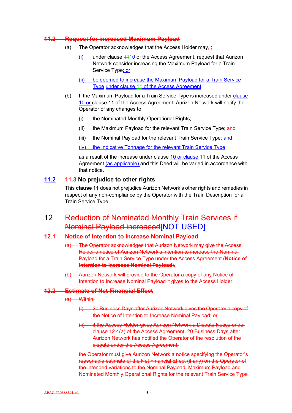#### **11.2 Request for increased Maximum Payload**

- (a) The Operator acknowledges that the Access Holder may, :
	- (i) under clause 1110 of the Access Agreement, request that Aurizon Network consider increasing the Maximum Payload for a Train Service Type; or
	- (ii) be deemed to increase the Maximum Payload for a Train Service Type under clause 11 of the Access Agreement.
- (b) If the Maximum Payload for a Train Service Type is increased under clause 10 or clause 11 of the Access Agreement, Aurizon Network will notify the Operator of any changes to:
	- (i) the Nominated Monthly Operational Rights;
	- (ii) the Maximum Payload for the relevant Train Service Type; and
	- (iii) the Nominal Payload for the relevant Train Service Type; and

(iv) the Indicative Tonnage for the relevant Train Service Type,

as a result of the increase under clause 10 or clause 11 of the Access Agreement (as applicable) and this Deed will be varied in accordance with that notice.

## **11.2 11.3 No prejudice to other rights**

This **clause 11** does not prejudice Aurizon Network's other rights and remedies in respect of any non-compliance by the Operator with the Train Description for a Train Service Type.

12 Reduction of Nominated Monthly Train Services if Nominal Payload increased[NOT USED]

#### **12.1 Notice of Intention to Increase Nominal Payload**

- (a) The Operator acknowledges that Aurizon Network may give the Access Holder a notice of Aurizon Network's intention to increase the Nominal Payload for a Train Service Type under the Access Agreement (**Notice of Intention to Increase Nominal Payload**).
- (b) Aurizon Network will provide to the Operator a copy of any Notice of Intention to Increase Nominal Payload it gives to the Access Holder.

## **12.2 Estimate of Net Financial Effect**

- (a) Within:
	- (i) 20 Business Days after Aurizon Network gives the Operator a copy of the Notice of Intention to Increase Nominal Payload; or
	- (ii) if the Access Holder gives Aurizon Network a Dispute Notice under clause 12.4(a) of the Access Agreement, 20 Business Days after Aurizon Network has notified the Operator of the resolution of the dispute under the Access Agreement,

the Operator must give Aurizon Network a notice specifying the Operator's reasonable estimate of the Net Financial Effect (if any) on the Operator of the intended variations to the Nominal Payload, Maximum Payload and Nominated Monthly Operational Rights for the relevant Train Service Type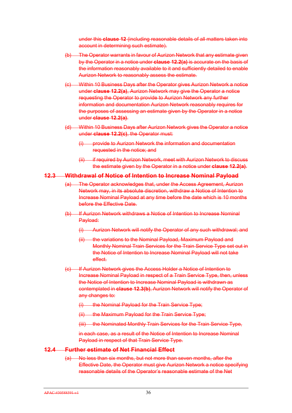under this **clause 12** (including reasonable details of all matters taken into account in determining such estimate).

- (b) The Operator warrants in favour of Aurizon Network that any estimate given by the Operator in a notice under **clause 12.2(a)** is accurate on the basis of the information reasonably available to it and sufficiently detailed to enable Aurizon Network to reasonably assess the estimate.
- (c) Within 10 Business Days after the Operator gives Aurizon Network a notice under **clause 12.2(a)**, Aurizon Network may give the Operator a notice requesting the Operator to provide to Aurizon Network any further information and documentation Aurizon Network reasonably requires for the purposes of assessing an estimate given by the Operator in a notice under **clause 12.2(a)**.
- (d) Within 10 Business Days after Aurizon Network gives the Operator a notice under **clause 12.2(c)**, the Operator must:
	- (i) provide to Aurizon Network the information and documentation requested in the notice; and
	- (ii) if required by Aurizon Network, meet with Aurizon Network to discuss the estimate given by the Operator in a notice under **clause 12.2(a)**.

#### **12.3 Withdrawal of Notice of Intention to Increase Nominal Payload**

- (a) The Operator acknowledges that, under the Access Agreement, Aurizon Network may, in its absolute discretion, withdraw a Notice of Intention to Increase Nominal Payload at any time before the date which is 10 months before the Effective Date.
- (b) If Aurizon Network withdraws a Notice of Intention to Increase Nominal Payload:
	- (i) Aurizon Network will notify the Operator of any such withdrawal; and
	- (ii) the variations to the Nominal Payload, Maximum Payload and Monthly Nominal Train Services for the Train Service Type set out in the Notice of Intention to Increase Nominal Payload will not take effect.
- (c) If Aurizon Network gives the Access Holder a Notice of Intention to Increase Nominal Payload in respect of a Train Service Type, then, unless the Notice of Intention to Increase Nominal Payload is withdrawn as contemplated in **clause 12.3(b)**, Aurizon Network will notify the Operator of any changes to:
	- (i) the Nominal Payload for the Train Service Type;
	- (ii) the Maximum Payload for the Train Service Type;
	- (iii) the Nominated Monthly Train Services for the Train Service Type,

in each case, as a result of the Notice of Intention to Increase Nominal Payload in respect of that Train Service Type.

#### **12.4 Further estimate of Net Financial Effect**

(a) No less than six months, but not more than seven months, after the Effective Date, the Operator must give Aurizon Network a notice specifying reasonable details of the Operator's reasonable estimate of the Net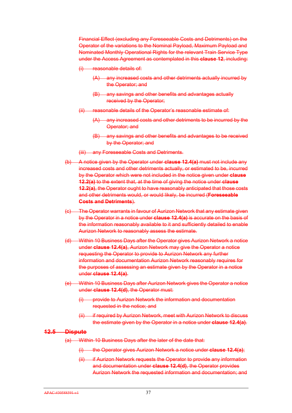Financial Effect (excluding any Foreseeable Costs and Detriments) on the Operator of the variations to the Nominal Payload, Maximum Payload and Nominated Monthly Operational Rights for the relevant Train Service Type under the Access Agreement as contemplated in this **clause 12**, including:

(i) reasonable details of:

- (A) any increased costs and other detriments actually incurred by the Operator; and
- (B) any savings and other benefits and advantages actually received by the Operator;
- (ii) reasonable details of the Operator's reasonable estimate of:
	- (A) any increased costs and other detriments to be incurred by the Operator; and
	- (B) any savings and other benefits and advantages to be received by the Operator; and
- (iii) any Foreseeable Costs and Detriments.
- (b) A notice given by the Operator under **clause 12.4(a)** must not include any increased costs and other detriments actually, or estimated to be, incurred by the Operator which were not included in the notice given under **clause 12.2(a)** to the extent that, at the time of giving the notice under **clause 12.2(a)**, the Operator ought to have reasonably anticipated that those costs and other detriments would, or would likely, be incurred (**Foreseeable Costs and Detriments**).
- (c) The Operator warrants in favour of Aurizon Network that any estimate given by the Operator in a notice under **clause 12.4(a)** is accurate on the basis of the information reasonably available to it and sufficiently detailed to enable Aurizon Network to reasonably assess the estimate.
- (d) Within 10 Business Days after the Operator gives Aurizon Network a notice under **clause 12.4(a)**, Aurizon Network may give the Operator a notice requesting the Operator to provide to Aurizon Network any further information and documentation Aurizon Network reasonably requires for the purposes of assessing an estimate given by the Operator in a notice under **clause 12.4(a)**.
- (e) Within 10 Business Days after Aurizon Network gives the Operator a notice under **clause 12.4(d)**, the Operator must:
	- (i) provide to Aurizon Network the information and documentation requested in the notice; and
	- (ii) if required by Aurizon Network, meet with Aurizon Network to discuss the estimate given by the Operator in a notice under **clause 12.4(a)**.

#### **12.5 Dispute**

- (a) Within 10 Business Days after the later of the date that:
	- (i) the Operator gives Aurizon Network a notice under **clause 12.4(a)**;
	- (ii) if Aurizon Network requests the Operator to provide any information and documentation under **clause 12.4(d)**, the Operator provides Aurizon Network the requested information and documentation; and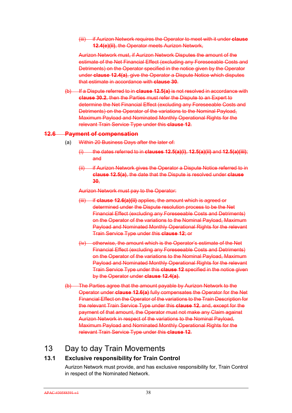(iii) if Aurizon Network requires the Operator to meet with it under **clause 12.4(e)(ii)**, the Operator meets Aurizon Network,

Aurizon Network must, if Aurizon Network Disputes the amount of the estimate of the Net Financial Effect (excluding any Foreseeable Costs and Detriments) on the Operator specified in the notice given by the Operator under **clause 12.4(a)**, give the Operator a Dispute Notice which disputes that estimate in accordance with **clause 30**.

(b) If a Dispute referred to in **clause 12.5(a)** is not resolved in accordance with **clause 30.2**, then the Parties must refer the Dispute to an Expert to determine the Net Financial Effect (excluding any Foreseeable Costs and Detriments) on the Operator of the variations to the Nominal Payload, Maximum Payload and Nominated Monthly Operational Rights for the relevant Train Service Type under this **clause 12**.

#### **12.6 Payment of compensation**

- (a) Within 20 Business Days after the later of:
	- (i) the dates referred to in **clauses 12.5(a)(i)**, **12.5(a)(ii)** and **12.5(a)(iii)**; and
	- (ii) if Aurizon Network gives the Operator a Dispute Notice referred to in **clause 12.5(a)**, the date that the Dispute is resolved under **clause 30**,

Aurizon Network must pay to the Operator:

- (iii) if **clause 12.6(a)(ii)** applies, the amount which is agreed or determined under the Dispute resolution process to be the Net Financial Effect (excluding any Foreseeable Costs and Detriments) on the Operator of the variations to the Nominal Payload, Maximum Payload and Nominated Monthly Operational Rights for the relevant Train Service Type under this **clause 12**; or
- (iv) otherwise, the amount which is the Operator's estimate of the Net Financial Effect (excluding any Foreseeable Costs and Detriments) on the Operator of the variations to the Nominal Payload, Maximum Payload and Nominated Monthly Operational Rights for the relevant Train Service Type under this **clause 12** specified in the notice given by the Operator under **clause 12.4(a)**.
- (b) The Parties agree that the amount payable by Aurizon Network to the Operator under **clause 12.6(a)** fully compensates the Operator for the Net Financial Effect on the Operator of the variations to the Train Description for the relevant Train Service Type under this **clause 12**, and, except for the payment of that amount, the Operator must not make any Claim against Aurizon Network in respect of the variations to the Nominal Payload, Maximum Payload and Nominated Monthly Operational Rights for the relevant Train Service Type under this **clause 12**.

# 13 Day to day Train Movements

# **13.1 Exclusive responsibility for Train Control**

Aurizon Network must provide, and has exclusive responsibility for, Train Control in respect of the Nominated Network.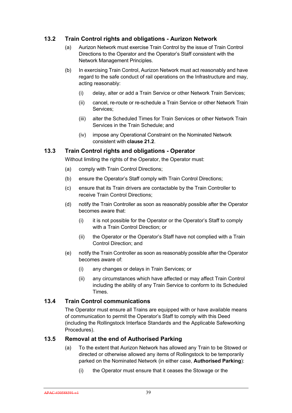# **13.2 Train Control rights and obligations - Aurizon Network**

- (a) Aurizon Network must exercise Train Control by the issue of Train Control Directions to the Operator and the Operator's Staff consistent with the Network Management Principles.
- (b) In exercising Train Control, Aurizon Network must act reasonably and have regard to the safe conduct of rail operations on the Infrastructure and may, acting reasonably:
	- (i) delay, alter or add a Train Service or other Network Train Services;
	- (ii) cancel, re-route or re-schedule a Train Service or other Network Train Services;
	- (iii) alter the Scheduled Times for Train Services or other Network Train Services in the Train Schedule; and
	- (iv) impose any Operational Constraint on the Nominated Network consistent with **clause 21.2**.

# **13.3 Train Control rights and obligations - Operator**

Without limiting the rights of the Operator, the Operator must:

- (a) comply with Train Control Directions;
- (b) ensure the Operator's Staff comply with Train Control Directions;
- (c) ensure that its Train drivers are contactable by the Train Controller to receive Train Control Directions;
- (d) notify the Train Controller as soon as reasonably possible after the Operator becomes aware that:
	- (i) it is not possible for the Operator or the Operator's Staff to comply with a Train Control Direction; or
	- (ii) the Operator or the Operator's Staff have not complied with a Train Control Direction; and
- (e) notify the Train Controller as soon as reasonably possible after the Operator becomes aware of:
	- (i) any changes or delays in Train Services; or
	- (ii) any circumstances which have affected or may affect Train Control including the ability of any Train Service to conform to its Scheduled Times.

## **13.4 Train Control communications**

The Operator must ensure all Trains are equipped with or have available means of communication to permit the Operator's Staff to comply with this Deed (including the Rollingstock Interface Standards and the Applicable Safeworking Procedures).

# **13.5 Removal at the end of Authorised Parking**

- (a) To the extent that Aurizon Network has allowed any Train to be Stowed or directed or otherwise allowed any items of Rollingstock to be temporarily parked on the Nominated Network (in either case, **Authorised Parking**):
	- (i) the Operator must ensure that it ceases the Stowage or the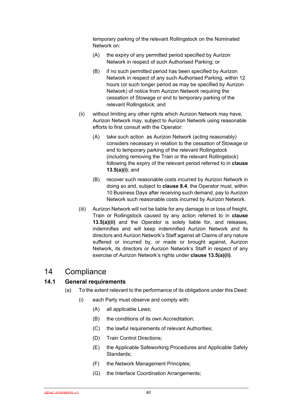temporary parking of the relevant Rollingstock on the Nominated Network on:

- (A) the expiry of any permitted period specified by Aurizon Network in respect of such Authorised Parking; or
- (B) if no such permitted period has been specified by Aurizon Network in respect of any such Authorised Parking, within 12 hours (or such longer period as may be specified by Aurizon Network) of notice from Aurizon Network requiring the cessation of Stowage or end to temporary parking of the relevant Rollingstock; and
- (ii) without limiting any other rights which Aurizon Network may have, Aurizon Network may, subject to Aurizon Network using reasonable efforts to first consult with the Operator:
	- (A) take such action as Aurizon Network (acting reasonably) considers necessary in relation to the cessation of Stowage or end to temporary parking of the relevant Rollingstock (including removing the Train or the relevant Rollingstock) following the expiry of the relevant period referred to in **clause 13.5(a)(i)**; and
	- (B) recover such reasonable costs incurred by Aurizon Network in doing so and, subject to **clause 8.4**, the Operator must, within 10 Business Days after receiving such demand, pay to Aurizon Network such reasonable costs incurred by Aurizon Network.
- (iii) Aurizon Network will not be liable for any damage to or loss of freight, Train or Rollingstock caused by any action referred to in **clause 13.5(a)(ii)** and the Operator is solely liable for, and releases, indemnifies and will keep indemnified Aurizon Network and its directors and Aurizon Network's Staff against all Claims of any nature suffered or incurred by, or made or brought against, Aurizon Network, its directors or Aurizon Network's Staff in respect of any exercise of Aurizon Network's rights under **clause 13.5(a)(ii)**.

# 14 Compliance

# **14.1 General requirements**

- (a) To the extent relevant to the performance of its obligations under this Deed:
	- (i) each Party must observe and comply with:
		- (A) all applicable Laws;
		- (B) the conditions of its own Accreditation;
		- (C) the lawful requirements of relevant Authorities;
		- (D) Train Control Directions;
		- (E) the Applicable Safeworking Procedures and Applicable Safety Standards;
		- (F) the Network Management Principles;
		- (G) the Interface Coordination Arrangements;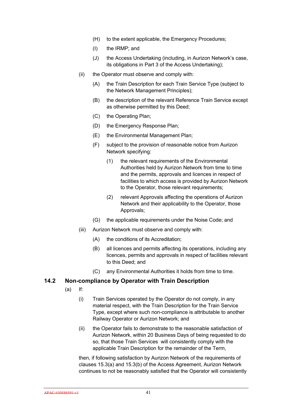- (H) to the extent applicable, the Emergency Procedures;
- (I) the IRMP; and
- (J) the Access Undertaking (including, in Aurizon Network's case, its obligations in Part 3 of the Access Undertaking);
- (ii) the Operator must observe and comply with:
	- (A) the Train Description for each Train Service Type (subject to the Network Management Principles);
	- (B) the description of the relevant Reference Train Service except as otherwise permitted by this Deed;
	- (C) the Operating Plan;
	- (D) the Emergency Response Plan;
	- (E) the Environmental Management Plan;
	- (F) subject to the provision of reasonable notice from Aurizon Network specifying:
		- (1) the relevant requirements of the Environmental Authorities held by Aurizon Network from time to time and the permits, approvals and licences in respect of facilities to which access is provided by Aurizon Network to the Operator, those relevant requirements;
		- (2) relevant Approvals affecting the operations of Aurizon Network and their applicability to the Operator, those Approvals;
	- (G) the applicable requirements under the Noise Code; and
- (iii) Aurizon Network must observe and comply with:
	- (A) the conditions of its Accreditation;
	- (B) all licences and permits affecting its operations, including any licences, permits and approvals in respect of facilities relevant to this Deed; and
	- (C) any Environmental Authorities it holds from time to time.

## **14.2 Non-compliance by Operator with Train Description**

- (a) If:
	- (i) Train Services operated by the Operator do not comply, in any material respect, with the Train Description for the Train Service Type, except where such non-compliance is attributable to another Railway Operator or Aurizon Network; and
	- (ii) the Operator fails to demonstrate to the reasonable satisfaction of Aurizon Network, within 20 Business Days of being requested to do so, that those Train Services will consistently comply with the applicable Train Description for the remainder of the Term,

then, if following satisfaction by Aurizon Network of the requirements of clauses 15.3(a) and 15.3(b) of the Access Agreement, Aurizon Network continues to not be reasonably satisfied that the Operator will consistently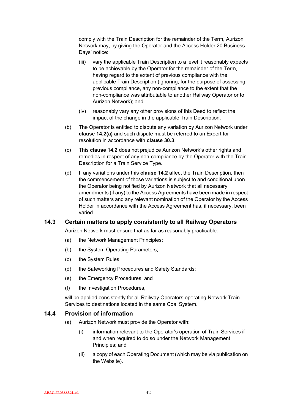comply with the Train Description for the remainder of the Term, Aurizon Network may, by giving the Operator and the Access Holder 20 Business Days' notice:

- (iii) vary the applicable Train Description to a level it reasonably expects to be achievable by the Operator for the remainder of the Term, having regard to the extent of previous compliance with the applicable Train Description (ignoring, for the purpose of assessing previous compliance, any non-compliance to the extent that the non-compliance was attributable to another Railway Operator or to Aurizon Network); and
- (iv) reasonably vary any other provisions of this Deed to reflect the impact of the change in the applicable Train Description.
- (b) The Operator is entitled to dispute any variation by Aurizon Network under **clause 14.2(a)** and such dispute must be referred to an Expert for resolution in accordance with **clause 30.3**.
- (c) This **clause 14.2** does not prejudice Aurizon Network's other rights and remedies in respect of any non-compliance by the Operator with the Train Description for a Train Service Type.
- (d) If any variations under this **clause 14.2** affect the Train Description, then the commencement of those variations is subject to and conditional upon the Operator being notified by Aurizon Network that all necessary amendments (if any) to the Access Agreements have been made in respect of such matters and any relevant nomination of the Operator by the Access Holder in accordance with the Access Agreement has, if necessary, been varied.

## **14.3 Certain matters to apply consistently to all Railway Operators**

Aurizon Network must ensure that as far as reasonably practicable:

- (a) the Network Management Principles;
- (b) the System Operating Parameters;
- (c) the System Rules;
- (d) the Safeworking Procedures and Safety Standards;
- (e) the Emergency Procedures; and
- (f) the Investigation Procedures,

will be applied consistently for all Railway Operators operating Network Train Services to destinations located in the same Coal System.

#### **14.4 Provision of information**

- (a) Aurizon Network must provide the Operator with:
	- (i) information relevant to the Operator's operation of Train Services if and when required to do so under the Network Management Principles; and
	- (ii) a copy of each Operating Document (which may be via publication on the Website).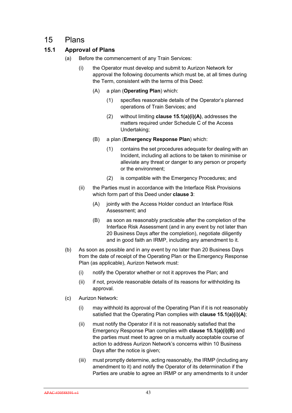# 15 Plans

# **15.1 Approval of Plans**

- (a) Before the commencement of any Train Services:
	- (i) the Operator must develop and submit to Aurizon Network for approval the following documents which must be, at all times during the Term, consistent with the terms of this Deed:
		- (A) a plan (**Operating Plan**) which:
			- (1) specifies reasonable details of the Operator's planned operations of Train Services; and
			- (2) without limiting **clause 15.1(a)(i)(A)**, addresses the matters required under Schedule C of the Access Undertaking;
		- (B) a plan (**Emergency Response Plan**) which:
			- (1) contains the set procedures adequate for dealing with an Incident, including all actions to be taken to minimise or alleviate any threat or danger to any person or property or the environment;
			- (2) is compatible with the Emergency Procedures; and
	- (ii) the Parties must in accordance with the Interface Risk Provisions which form part of this Deed under **clause 3**:
		- (A) jointly with the Access Holder conduct an Interface Risk Assessment; and
		- (B) as soon as reasonably practicable after the completion of the Interface Risk Assessment (and in any event by not later than 20 Business Days after the completion), negotiate diligently and in good faith an IRMP, including any amendment to it.
- (b) As soon as possible and in any event by no later than 20 Business Days from the date of receipt of the Operating Plan or the Emergency Response Plan (as applicable), Aurizon Network must:
	- (i) notify the Operator whether or not it approves the Plan; and
	- (ii) if not, provide reasonable details of its reasons for withholding its approval.
- (c) Aurizon Network:
	- (i) may withhold its approval of the Operating Plan if it is not reasonably satisfied that the Operating Plan complies with **clause 15.1(a)(i)(A)**;
	- (ii) must notify the Operator if it is not reasonably satisfied that the Emergency Response Plan complies with **clause 15.1(a)(i)(B)** and the parties must meet to agree on a mutually acceptable course of action to address Aurizon Network's concerns within 10 Business Days after the notice is given;
	- (iii) must promptly determine, acting reasonably, the IRMP (including any amendment to it) and notify the Operator of its determination if the Parties are unable to agree an IRMP or any amendments to it under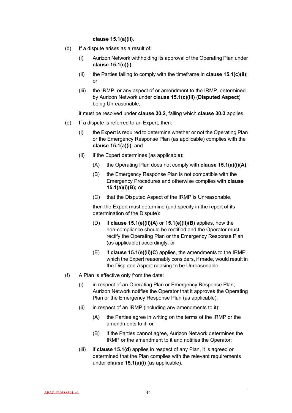#### **clause 15.1(a)(ii)**.

- (d) If a dispute arises as a result of:
	- (i) Aurizon Network withholding its approval of the Operating Plan under **clause 15.1(c)(i)**;
	- (ii) the Parties failing to comply with the timeframe in **clause 15.1(c)(ii)**; or
	- (iii) the IRMP, or any aspect of or amendment to the IRMP, determined by Aurizon Network under **clause 15.1(c)(iii)** (**Disputed Aspect**) being Unreasonable,

it must be resolved under **clause 30.2**, failing which **clause 30.3** applies.

- (e) If a dispute is referred to an Expert, then:
	- (i) the Expert is required to determine whether or not the Operating Plan or the Emergency Response Plan (as applicable) complies with the **clause 15.1(a)(i)**; and
	- $(ii)$  if the Expert determines (as applicable):
		- (A) the Operating Plan does not comply with **clause 15.1(a)(i)(A)**;
		- (B) the Emergency Response Plan is not compatible with the Emergency Procedures and otherwise complies with **clause 15.1(a)(i)(B);** or
		- (C) that the Disputed Aspect of the IRMP is Unreasonable,

then the Expert must determine (and specify in the report of its determination of the Dispute):

- (D) if **clause 15.1(e)(ii)(A)** or **15.1(e)(ii)(B)** applies, how the non-compliance should be rectified and the Operator must rectify the Operating Plan or the Emergency Response Plan (as applicable) accordingly; or
- (E) if **clause 15.1(e)(ii)(C)** applies, the amendments to the IRMP which the Expert reasonably considers, if made, would result in the Disputed Aspect ceasing to be Unreasonable.
- (f) A Plan is effective only from the date:
	- (i) in respect of an Operating Plan or Emergency Response Plan, Aurizon Network notifies the Operator that it approves the Operating Plan or the Emergency Response Plan (as applicable);
	- $(ii)$  in respect of an IRMP (including any amendments to it):
		- (A) the Parties agree in writing on the terms of the IRMP or the amendments to it; or
		- (B) if the Parties cannot agree, Aurizon Network determines the IRMP or the amendment to it and notifies the Operator;
	- (iii) if **clause 15.1(d)** applies in respect of any Plan, it is agreed or determined that the Plan complies with the relevant requirements under **clause 15.1(a)(i)** (as applicable).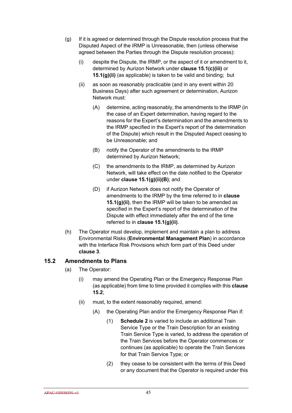- (g) If it is agreed or determined through the Dispute resolution process that the Disputed Aspect of the IRMP is Unreasonable, then (unless otherwise agreed between the Parties through the Dispute resolution process):
	- (i) despite the Dispute, the IRMP, or the aspect of it or amendment to it, determined by Aurizon Network under **clause 15.1(c)(iii)** or **15.1(g)(ii)** (as applicable) is taken to be valid and binding; but
	- (ii) as soon as reasonably practicable (and in any event within 20 Business Days) after such agreement or determination, Aurizon Network must:
		- (A) determine, acting reasonably, the amendments to the IRMP (in the case of an Expert determination, having regard to the reasons for the Expert's determination and the amendments to the IRMP specified in the Expert's report of the determination of the Dispute) which result in the Disputed Aspect ceasing to be Unreasonable; and
		- (B) notify the Operator of the amendments to the IRMP determined by Aurizon Network;
		- (C) the amendments to the IRMP, as determined by Aurizon Network, will take effect on the date notified to the Operator under **clause 15.1(g)(ii)(B)**; and
		- (D) if Aurizon Network does not notify the Operator of amendments to the IRMP by the time referred to in **clause 15.1(g)(ii)**, then the IRMP will be taken to be amended as specified in the Expert's report of the determination of the Dispute with effect immediately after the end of the time referred to in **clause 15.1(g)(ii)**.
- (h) The Operator must develop, implement and maintain a plan to address Environmental Risks (**Environmental Management Plan**) in accordance with the Interface Risk Provisions which form part of this Deed under **clause 3**.

# **15.2 Amendments to Plans**

- (a) The Operator:
	- (i) may amend the Operating Plan or the Emergency Response Plan (as applicable) from time to time provided it complies with this **clause 15.2**;
	- (ii) must, to the extent reasonably required, amend:
		- (A) the Operating Plan and/or the Emergency Response Plan if:
			- (1) **Schedule 2** is varied to include an additional Train Service Type or the Train Description for an existing Train Service Type is varied, to address the operation of the Train Services before the Operator commences or continues (as applicable) to operate the Train Services for that Train Service Type; or
			- (2) they cease to be consistent with the terms of this Deed or any document that the Operator is required under this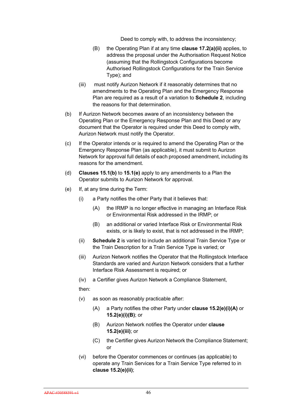Deed to comply with, to address the inconsistency;

- (B) the Operating Plan if at any time **clause 17.2(a)(ii)** applies, to address the proposal under the Authorisation Request Notice (assuming that the Rollingstock Configurations become Authorised Rollingstock Configurations for the Train Service Type); and
- (iii) must notify Aurizon Network if it reasonably determines that no amendments to the Operating Plan and the Emergency Response Plan are required as a result of a variation to **Schedule 2**, including the reasons for that determination.
- (b) If Aurizon Network becomes aware of an inconsistency between the Operating Plan or the Emergency Response Plan and this Deed or any document that the Operator is required under this Deed to comply with, Aurizon Network must notify the Operator.
- (c) If the Operator intends or is required to amend the Operating Plan or the Emergency Response Plan (as applicable), it must submit to Aurizon Network for approval full details of each proposed amendment, including its reasons for the amendment.
- (d) **Clauses 15.1(b)** to **15.1(e)** apply to any amendments to a Plan the Operator submits to Aurizon Network for approval.
- (e) If, at any time during the Term:
	- (i) a Party notifies the other Party that it believes that:
		- (A) the IRMP is no longer effective in managing an Interface Risk or Environmental Risk addressed in the IRMP; or
		- (B) an additional or varied Interface Risk or Environmental Risk exists, or is likely to exist, that is not addressed in the IRMP;
	- (ii) **Schedule 2** is varied to include an additional Train Service Type or the Train Description for a Train Service Type is varied; or
	- (iii) Aurizon Network notifies the Operator that the Rollingstock Interface Standards are varied and Aurizon Network considers that a further Interface Risk Assessment is required; or
	- (iv) a Certifier gives Aurizon Network a Compliance Statement,

then:

- (v) as soon as reasonably practicable after:
	- (A) a Party notifies the other Party under **clause 15.2(e)(i)(A)** or **15.2(e)(i)(B)**; or
	- (B) Aurizon Network notifies the Operator under **clause 15.2(e)(iii)**; or
	- (C) the Certifier gives Aurizon Network the Compliance Statement; or
- (vi) before the Operator commences or continues (as applicable) to operate any Train Services for a Train Service Type referred to in **clause 15.2(e)(ii)**;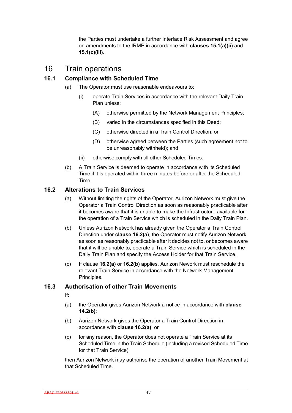the Parties must undertake a further Interface Risk Assessment and agree on amendments to the IRMP in accordance with **clauses 15.1(a)(ii)** and **15.1(c)(iii)**.

# 16 Train operations

# **16.1 Compliance with Scheduled Time**

- (a) The Operator must use reasonable endeavours to:
	- (i) operate Train Services in accordance with the relevant Daily Train Plan unless:
		- (A) otherwise permitted by the Network Management Principles;
		- (B) varied in the circumstances specified in this Deed;
		- (C) otherwise directed in a Train Control Direction; or
		- (D) otherwise agreed between the Parties (such agreement not to be unreasonably withheld); and
	- (ii) otherwise comply with all other Scheduled Times.
- (b) A Train Service is deemed to operate in accordance with its Scheduled Time if it is operated within three minutes before or after the Scheduled Time.

#### **16.2 Alterations to Train Services**

- (a) Without limiting the rights of the Operator, Aurizon Network must give the Operator a Train Control Direction as soon as reasonably practicable after it becomes aware that it is unable to make the Infrastructure available for the operation of a Train Service which is scheduled in the Daily Train Plan.
- (b) Unless Aurizon Network has already given the Operator a Train Control Direction under **clause 16.2(a)**, the Operator must notify Aurizon Network as soon as reasonably practicable after it decides not to, or becomes aware that it will be unable to, operate a Train Service which is scheduled in the Daily Train Plan and specify the Access Holder for that Train Service.
- (c) If clause **16.2(a)** or **16.2(b)** applies, Aurizon Nework must reschedule the relevant Train Service in accordance with the Network Management Principles.

## **16.3 Authorisation of other Train Movements**

- If:
- (a) the Operator gives Aurizon Network a notice in accordance with **clause 14.2(b)**;
- (b) Aurizon Network gives the Operator a Train Control Direction in accordance with **clause 16.2(a)**; or
- (c) for any reason, the Operator does not operate a Train Service at its Scheduled Time in the Train Schedule (including a revised Scheduled Time for that Train Service),

then Aurizon Network may authorise the operation of another Train Movement at that Scheduled Time.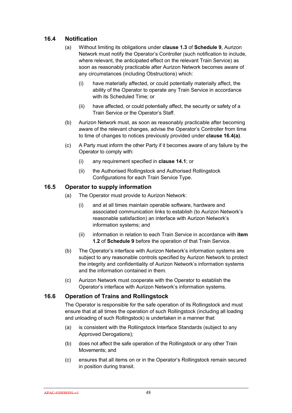# **16.4 Notification**

- (a) Without limiting its obligations under **clause 1.3** of **Schedule 9**, Aurizon Network must notify the Operator's Controller (such notification to include, where relevant, the anticipated effect on the relevant Train Service) as soon as reasonably practicable after Aurizon Network becomes aware of any circumstances (including Obstructions) which:
	- (i) have materially affected, or could potentially materially affect, the ability of the Operator to operate any Train Service in accordance with its Scheduled Time; or
	- (ii) have affected, or could potentially affect, the security or safety of a Train Service or the Operator's Staff.
- (b) Aurizon Network must, as soon as reasonably practicable after becoming aware of the relevant changes, advise the Operator's Controller from time to time of changes to notices previously provided under **clause 16.4(a)**.
- (c) A Party must inform the other Party if it becomes aware of any failure by the Operator to comply with:
	- (i) any requirement specified in **clause 14.1**; or
	- (ii) the Authorised Rollingstock and Authorised Rollingstock Configurations for each Train Service Type.

## **16.5 Operator to supply information**

- (a) The Operator must provide to Aurizon Network:
	- (i) and at all times maintain operable software, hardware and associated communication links to establish (to Aurizon Network's reasonable satisfaction) an interface with Aurizon Network's information systems; and
	- (ii) information in relation to each Train Service in accordance with **item 1.2** of **Schedule 9** before the operation of that Train Service.
- (b) The Operator's interface with Aurizon Network's information systems are subject to any reasonable controls specified by Aurizon Network to protect the integrity and confidentiality of Aurizon Network's information systems and the information contained in them.
- (c) Aurizon Network must cooperate with the Operator to establish the Operator's interface with Aurizon Network's information systems.

# **16.6 Operation of Trains and Rollingstock**

The Operator is responsible for the safe operation of its Rollingstock and must ensure that at all times the operation of such Rollingstock (including all loading and unloading of such Rollingstock) is undertaken in a manner that:

- (a) is consistent with the Rollingstock Interface Standards (subject to any Approved Derogations);
- (b) does not affect the safe operation of the Rollingstock or any other Train Movements; and
- (c) ensures that all items on or in the Operator's Rollingstock remain secured in position during transit.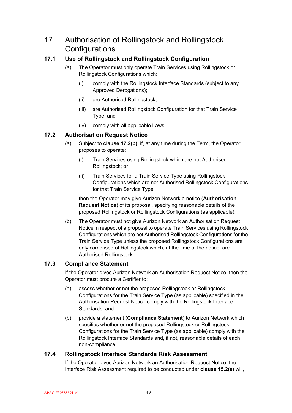# 17 Authorisation of Rollingstock and Rollingstock **Configurations**

# **17.1 Use of Rollingstock and Rollingstock Configuration**

- (a) The Operator must only operate Train Services using Rollingstock or Rollingstock Configurations which:
	- (i) comply with the Rollingstock Interface Standards (subject to any Approved Derogations);
	- (ii) are Authorised Rollingstock;
	- (iii) are Authorised Rollingstock Configuration for that Train Service Type; and
	- (iv) comply with all applicable Laws.

# **17.2 Authorisation Request Notice**

- (a) Subject to **clause 17.2(b)**, if, at any time during the Term, the Operator proposes to operate:
	- (i) Train Services using Rollingstock which are not Authorised Rollingstock; or
	- (ii) Train Services for a Train Service Type using Rollingstock Configurations which are not Authorised Rollingstock Configurations for that Train Service Type,

then the Operator may give Aurizon Network a notice (**Authorisation Request Notice**) of its proposal, specifying reasonable details of the proposed Rollingstock or Rollingstock Configurations (as applicable).

(b) The Operator must not give Aurizon Network an Authorisation Request Notice in respect of a proposal to operate Train Services using Rollingstock Configurations which are not Authorised Rollingstock Configurations for the Train Service Type unless the proposed Rollingstock Configurations are only comprised of Rollingstock which, at the time of the notice, are Authorised Rollingstock.

# **17.3 Compliance Statement**

If the Operator gives Aurizon Network an Authorisation Request Notice, then the Operator must procure a Certifier to:

- (a) assess whether or not the proposed Rollingstock or Rollingstock Configurations for the Train Service Type (as applicable) specified in the Authorisation Request Notice comply with the Rollingstock Interface Standards; and
- (b) provide a statement (**Compliance Statement**) to Aurizon Network which specifies whether or not the proposed Rollingstock or Rollingstock Configurations for the Train Service Type (as applicable) comply with the Rollingstock Interface Standards and, if not, reasonable details of each non-compliance.

## **17.4 Rollingstock Interface Standards Risk Assessment**

If the Operator gives Aurizon Network an Authorisation Request Notice, the Interface Risk Assessment required to be conducted under **clause 15.2(e)** will,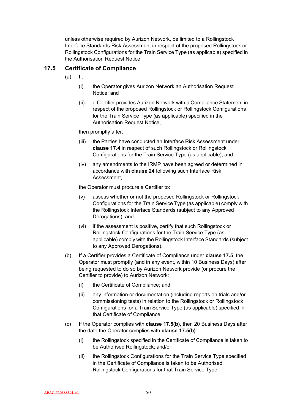unless otherwise required by Aurizon Network, be limited to a Rollingstock Interface Standards Risk Assessment in respect of the proposed Rollingstock or Rollingstock Configurations for the Train Service Type (as applicable) specified in the Authorisation Request Notice.

# **17.5 Certificate of Compliance**

- (a) If:
	- (i) the Operator gives Aurizon Network an Authorisation Request Notice; and
	- (ii) a Certifier provides Aurizon Network with a Compliance Statement in respect of the proposed Rollingstock or Rollingstock Configurations for the Train Service Type (as applicable) specified in the Authorisation Request Notice,

then promptly after:

- (iii) the Parties have conducted an Interface Risk Assessment under **clause 17.4** in respect of such Rollingstock or Rollingstock Configurations for the Train Service Type (as applicable); and
- (iv) any amendments to the IRMP have been agreed or determined in accordance with **clause 24** following such Interface Risk Assessment,

the Operator must procure a Certifier to:

- (v) assess whether or not the proposed Rollingstock or Rollingstock Configurations for the Train Service Type (as applicable) comply with the Rollingstock Interface Standards (subject to any Approved Derogations); and
- (vi) if the assessment is positive, certify that such Rollingstock or Rollingstock Configurations for the Train Service Type (as applicable) comply with the Rollingstock Interface Standards (subject to any Approved Derogations).
- (b) If a Certifier provides a Certificate of Compliance under **clause 17.5**, the Operator must promptly (and in any event, within 10 Business Days) after being requested to do so by Aurizon Network provide (or procure the Certifier to provide) to Aurizon Network:
	- (i) the Certificate of Compliance; and
	- (ii) any information or documentation (including reports on trials and/or commissioning tests) in relation to the Rollingstock or Rollingstock Configurations for a Train Service Type (as applicable) specified in that Certificate of Compliance;
- (c) If the Operator complies with **clause 17.5(b)**, then 20 Business Days after the date the Operator complies with **clause 17.5(b)**:
	- (i) the Rollingstock specified in the Certificate of Compliance is taken to be Authorised Rollingstock; and/or
	- (ii) the Rollingstock Configurations for the Train Service Type specified in the Certificate of Compliance is taken to be Authorised Rollingstock Configurations for that Train Service Type,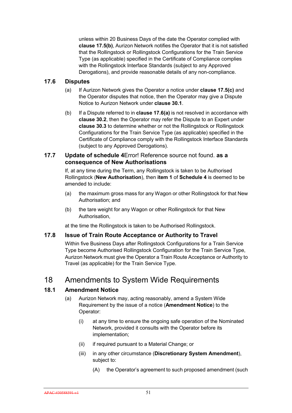unless within 20 Business Days of the date the Operator complied with **clause 17.5(b)**, Aurizon Network notifies the Operator that it is not satisfied that the Rollingstock or Rollingstock Configurations for the Train Service Type (as applicable) specified in the Certificate of Compliance complies with the Rollingstock Interface Standards (subject to any Approved Derogations), and provide reasonable details of any non-compliance.

## **17.6 Disputes**

- (a) If Aurizon Network gives the Operator a notice under **clause 17.5(c)** and the Operator disputes that notice, then the Operator may give a Dispute Notice to Aurizon Network under **clause 30.1**.
- (b) If a Dispute referred to in **clause 17.6(a)** is not resolved in accordance with **clause 30.2**, then the Operator may refer the Dispute to an Expert under **clause 30.3** to determine whether or not the Rollingstock or Rollingstock Configurations for the Train Service Type (as applicable) specified in the Certificate of Compliance comply with the Rollingstock Interface Standards (subject to any Approved Derogations).

#### **17.7 Update of schedule 4**Error! Reference source not found. **as a consequence of New Authorisations**

If, at any time during the Term, any Rollingstock is taken to be Authorised Rollingstock (**New Authorisation**), then **item 1** of **Schedule 4** is deemed to be amended to include:

- (a) the maximum gross mass for any Wagon or other Rollingstock for that New Authorisation; and
- (b) the tare weight for any Wagon or other Rollingstock for that New Authorisation,

at the time the Rollingstock is taken to be Authorised Rollingstock.

## **17.8 Issue of Train Route Acceptance or Authority to Travel**

Within five Business Days after Rollingstock Configurations for a Train Service Type become Authorised Rollingstock Configuration for the Train Service Type, Aurizon Network must give the Operator a Train Route Acceptance or Authority to Travel (as applicable) for the Train Service Type.

# 18 Amendments to System Wide Requirements

# **18.1 Amendment Notice**

- (a) Aurizon Network may, acting reasonably, amend a System Wide Requirement by the issue of a notice (**Amendment Notice**) to the Operator:
	- (i) at any time to ensure the ongoing safe operation of the Nominated Network, provided it consults with the Operator before its implementation;
	- (ii) if required pursuant to a Material Change; or
	- (iii) in any other circumstance (**Discretionary System Amendment**), subject to:
		- (A) the Operator's agreement to such proposed amendment (such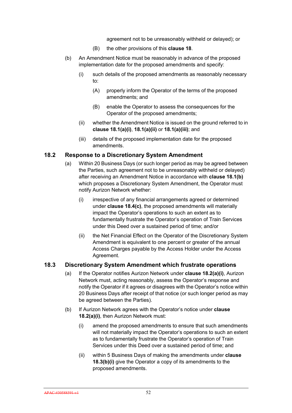agreement not to be unreasonably withheld or delayed); or

- (B) the other provisions of this **clause 18**.
- (b) An Amendment Notice must be reasonably in advance of the proposed implementation date for the proposed amendments and specify:
	- (i) such details of the proposed amendments as reasonably necessary to:
		- (A) properly inform the Operator of the terms of the proposed amendments; and
		- (B) enable the Operator to assess the consequences for the Operator of the proposed amendments;
	- (ii) whether the Amendment Notice is issued on the ground referred to in **clause 18.1(a)(i)**, **18.1(a)(ii)** or **18.1(a)(iii)**; and
	- (iii) details of the proposed implementation date for the proposed amendments.

#### **18.2 Response to a Discretionary System Amendment**

- (a) Within 20 Business Days (or such longer period as may be agreed between the Parties, such agreement not to be unreasonably withheld or delayed) after receiving an Amendment Notice in accordance with **clause 18.1(b)**  which proposes a Discretionary System Amendment, the Operator must notify Aurizon Network whether:
	- (i) irrespective of any financial arrangements agreed or determined under **clause 18.4(c)**, the proposed amendments will materially impact the Operator's operations to such an extent as to fundamentally frustrate the Operator's operation of Train Services under this Deed over a sustained period of time; and/or
	- (ii) the Net Financial Effect on the Operator of the Discretionary System Amendment is equivalent to one percent or greater of the annual Access Charges payable by the Access Holder under the Access Agreement.

## **18.3 Discretionary System Amendment which frustrate operations**

- (a) If the Operator notifies Aurizon Network under **clause 18.2(a)(i)**, Aurizon Network must, acting reasonably, assess the Operator's response and notify the Operator if it agrees or disagrees with the Operator's notice within 20 Business Days after receipt of that notice (or such longer period as may be agreed between the Parties).
- (b) If Aurizon Network agrees with the Operator's notice under **clause 18.2(a)(i)**, then Aurizon Network must:
	- (i) amend the proposed amendments to ensure that such amendments will not materially impact the Operator's operations to such an extent as to fundamentally frustrate the Operator's operation of Train Services under this Deed over a sustained period of time; and
	- (ii) within 5 Business Days of making the amendments under **clause 18.3(b)(i)** give the Operator a copy of its amendments to the proposed amendments.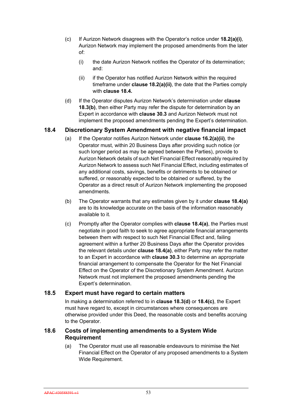- (c) If Aurizon Network disagrees with the Operator's notice under **18.2(a)(i)**, Aurizon Network may implement the proposed amendments from the later of:
	- (i) the date Aurizon Network notifies the Operator of its determination; and:
	- (ii) if the Operator has notified Aurizon Network within the required timeframe under **clause 18.2(a)(ii)**, the date that the Parties comply with **clause 18.4.**
- (d) If the Operator disputes Aurizon Network's determination under **clause 18.3(b)**, then either Party may refer the dispute for determination by an Expert in accordance with **clause 30.3** and Aurizon Network must not implement the proposed amendments pending the Expert's determination.

# **18.4 Discretionary System Amendment with negative financial impact**

- (a) If the Operator notifies Aurizon Network under **clause 16.2(a)(ii)**, the Operator must, within 20 Business Days after providing such notice (or such longer period as may be agreed between the Parties), provide to Aurizon Network details of such Net Financial Effect reasonably required by Aurizon Network to assess such Net Financial Effect, including estimates of any additional costs, savings, benefits or detriments to be obtained or suffered, or reasonably expected to be obtained or suffered, by the Operator as a direct result of Aurizon Network implementing the proposed amendments.
- (b) The Operator warrants that any estimates given by it under **clause 18.4(a)** are to its knowledge accurate on the basis of the information reasonably available to it.
- (c) Promptly after the Operator complies with **clause 18.4(a)**, the Parties must negotiate in good faith to seek to agree appropriate financial arrangements between them with respect to such Net Financial Effect and, failing agreement within a further 20 Business Days after the Operator provides the relevant details under **clause 18.4(a)**, either Party may refer the matter to an Expert in accordance with **clause 30.3** to determine an appropriate financial arrangement to compensate the Operator for the Net Financial Effect on the Operator of the Discretionary System Amendment. Aurizon Network must not implement the proposed amendments pending the Expert's determination.

## **18.5 Expert must have regard to certain matters**

In making a determination referred to in **clause 18.3(d)** or **18.4(c)**, the Expert must have regard to, except in circumstances where consequences are otherwise provided under this Deed, the reasonable costs and benefits accruing to the Operator.

## **18.6 Costs of implementing amendments to a System Wide Requirement**

(a) The Operator must use all reasonable endeavours to minimise the Net Financial Effect on the Operator of any proposed amendments to a System Wide Requirement.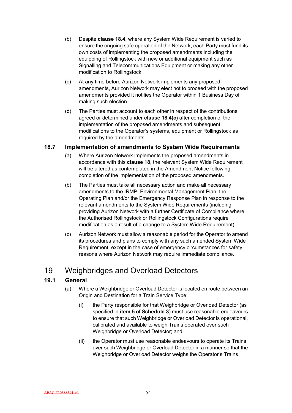- (b) Despite **clause 18.4**, where any System Wide Requirement is varied to ensure the ongoing safe operation of the Network, each Party must fund its own costs of implementing the proposed amendments including the equipping of Rollingstock with new or additional equipment such as Signalling and Telecommunications Equipment or making any other modification to Rollingstock.
- (c) At any time before Aurizon Network implements any proposed amendments, Aurizon Network may elect not to proceed with the proposed amendments provided it notifies the Operator within 1 Business Day of making such election.
- (d) The Parties must account to each other in respect of the contributions agreed or determined under **clause 18.4(c)** after completion of the implementation of the proposed amendments and subsequent modifications to the Operator's systems, equipment or Rollingstock as required by the amendments.

## **18.7 Implementation of amendments to System Wide Requirements**

- (a) Where Aurizon Network implements the proposed amendments in accordance with this **clause 18**, the relevant System Wide Requirement will be altered as contemplated in the Amendment Notice following completion of the implementation of the proposed amendments.
- (b) The Parties must take all necessary action and make all necessary amendments to the IRMP, Environmental Management Plan, the Operating Plan and/or the Emergency Response Plan in response to the relevant amendments to the System Wide Requirements (including providing Aurizon Network with a further Certificate of Compliance where the Authorised Rollingstock or Rollingstock Configurations require modification as a result of a change to a System Wide Requirement).
- (c) Aurizon Network must allow a reasonable period for the Operator to amend its procedures and plans to comply with any such amended System Wide Requirement, except in the case of emergency circumstances for safety reasons where Aurizon Network may require immediate compliance.

# 19 Weighbridges and Overload Detectors

## **19.1 General**

- (a) Where a Weighbridge or Overload Detector is located en route between an Origin and Destination for a Train Service Type:
	- (i) the Party responsible for that Weighbridge or Overload Detector (as specified in **item 5** of **Schedule 3**) must use reasonable endeavours to ensure that such Weighbridge or Overload Detector is operational, calibrated and available to weigh Trains operated over such Weighbridge or Overload Detector; and
	- (ii) the Operator must use reasonable endeavours to operate its Trains over such Weighbridge or Overload Detector in a manner so that the Weighbridge or Overload Detector weighs the Operator's Trains.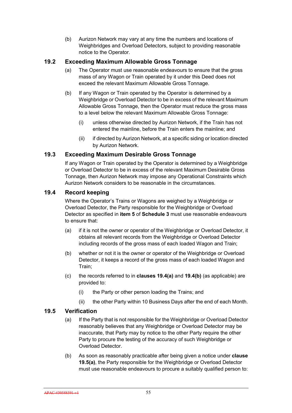(b) Aurizon Network may vary at any time the numbers and locations of Weighbridges and Overload Detectors, subject to providing reasonable notice to the Operator.

## **19.2 Exceeding Maximum Allowable Gross Tonnage**

- (a) The Operator must use reasonable endeavours to ensure that the gross mass of any Wagon or Train operated by it under this Deed does not exceed the relevant Maximum Allowable Gross Tonnage.
- (b) If any Wagon or Train operated by the Operator is determined by a Weighbridge or Overload Detector to be in excess of the relevant Maximum Allowable Gross Tonnage, then the Operator must reduce the gross mass to a level below the relevant Maximum Allowable Gross Tonnage:
	- (i) unless otherwise directed by Aurizon Network, if the Train has not entered the mainline, before the Train enters the mainline; and
	- (ii) if directed by Aurizon Network, at a specific siding or location directed by Aurizon Network.

## **19.3 Exceeding Maximum Desirable Gross Tonnage**

If any Wagon or Train operated by the Operator is determined by a Weighbridge or Overload Detector to be in excess of the relevant Maximum Desirable Gross Tonnage, then Aurizon Network may impose any Operational Constraints which Aurizon Network considers to be reasonable in the circumstances.

## **19.4 Record keeping**

Where the Operator's Trains or Wagons are weighed by a Weighbridge or Overload Detector, the Party responsible for the Weighbridge or Overload Detector as specified in **item 5** of **Schedule 3** must use reasonable endeavours to ensure that:

- (a) if it is not the owner or operator of the Weighbridge or Overload Detector, it obtains all relevant records from the Weighbridge or Overload Detector including records of the gross mass of each loaded Wagon and Train;
- (b) whether or not it is the owner or operator of the Weighbridge or Overload Detector, it keeps a record of the gross mass of each loaded Wagon and Train;
- (c) the records referred to in **clauses 19.4(a)** and **19.4(b)** (as applicable) are provided to:
	- (i) the Party or other person loading the Trains; and
	- (ii) the other Party within 10 Business Days after the end of each Month.

## **19.5 Verification**

- (a) If the Party that is not responsible for the Weighbridge or Overload Detector reasonably believes that any Weighbridge or Overload Detector may be inaccurate, that Party may by notice to the other Party require the other Party to procure the testing of the accuracy of such Weighbridge or Overload Detector.
- (b) As soon as reasonably practicable after being given a notice under **clause 19.5(a)**, the Party responsible for the Weighbridge or Overload Detector must use reasonable endeavours to procure a suitably qualified person to: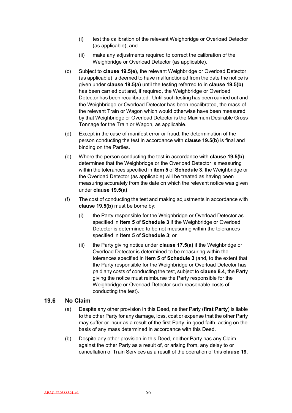- (i) test the calibration of the relevant Weighbridge or Overload Detector (as applicable); and
- (ii) make any adjustments required to correct the calibration of the Weighbridge or Overload Detector (as applicable).
- (c) Subject to **clause 19.5(e)**, the relevant Weighbridge or Overload Detector (as applicable) is deemed to have malfunctioned from the date the notice is given under **clause 19.5(a)** until the testing referred to in **clause 19.5(b)**  has been carried out and, if required, the Weighbridge or Overload Detector has been recalibrated. Until such testing has been carried out and the Weighbridge or Overload Detector has been recalibrated, the mass of the relevant Train or Wagon which would otherwise have been measured by that Weighbridge or Overload Detector is the Maximum Desirable Gross Tonnage for the Train or Wagon, as applicable.
- (d) Except in the case of manifest error or fraud, the determination of the person conducting the test in accordance with **clause 19.5(b)** is final and binding on the Parties.
- (e) Where the person conducting the test in accordance with **clause 19.5(b)**  determines that the Weighbridge or the Overload Detector is measuring within the tolerances specified in **item 5** of **Schedule 3**, the Weighbridge or the Overload Detector (as applicable) will be treated as having been measuring accurately from the date on which the relevant notice was given under **clause 19.5(a)**.
- (f) The cost of conducting the test and making adjustments in accordance with **clause 19.5(b)** must be borne by:
	- (i) the Party responsible for the Weighbridge or Overload Detector as specified in **item 5** of **Schedule 3** if the Weighbridge or Overload Detector is determined to be not measuring within the tolerances specified in **item 5** of **Schedule 3**; or
	- (ii) the Party giving notice under **clause 17.5(a)** if the Weighbridge or Overload Detector is determined to be measuring within the tolerances specified in **item 5** of **Schedule 3** (and, to the extent that the Party responsible for the Weighbridge or Overload Detector has paid any costs of conducting the test, subject to **clause 8.4**, the Party giving the notice must reimburse the Party responsible for the Weighbridge or Overload Detector such reasonable costs of conducting the test).

## **19.6 No Claim**

- (a) Despite any other provision in this Deed, neither Party (**first Party**) is liable to the other Party for any damage, loss, cost or expense that the other Party may suffer or incur as a result of the first Party, in good faith, acting on the basis of any mass determined in accordance with this Deed.
- (b) Despite any other provision in this Deed, neither Party has any Claim against the other Party as a result of, or arising from, any delay to or cancellation of Train Services as a result of the operation of this **clause 19**.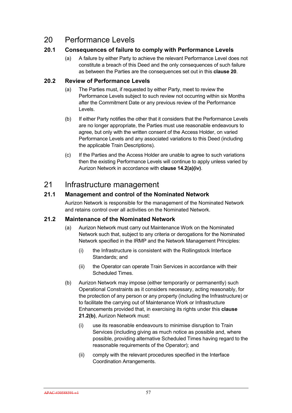# 20 Performance Levels

# **20.1 Consequences of failure to comply with Performance Levels**

(a) A failure by either Party to achieve the relevant Performance Level does not constitute a breach of this Deed and the only consequences of such failure as between the Parties are the consequences set out in this **clause 20**.

# **20.2 Review of Performance Levels**

- (a) The Parties must, if requested by either Party, meet to review the Performance Levels subject to such review not occurring within six Months after the Commitment Date or any previous review of the Performance Levels.
- (b) If either Party notifies the other that it considers that the Performance Levels are no longer appropriate, the Parties must use reasonable endeavours to agree, but only with the written consent of the Access Holder, on varied Performance Levels and any associated variations to this Deed (including the applicable Train Descriptions).
- (c) If the Parties and the Access Holder are unable to agree to such variations then the existing Performance Levels will continue to apply unless varied by Aurizon Network in accordance with **clause 14.2(a)(iv)**.

# 21 Infrastructure management

# **21.1 Management and control of the Nominated Network**

Aurizon Network is responsible for the management of the Nominated Network and retains control over all activities on the Nominated Network.

## **21.2 Maintenance of the Nominated Network**

- (a) Aurizon Network must carry out Maintenance Work on the Nominated Network such that, subject to any criteria or derogations for the Nominated Network specified in the IRMP and the Network Management Principles:
	- (i) the Infrastructure is consistent with the Rollingstock Interface Standards; and
	- (ii) the Operator can operate Train Services in accordance with their Scheduled Times.
- (b) Aurizon Network may impose (either temporarily or permanently) such Operational Constraints as it considers necessary, acting reasonably, for the protection of any person or any property (including the Infrastructure) or to facilitate the carrying out of Maintenance Work or Infrastructure Enhancements provided that, in exercising its rights under this **clause 21.2(b)**, Aurizon Network must:
	- (i) use its reasonable endeavours to minimise disruption to Train Services (including giving as much notice as possible and, where possible, providing alternative Scheduled Times having regard to the reasonable requirements of the Operator); and
	- (ii) comply with the relevant procedures specified in the Interface Coordination Arrangements.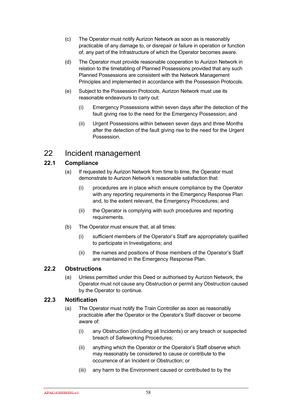- (c) The Operator must notify Aurizon Network as soon as is reasonably practicable of any damage to, or disrepair or failure in operation or function of, any part of the Infrastructure of which the Operator becomes aware.
- (d) The Operator must provide reasonable cooperation to Aurizon Network in relation to the timetabling of Planned Possessions provided that any such Planned Possessions are consistent with the Network Management Principles and implemented in accordance with the Possession Protocols.
- (e) Subject to the Possession Protocols, Aurizon Network must use its reasonable endeavours to carry out:
	- (i) Emergency Possessions within seven days after the detection of the fault giving rise to the need for the Emergency Possession; and
	- (ii) Urgent Possessions within between seven days and three Months after the detection of the fault giving rise to the need for the Urgent Possession.

# 22 Incident management

# **22.1 Compliance**

- (a) If requested by Aurizon Network from time to time, the Operator must demonstrate to Aurizon Network's reasonable satisfaction that:
	- (i) procedures are in place which ensure compliance by the Operator with any reporting requirements in the Emergency Response Plan and, to the extent relevant, the Emergency Procedures; and
	- (ii) the Operator is complying with such procedures and reporting requirements.
- (b) The Operator must ensure that, at all times:
	- (i) sufficient members of the Operator's Staff are appropriately qualified to participate in Investigations; and
	- (ii) the names and positions of those members of the Operator's Staff are maintained in the Emergency Response Plan.

# **22.2 Obstructions**

(a) Unless permitted under this Deed or authorised by Aurizon Network, the Operator must not cause any Obstruction or permit any Obstruction caused by the Operator to continue.

# **22.3 Notification**

- (a) The Operator must notify the Train Controller as soon as reasonably practicable after the Operator or the Operator's Staff discover or become aware of:
	- (i) any Obstruction (including all Incidents) or any breach or suspected breach of Safeworking Procedures;
	- (ii) anything which the Operator or the Operator's Staff observe which may reasonably be considered to cause or contribute to the occurrence of an Incident or Obstruction; or
	- (iii) any harm to the Environment caused or contributed to by the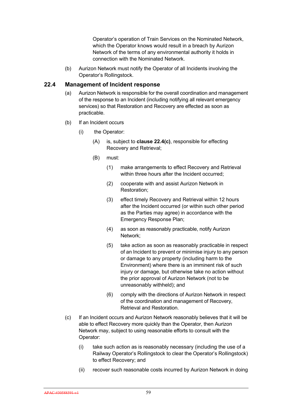Operator's operation of Train Services on the Nominated Network, which the Operator knows would result in a breach by Aurizon Network of the terms of any environmental authority it holds in connection with the Nominated Network.

(b) Aurizon Network must notify the Operator of all Incidents involving the Operator's Rollingstock.

#### **22.4 Management of Incident response**

- (a) Aurizon Network is responsible for the overall coordination and management of the response to an Incident (including notifying all relevant emergency services) so that Restoration and Recovery are effected as soon as practicable.
- (b) If an Incident occurs
	- (i) the Operator:
		- (A) is, subject to **clause 22.4(c)**, responsible for effecting Recovery and Retrieval;
		- (B) must:
			- (1) make arrangements to effect Recovery and Retrieval within three hours after the Incident occurred;
			- (2) cooperate with and assist Aurizon Network in Restoration;
			- (3) effect timely Recovery and Retrieval within 12 hours after the Incident occurred (or within such other period as the Parties may agree) in accordance with the Emergency Response Plan;
			- (4) as soon as reasonably practicable, notify Aurizon Network;
			- (5) take action as soon as reasonably practicable in respect of an Incident to prevent or minimise injury to any person or damage to any property (including harm to the Environment) where there is an imminent risk of such injury or damage, but otherwise take no action without the prior approval of Aurizon Network (not to be unreasonably withheld); and
			- (6) comply with the directions of Aurizon Network in respect of the coordination and management of Recovery, Retrieval and Restoration.
- (c) If an Incident occurs and Aurizon Network reasonably believes that it will be able to effect Recovery more quickly than the Operator, then Aurizon Network may, subject to using reasonable efforts to consult with the Operator:
	- (i) take such action as is reasonably necessary (including the use of a Railway Operator's Rollingstock to clear the Operator's Rollingstock) to effect Recovery; and
	- (ii) recover such reasonable costs incurred by Aurizon Network in doing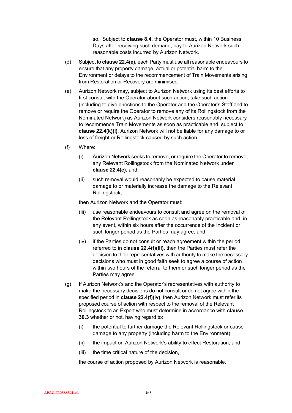so. Subject to **clause 8.4**, the Operator must, within 10 Business Days after receiving such demand, pay to Aurizon Network such reasonable costs incurred by Aurizon Network.

- (d) Subject to **clause 22.4(e)**, each Party must use all reasonable endeavours to ensure that any property damage, actual or potential harm to the Environment or delays to the recommencement of Train Movements arising from Restoration or Recovery are minimised.
- (e) Aurizon Network may, subject to Aurizon Network using its best efforts to first consult with the Operator about such action, take such action (including to give directions to the Operator and the Operator's Staff and to remove or require the Operator to remove any of its Rollingstock from the Nominated Network) as Aurizon Network considers reasonably necessary to recommence Train Movements as soon as practicable and, subject to **clause 22.4(k)(i)**, Aurizon Network will not be liable for any damage to or loss of freight or Rollingstock caused by such action.
- (f) Where:
	- (i) Aurizon Network seeks to remove, or require the Operator to remove, any Relevant Rollingstock from the Nominated Network under **clause 22.4(e)**; and
	- (ii) such removal would reasonably be expected to cause material damage to or materially increase the damage to the Relevant Rollingstock,

then Aurizon Network and the Operator must:

- (iii) use reasonable endeavours to consult and agree on the removal of the Relevant Rollingstock as soon as reasonably practicable and, in any event, within six hours after the occurrence of the Incident or such longer period as the Parties may agree; and
- (iv) if the Parties do not consult or reach agreement within the period referred to in **clause 22.4(f)(iii)**, then the Parties must refer the decision to their representatives with authority to make the necessary decisions who must in good faith seek to agree a course of action within two hours of the referral to them or such longer period as the Parties may agree.
- (g) If Aurizon Network's and the Operator's representatives with authority to make the necessary decisions do not consult or do not agree within the specified period in **clause 22.4(f)(iv)**, then Aurizon Network must refer its proposed course of action with respect to the removal of the Relevant Rollingstock to an Expert who must determine in accordance with **clause 30.3** whether or not, having regard to:
	- (i) the potential to further damage the Relevant Rollingstock or cause damage to any property (including harm to the Environment);
	- (ii) the impact on Aurizon Network's ability to effect Restoration; and
	- (iii) the time critical nature of the decision,

the course of action proposed by Aurizon Network is reasonable.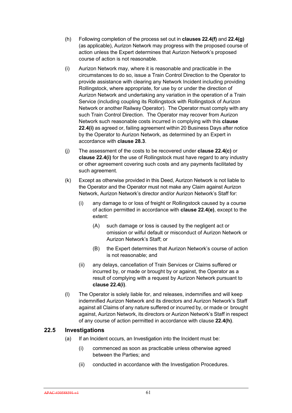- (h) Following completion of the process set out in **clauses 22.4(f)** and **22.4(g)**  (as applicable), Aurizon Network may progress with the proposed course of action unless the Expert determines that Aurizon Network's proposed course of action is not reasonable.
- (i) Aurizon Network may, where it is reasonable and practicable in the circumstances to do so, issue a Train Control Direction to the Operator to provide assistance with clearing any Network Incident including providing Rollingstock, where appropriate, for use by or under the direction of Aurizon Network and undertaking any variation in the operation of a Train Service (including coupling its Rollingstock with Rollingstock of Aurizon Network or another Railway Operator). The Operator must comply with any such Train Control Direction. The Operator may recover from Aurizon Network such reasonable costs incurred in complying with this **clause 22.4(i)** as agreed or, failing agreement within 20 Business Days after notice by the Operator to Aurizon Network, as determined by an Expert in accordance with **clause 28.3**.
- (j) The assessment of the costs to be recovered under **clause 22.4(c)** or **clause 22.4(i)** for the use of Rollingstock must have regard to any industry or other agreement covering such costs and any payments facilitated by such agreement.
- (k) Except as otherwise provided in this Deed, Aurizon Network is not liable to the Operator and the Operator must not make any Claim against Aurizon Network, Aurizon Network's director and/or Aurizon Network's Staff for:
	- (i) any damage to or loss of freight or Rollingstock caused by a course of action permitted in accordance with **clause 22.4(e)**, except to the extent:
		- (A) such damage or loss is caused by the negligent act or omission or wilful default or misconduct of Aurizon Network or Aurizon Network's Staff; or
		- (B) the Expert determines that Aurizon Network's course of action is not reasonable; and
	- (ii) any delays, cancellation of Train Services or Claims suffered or incurred by, or made or brought by or against, the Operator as a result of complying with a request by Aurizon Network pursuant to **clause 22.4(i)**.
- (l) The Operator is solely liable for, and releases, indemnifies and will keep indemnified Aurizon Network and its directors and Aurizon Network's Staff against all Claims of any nature suffered or incurred by, or made or brought against, Aurizon Network, its directors or Aurizon Network's Staff in respect of any course of action permitted in accordance with clause **22.4(h)**.

# **22.5 Investigations**

- (a) If an Incident occurs, an Investigation into the Incident must be:
	- (i) commenced as soon as practicable unless otherwise agreed between the Parties; and
	- (ii) conducted in accordance with the Investigation Procedures.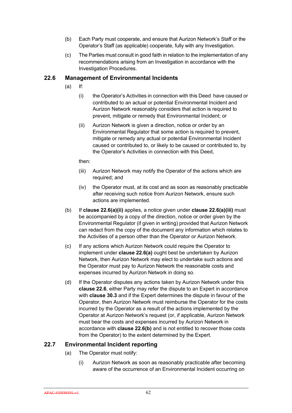- (b) Each Party must cooperate, and ensure that Aurizon Network's Staff or the Operator's Staff (as applicable) cooperate, fully with any Investigation.
- (c) The Parties must consult in good faith in relation to the implementation of any recommendations arising from an Investigation in accordance with the Investigation Procedures.

#### **22.6 Management of Environmental Incidents**

- (a) If:
	- (i) the Operator's Activities in connection with this Deed have caused or contributed to an actual or potential Environmental Incident and Aurizon Network reasonably considers that action is required to prevent, mitigate or remedy that Environmental Incident; or
	- (ii) Aurizon Network is given a direction, notice or order by an Environmental Regulator that some action is required to prevent, mitigate or remedy any actual or potential Environmental Incident caused or contributed to, or likely to be caused or contributed to, by the Operator's Activities in connection with this Deed,

then:

- (iii) Aurizon Network may notify the Operator of the actions which are required; and
- (iv) the Operator must, at its cost and as soon as reasonably practicable after receiving such notice from Aurizon Network, ensure such actions are implemented.
- (b) If **clause 22.6(a)(ii)** applies, a notice given under **clause 22.6(a)(iii)** must be accompanied by a copy of the direction, notice or order given by the Environmental Regulator (if given in writing) provided that Aurizon Network can redact from the copy of the document any information which relates to the Activities of a person other than the Operator or Aurizon Network.
- (c) If any actions which Aurizon Network could require the Operator to implement under **clause 22.6(a)** ought best be undertaken by Aurizon Network, then Aurizon Network may elect to undertake such actions and the Operator must pay to Aurizon Network the reasonable costs and expenses incurred by Aurizon Network in doing so.
- (d) If the Operator disputes any actions taken by Aurizon Network under this **clause 22.6**, either Party may refer the dispute to an Expert in accordance with **clause 30.3** and if the Expert determines the dispute in favour of the Operator, then Aurizon Network must reimburse the Operator for the costs incurred by the Operator as a result of the actions implemented by the Operator at Aurizon Network's request (or, if applicable, Aurizon Network must bear the costs and expenses incurred by Aurizon Network in accordance with **clause 22.6(b)** and is not entitled to recover those costs from the Operator) to the extent determined by the Expert.

## **22.7 Environmental Incident reporting**

- (a) The Operator must notify:
	- (i) Aurizon Network as soon as reasonably practicable after becoming aware of the occurrence of an Environmental Incident occurring on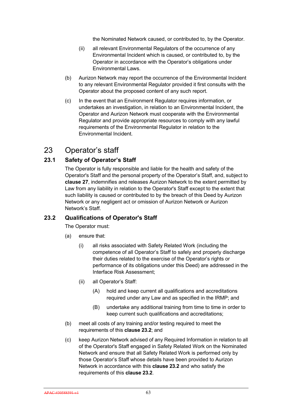the Nominated Network caused, or contributed to, by the Operator.

- (ii) all relevant Environmental Regulators of the occurrence of any Environmental Incident which is caused, or contributed to, by the Operator in accordance with the Operator's obligations under Environmental Laws.
- (b) Aurizon Network may report the occurrence of the Environmental Incident to any relevant Environmental Regulator provided it first consults with the Operator about the proposed content of any such report.
- (c) In the event that an Environment Regulator requires information, or undertakes an investigation, in relation to an Environmental Incident, the Operator and Aurizon Network must cooperate with the Environmental Regulator and provide appropriate resources to comply with any lawful requirements of the Environmental Regulator in relation to the Environmental Incident.

# 23 Operator's staff

# **23.1 Safety of Operator's Staff**

The Operator is fully responsible and liable for the health and safety of the Operator's Staff and the personal property of the Operator's Staff, and, subject to **clause 27**, indemnifies and releases Aurizon Network to the extent permitted by Law from any liability in relation to the Operator's Staff except to the extent that such liability is caused or contributed to by the breach of this Deed by Aurizon Network or any negligent act or omission of Aurizon Network or Aurizon Network's Staff.

# **23.2 Qualifications of Operator's Staff**

The Operator must:

- (a) ensure that:
	- (i) all risks associated with Safety Related Work (including the competence of all Operator's Staff to safely and properly discharge their duties related to the exercise of the Operator's rights or performance of its obligations under this Deed) are addressed in the Interface Risk Assessment;
	- (ii) all Operator's Staff:
		- (A) hold and keep current all qualifications and accreditations required under any Law and as specified in the IRMP; and
		- (B) undertake any additional training from time to time in order to keep current such qualifications and accreditations;
- (b) meet all costs of any training and/or testing required to meet the requirements of this **clause 23.2**; and
- (c) keep Aurizon Network advised of any Required Information in relation to all of the Operator's Staff engaged in Safety Related Work on the Nominated Network and ensure that all Safety Related Work is performed only by those Operator's Staff whose details have been provided to Aurizon Network in accordance with this **clause 23.2** and who satisfy the requirements of this **clause 23.2**.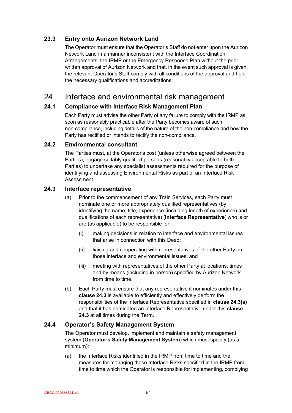# **23.3 Entry onto Aurizon Network Land**

The Operator must ensure that the Operator's Staff do not enter upon the Aurizon Network Land in a manner inconsistent with the Interface Coordination Arrangements, the IRMP or the Emergency Response Plan without the prior written approval of Aurizon Network and that, in the event such approval is given, the relevant Operator's Staff comply with all conditions of the approval and hold the necessary qualifications and accreditations.

# 24 Interface and environmental risk management

# **24.1 Compliance with Interface Risk Management Plan**

Each Party must advise the other Party of any failure to comply with the IRMP as soon as reasonably practicable after the Party becomes aware of such non-compliance, including details of the nature of the non-compliance and how the Party has rectified or intends to rectify the non-compliance.

## **24.2 Environmental consultant**

The Parties must, at the Operator's cost (unless otherwise agreed between the Parties), engage suitably qualified persons (reasonably acceptable to both Parties) to undertake any specialist assessments required for the purpose of identifying and assessing Environmental Risks as part of an Interface Risk Assessment.

## **24.3 Interface representative**

- (a) Prior to the commencement of any Train Services, each Party must nominate one or more appropriately qualified representatives (by identifying the name, title, experience (including length of experience) and qualifications of each representative) (**Interface Representative**) who is or are (as applicable) to be responsible for:
	- (i) making decisions in relation to interface and environmental issues that arise in connection with this Deed;
	- (ii) liaising and cooperating with representatives of the other Party on those interface and environmental issues; and
	- (iii) meeting with representatives of the other Party at locations, times and by means (including in person) specified by Aurizon Network from time to time.
- (b) Each Party must ensure that any representative it nominates under this **clause 24.3** is available to efficiently and effectively perform the responsibilities of the Interface Representative specified in **clause 24.3(a)**  and that it has nominated an Interface Representative under this **clause 24.3** at all times during the Term.

## **24.4 Operator's Safety Management System**

The Operator must develop, implement and maintain a safety management system (**Operator's Safety Management System**) which must specify (as a minimum):

(a) the Interface Risks identified in the IRMP from time to time and the measures for managing those Interface Risks specified in the IRMP from time to time which the Operator is responsible for implementing, complying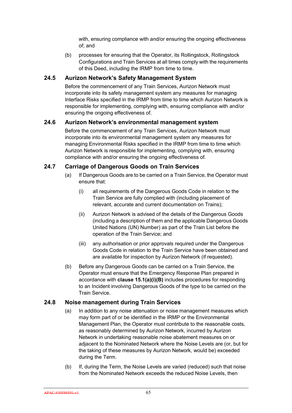with, ensuring compliance with and/or ensuring the ongoing effectiveness of; and

(b) processes for ensuring that the Operator, its Rollingstock, Rollingstock Configurations and Train Services at all times comply with the requirements of this Deed, including the IRMP from time to time.

## **24.5 Aurizon Network's Safety Management System**

Before the commencement of any Train Services, Aurizon Network must incorporate into its safety management system any measures for managing Interface Risks specified in the IRMP from time to time which Aurizon Network is responsible for implementing, complying with, ensuring compliance with and/or ensuring the ongoing effectiveness of.

## **24.6 Aurizon Network's environmental management system**

Before the commencement of any Train Services, Aurizon Network must incorporate into its environmental management system any measures for managing Environmental Risks specified in the IRMP from time to time which Aurizon Network is responsible for implementing, complying with, ensuring compliance with and/or ensuring the ongoing effectiveness of.

# **24.7 Carriage of Dangerous Goods on Train Services**

- (a) If Dangerous Goods are to be carried on a Train Service, the Operator must ensure that:
	- (i) all requirements of the Dangerous Goods Code in relation to the Train Service are fully complied with (including placement of relevant, accurate and current documentation on Trains);
	- (ii) Aurizon Network is advised of the details of the Dangerous Goods (including a description of them and the applicable Dangerous Goods United Nations (UN) Number) as part of the Train List before the operation of the Train Service; and
	- (iii) any authorisation or prior approvals required under the Dangerous Goods Code in relation to the Train Service have been obtained and are available for inspection by Aurizon Network (if requested).
- (b) Before any Dangerous Goods can be carried on a Train Service, the Operator must ensure that the Emergency Response Plan prepared in accordance with **clause 15.1(a)(i)(B)** includes procedures for responding to an Incident involving Dangerous Goods of the type to be carried on the Train Service.

## **24.8 Noise management during Train Services**

- (a) In addition to any noise attenuation or noise management measures which may form part of or be identified in the IRMP or the Environmental Management Plan, the Operator must contribute to the reasonable costs, as reasonably determined by Aurizon Network, incurred by Aurizon Network in undertaking reasonable noise abatement measures on or adjacent to the Nominated Network where the Noise Levels are (or, but for the taking of these measures by Aurizon Network, would be) exceeded during the Term.
- (b) If, during the Term, the Noise Levels are varied (reduced) such that noise from the Nominated Network exceeds the reduced Noise Levels, then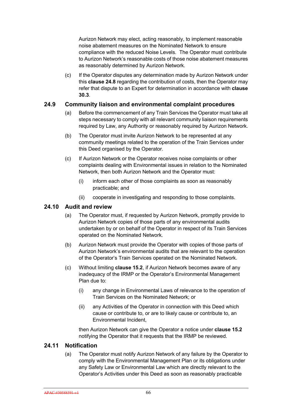Aurizon Network may elect, acting reasonably, to implement reasonable noise abatement measures on the Nominated Network to ensure compliance with the reduced Noise Levels. The Operator must contribute to Aurizon Network's reasonable costs of those noise abatement measures as reasonably determined by Aurizon Network.

(c) If the Operator disputes any determination made by Aurizon Network under this **clause 24.8** regarding the contribution of costs, then the Operator may refer that dispute to an Expert for determination in accordance with **clause 30.3**.

#### **24.9 Community liaison and environmental complaint procedures**

- (a) Before the commencement of any Train Services the Operator must take all steps necessary to comply with all relevant community liaison requirements required by Law, any Authority or reasonably required by Aurizon Network.
- (b) The Operator must invite Aurizon Network to be represented at any community meetings related to the operation of the Train Services under this Deed organised by the Operator.
- (c) If Aurizon Network or the Operator receives noise complaints or other complaints dealing with Environmental issues in relation to the Nominated Network, then both Aurizon Network and the Operator must:
	- (i) inform each other of those complaints as soon as reasonably practicable; and
	- (ii) cooperate in investigating and responding to those complaints.

# **24.10 Audit and review**

- (a) The Operator must, if requested by Aurizon Network, promptly provide to Aurizon Network copies of those parts of any environmental audits undertaken by or on behalf of the Operator in respect of its Train Services operated on the Nominated Network.
- (b) Aurizon Network must provide the Operator with copies of those parts of Aurizon Network's environmental audits that are relevant to the operation of the Operator's Train Services operated on the Nominated Network.
- (c) Without limiting **clause 15.2**, if Aurizon Network becomes aware of any inadequacy of the IRMP or the Operator's Environmental Management Plan due to:
	- (i) any change in Environmental Laws of relevance to the operation of Train Services on the Nominated Network; or
	- (ii) any Activities of the Operator in connection with this Deed which cause or contribute to, or are to likely cause or contribute to, an Environmental Incident,

then Aurizon Network can give the Operator a notice under **clause 15.2**  notifying the Operator that it requests that the IRMP be reviewed.

#### **24.11 Notification**

(a) The Operator must notify Aurizon Network of any failure by the Operator to comply with the Environmental Management Plan or its obligations under any Safety Law or Environmental Law which are directly relevant to the Operator's Activities under this Deed as soon as reasonably practicable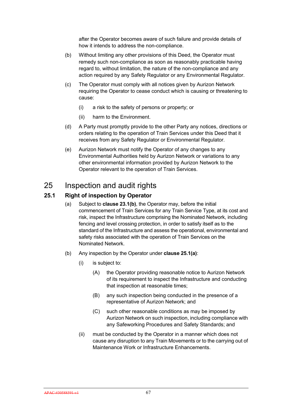after the Operator becomes aware of such failure and provide details of how it intends to address the non-compliance.

- (b) Without limiting any other provisions of this Deed, the Operator must remedy such non-compliance as soon as reasonably practicable having regard to, without limitation, the nature of the non-compliance and any action required by any Safety Regulator or any Environmental Regulator.
- (c) The Operator must comply with all notices given by Aurizon Network requiring the Operator to cease conduct which is causing or threatening to cause:
	- (i) a risk to the safety of persons or property; or
	- (ii) harm to the Environment.
- (d) A Party must promptly provide to the other Party any notices, directions or orders relating to the operation of Train Services under this Deed that it receives from any Safety Regulator or Environmental Regulator.
- (e) Aurizon Network must notify the Operator of any changes to any Environmental Authorities held by Aurizon Network or variations to any other environmental information provided by Aurizon Network to the Operator relevant to the operation of Train Services.

# 25 Inspection and audit rights

# **25.1 Right of inspection by Operator**

- (a) Subject to **clause 23.1(b)**, the Operator may, before the initial commencement of Train Services for any Train Service Type, at its cost and risk, inspect the Infrastructure comprising the Nominated Network, including fencing and level crossing protection, in order to satisfy itself as to the standard of the Infrastructure and assess the operational, environmental and safety risks associated with the operation of Train Services on the Nominated Network.
- (b) Any inspection by the Operator under **clause 25.1(a)**:
	- (i) is subject to:
		- (A) the Operator providing reasonable notice to Aurizon Network of its requirement to inspect the Infrastructure and conducting that inspection at reasonable times;
		- (B) any such inspection being conducted in the presence of a representative of Aurizon Network; and
		- (C) such other reasonable conditions as may be imposed by Aurizon Network on such inspection, including compliance with any Safeworking Procedures and Safety Standards; and
	- (ii) must be conducted by the Operator in a manner which does not cause any disruption to any Train Movements or to the carrying out of Maintenance Work or Infrastructure Enhancements.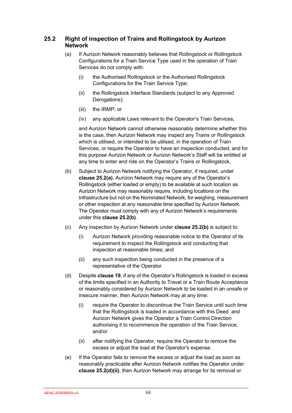# **25.2 Right of inspection of Trains and Rollingstock by Aurizon Network**

- (a) If Aurizon Network reasonably believes that Rollingstock or Rollingstock Configurations for a Train Service Type used in the operation of Train Services do not comply with:
	- (i) the Authorised Rollingstock or the Authorised Rollingstock Configurations for the Train Service Type;
	- (ii) the Rollingstock Interface Standards (subject to any Approved Derogations);
	- (iii) the IRMP; or
	- (iv) any applicable Laws relevant to the Operator's Train Services,

and Aurizon Network cannot otherwise reasonably determine whether this is the case, then Aurizon Network may inspect any Trains or Rollingstock which is utilised, or intended to be utilised, in the operation of Train Services, or require the Operator to have an inspection conducted, and for this purpose Aurizon Network or Aurizon Network's Staff will be entitled at any time to enter and ride on the Operator's Trains or Rollingstock.

- (b) Subject to Aurizon Network notifying the Operator, if required, under **clause 25.2(a)**, Aurizon Network may require any of the Operator's Rollingstock (either loaded or empty) to be available at such location as Aurizon Network may reasonably require, including locations on the Infrastructure but not on the Nominated Network, for weighing, measurement or other inspection at any reasonable time specified by Aurizon Network. The Operator must comply with any of Aurizon Network's requirements under this **clause 25.2(b)**.
- (c) Any inspection by Aurizon Network under **clause 25.2(b)** is subject to:
	- (i) Aurizon Network providing reasonable notice to the Operator of its requirement to inspect the Rollingstock and conducting that inspection at reasonable times; and
	- (ii) any such inspection being conducted in the presence of a representative of the Operator.
- (d) Despite **clause 19**, if any of the Operator's Rollingstock is loaded in excess of the limits specified in an Authority to Travel or a Train Route Acceptance or reasonably considered by Aurizon Network to be loaded in an unsafe or insecure manner, then Aurizon Network may at any time:
	- (i) require the Operator to discontinue the Train Service until such time that the Rollingstock is loaded in accordance with this Deed and Aurizon Network gives the Operator a Train Control Direction authorising it to recommence the operation of the Train Service; and/or
	- (ii) after notifying the Operator, require the Operator to remove the excess or adjust the load at the Operator's expense.
- (e) If the Operator fails to remove the excess or adjust the load as soon as reasonably practicable after Aurizon Network notifies the Operator under **clause 25.2(d)(ii)**, then Aurizon Network may arrange for its removal or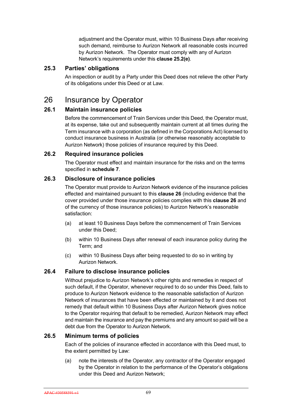adjustment and the Operator must, within 10 Business Days after receiving such demand, reimburse to Aurizon Network all reasonable costs incurred by Aurizon Network. The Operator must comply with any of Aurizon Network's requirements under this **clause 25.2(e)**.

# **25.3 Parties' obligations**

An inspection or audit by a Party under this Deed does not relieve the other Party of its obligations under this Deed or at Law.

# 26 Insurance by Operator

# **26.1 Maintain insurance policies**

Before the commencement of Train Services under this Deed, the Operator must, at its expense, take out and subsequently maintain current at all times during the Term insurance with a corporation (as defined in the Corporations Act) licensed to conduct insurance business in Australia (or otherwise reasonably acceptable to Aurizon Network) those policies of insurance required by this Deed.

#### **26.2 Required insurance policies**

The Operator must effect and maintain insurance for the risks and on the terms specified in **schedule 7**.

# **26.3 Disclosure of insurance policies**

The Operator must provide to Aurizon Network evidence of the insurance policies effected and maintained pursuant to this **clause 26** (including evidence that the cover provided under those insurance policies complies with this **clause 26** and of the currency of those insurance policies) to Aurizon Network's reasonable satisfaction:

- (a) at least 10 Business Days before the commencement of Train Services under this Deed;
- (b) within 10 Business Days after renewal of each insurance policy during the Term; and
- (c) within 10 Business Days after being requested to do so in writing by Aurizon Network.

# **26.4 Failure to disclose insurance policies**

Without prejudice to Aurizon Network's other rights and remedies in respect of such default, if the Operator, whenever required to do so under this Deed, fails to produce to Aurizon Network evidence to the reasonable satisfaction of Aurizon Network of insurances that have been effected or maintained by it and does not remedy that default within 10 Business Days after Aurizon Network gives notice to the Operator requiring that default to be remedied, Aurizon Network may effect and maintain the insurance and pay the premiums and any amount so paid will be a debt due from the Operator to Aurizon Network.

#### **26.5 Minimum terms of policies**

Each of the policies of insurance effected in accordance with this Deed must, to the extent permitted by Law:

(a) note the interests of the Operator, any contractor of the Operator engaged by the Operator in relation to the performance of the Operator's obligations under this Deed and Aurizon Network;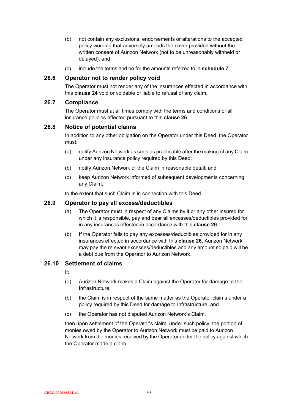- (b) not contain any exclusions, endorsements or alterations to the accepted policy wording that adversely amends the cover provided without the written consent of Aurizon Network (not to be unreasonably withheld or delayed); and
- (c) include the terms and be for the amounts referred to in **schedule 7**.

# **26.6 Operator not to render policy void**

The Operator must not render any of the insurances effected in accordance with this **clause 24** void or voidable or liable to refusal of any claim.

#### **26.7 Compliance**

The Operator must at all times comply with the terms and conditions of all insurance policies effected pursuant to this **clause 26**.

# **26.8 Notice of potential claims**

In addition to any other obligation on the Operator under this Deed, the Operator must:

- (a) notify Aurizon Network as soon as practicable after the making of any Claim under any insurance policy required by this Deed;
- (b) notify Aurizon Network of the Claim in reasonable detail; and
- (c) keep Aurizon Network informed of subsequent developments concerning any Claim,

to the extent that such Claim is in connection with this Deed.

#### **26.9 Operator to pay all excess/deductibles**

- (a) The Operator must in respect of any Claims by it or any other insured for which it is responsible, pay and bear all excesses/deductibles provided for in any insurances effected in accordance with this **clause 26**.
- (b) If the Operator fails to pay any excesses/deductibles provided for in any insurances effected in accordance with this **clause 26**, Aurizon Network may pay the relevant excesses/deductibles and any amount so paid will be a debt due from the Operator to Aurizon Network.

#### **26.10 Settlement of claims**

If:

- (a) Aurizon Network makes a Claim against the Operator for damage to the Infrastructure;
- (b) the Claim is in respect of the same matter as the Operator claims under a policy required by this Deed for damage to Infrastructure; and
- (c) the Operator has not disputed Aurizon Network's Claim,

then upon settlement of the Operator's claim, under such policy, the portion of monies owed by the Operator to Aurizon Network must be paid to Aurizon Network from the monies received by the Operator under the policy against which the Operator made a claim.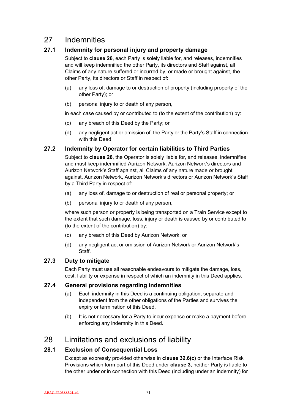# 27 Indemnities

# **27.1 Indemnity for personal injury and property damage**

Subject to **clause 26**, each Party is solely liable for, and releases, indemnifies and will keep indemnified the other Party, its directors and Staff against, all Claims of any nature suffered or incurred by, or made or brought against, the other Party, its directors or Staff in respect of:

- (a) any loss of, damage to or destruction of property (including property of the other Party); or
- (b) personal injury to or death of any person,

in each case caused by or contributed to (to the extent of the contribution) by:

- (c) any breach of this Deed by the Party; or
- (d) any negligent act or omission of, the Party or the Party's Staff in connection with this Deed.

# **27.2 Indemnity by Operator for certain liabilities to Third Parties**

Subject to **clause 26**, the Operator is solely liable for, and releases, indemnifies and must keep indemnified Aurizon Network, Aurizon Network's directors and Aurizon Network's Staff against, all Claims of any nature made or brought against, Aurizon Network, Aurizon Network's directors or Aurizon Network's Staff by a Third Party in respect of:

- (a) any loss of, damage to or destruction of real or personal property; or
- (b) personal injury to or death of any person,

where such person or property is being transported on a Train Service except to the extent that such damage, loss, injury or death is caused by or contributed to (to the extent of the contribution) by:

- (c) any breach of this Deed by Aurizon Network; or
- (d) any negligent act or omission of Aurizon Network or Aurizon Network's **Staff**

# **27.3 Duty to mitigate**

Each Party must use all reasonable endeavours to mitigate the damage, loss, cost, liability or expense in respect of which an indemnity in this Deed applies.

# **27.4 General provisions regarding indemnities**

- (a) Each indemnity in this Deed is a continuing obligation, separate and independent from the other obligations of the Parties and survives the expiry or termination of this Deed.
- (b) It is not necessary for a Party to incur expense or make a payment before enforcing any indemnity in this Deed.

# 28 Limitations and exclusions of liability

# **28.1 Exclusion of Consequential Loss**

Except as expressly provided otherwise in **clause 32.6(c)** or the Interface Risk Provisions which form part of this Deed under **clause 3**, neither Party is liable to the other under or in connection with this Deed (including under an indemnity) for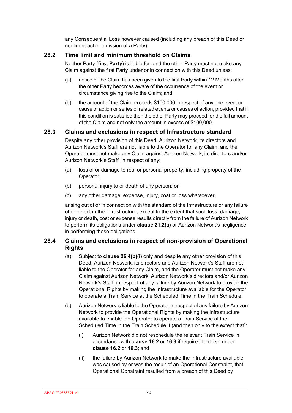any Consequential Loss however caused (including any breach of this Deed or negligent act or omission of a Party).

# **28.2 Time limit and minimum threshold on Claims**

Neither Party (**first Party**) is liable for, and the other Party must not make any Claim against the first Party under or in connection with this Deed unless:

- (a) notice of the Claim has been given to the first Party within 12 Months after the other Party becomes aware of the occurrence of the event or circumstance giving rise to the Claim; and
- (b) the amount of the Claim exceeds \$100,000 in respect of any one event or cause of action or series of related events or causes of action, provided that if this condition is satisfied then the other Party may proceed for the full amount of the Claim and not only the amount in excess of \$100,000.

# **28.3 Claims and exclusions in respect of Infrastructure standard**

Despite any other provision of this Deed, Aurizon Network, its directors and Aurizon Network's Staff are not liable to the Operator for any Claim, and the Operator must not make any Claim against Aurizon Network, its directors and/or Aurizon Network's Staff, in respect of any:

- (a) loss of or damage to real or personal property, including property of the Operator;
- (b) personal injury to or death of any person; or
- (c) any other damage, expense, injury, cost or loss whatsoever,

arising out of or in connection with the standard of the Infrastructure or any failure of or defect in the Infrastructure, except to the extent that such loss, damage, injury or death, cost or expense results directly from the failure of Aurizon Network to perform its obligations under **clause 21.2(a)** or Aurizon Network's negligence in performing those obligations.

# **28.4 Claims and exclusions in respect of non-provision of Operational Rights**

- (a) Subject to **clause 26.4(b)(i)** only and despite any other provision of this Deed, Aurizon Network, its directors and Aurizon Network's Staff are not liable to the Operator for any Claim, and the Operator must not make any Claim against Aurizon Network, Aurizon Network's directors and/or Aurizon Network's Staff, in respect of any failure by Aurizon Network to provide the Operational Rights by making the Infrastructure available for the Operator to operate a Train Service at the Scheduled Time in the Train Schedule.
- (b) Aurizon Network is liable to the Operator in respect of any failure by Aurizon Network to provide the Operational Rights by making the Infrastructure available to enable the Operator to operate a Train Service at the Scheduled Time in the Train Schedule if (and then only to the extent that):
	- (i) Aurizon Network did not reschedule the relevant Train Service in accordance with **clause 16.2** or **16.3** if required to do so under **clause 16.2** or **16.3**; and
	- (ii) the failure by Aurizon Network to make the Infrastructure available was caused by or was the result of an Operational Constraint, that Operational Constraint resulted from a breach of this Deed by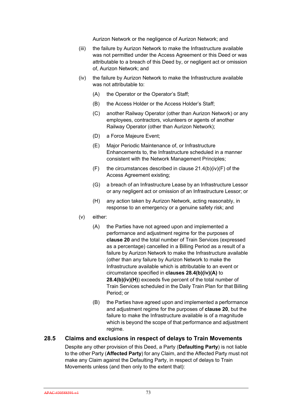Aurizon Network or the negligence of Aurizon Network; and

- (iii) the failure by Aurizon Network to make the Infrastructure available was not permitted under the Access Agreement or this Deed or was attributable to a breach of this Deed by, or negligent act or omission of, Aurizon Network; and
- (iv) the failure by Aurizon Network to make the Infrastructure available was not attributable to:
	- (A) the Operator or the Operator's Staff;
	- (B) the Access Holder or the Access Holder's Staff;
	- (C) another Railway Operator (other than Aurizon Network) or any employees, contractors, volunteers or agents of another Railway Operator (other than Aurizon Network);
	- (D) a Force Majeure Event;
	- (E) Major Periodic Maintenance of, or Infrastructure Enhancements to, the Infrastructure scheduled in a manner consistent with the Network Management Principles;
	- $(F)$  the circumstances described in clause 21.4(b)(iv)(F) of the Access Agreement existing;
	- (G) a breach of an Infrastructure Lease by an Infrastructure Lessor or any negligent act or omission of an Infrastructure Lessor; or
	- (H) any action taken by Aurizon Network, acting reasonably, in response to an emergency or a genuine safety risk; and
- (v) either:
	- (A) the Parties have not agreed upon and implemented a performance and adjustment regime for the purposes of **clause 20** and the total number of Train Services (expressed as a percentage) cancelled in a Billing Period as a result of a failure by Aurizon Network to make the Infrastructure available (other than any failure by Aurizon Network to make the Infrastructure available which is attributable to an event or circumstance specified in **clauses 28.4(b)(iv)(A)** to **28.4(b)(iv)(H)**) exceeds five percent of the total number of Train Services scheduled in the Daily Train Plan for that Billing Period; or
	- (B) the Parties have agreed upon and implemented a performance and adjustment regime for the purposes of **clause 20**, but the failure to make the Infrastructure available is of a magnitude which is beyond the scope of that performance and adjustment regime.

#### **28.5 Claims and exclusions in respect of delays to Train Movements**

Despite any other provision of this Deed, a Party (**Defaulting Party**) is not liable to the other Party (**Affected Party**) for any Claim, and the Affected Party must not make any Claim against the Defaulting Party, in respect of delays to Train Movements unless (and then only to the extent that):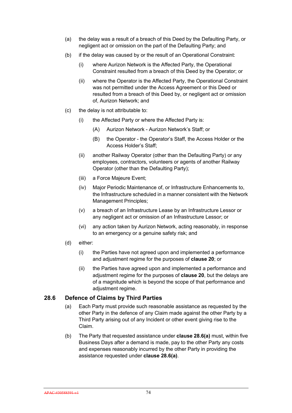- (a) the delay was a result of a breach of this Deed by the Defaulting Party, or negligent act or omission on the part of the Defaulting Party; and
- (b) if the delay was caused by or the result of an Operational Constraint:
	- (i) where Aurizon Network is the Affected Party, the Operational Constraint resulted from a breach of this Deed by the Operator; or
	- (ii) where the Operator is the Affected Party, the Operational Constraint was not permitted under the Access Agreement or this Deed or resulted from a breach of this Deed by, or negligent act or omission of, Aurizon Network; and
- (c) the delay is not attributable to:
	- (i) the Affected Party or where the Affected Party is:
		- (A) Aurizon Network Aurizon Network's Staff; or
		- (B) the Operator the Operator's Staff, the Access Holder or the Access Holder's Staff;
	- (ii) another Railway Operator (other than the Defaulting Party) or any employees, contractors, volunteers or agents of another Railway Operator (other than the Defaulting Party);
	- (iii) a Force Majeure Event;
	- (iv) Major Periodic Maintenance of, or Infrastructure Enhancements to, the Infrastructure scheduled in a manner consistent with the Network Management Principles;
	- (v) a breach of an Infrastructure Lease by an Infrastructure Lessor or any negligent act or omission of an Infrastructure Lessor; or
	- (vi) any action taken by Aurizon Network, acting reasonably, in response to an emergency or a genuine safety risk; and
- (d) either:
	- (i) the Parties have not agreed upon and implemented a performance and adjustment regime for the purposes of **clause 20**; or
	- (ii) the Parties have agreed upon and implemented a performance and adjustment regime for the purposes of **clause 20**, but the delays are of a magnitude which is beyond the scope of that performance and adiustment regime.

# **28.6 Defence of Claims by Third Parties**

- (a) Each Party must provide such reasonable assistance as requested by the other Party in the defence of any Claim made against the other Party by a Third Party arising out of any Incident or other event giving rise to the Claim.
- (b) The Party that requested assistance under **clause 28.6(a)** must, within five Business Days after a demand is made, pay to the other Party any costs and expenses reasonably incurred by the other Party in providing the assistance requested under **clause 28.6(a)**.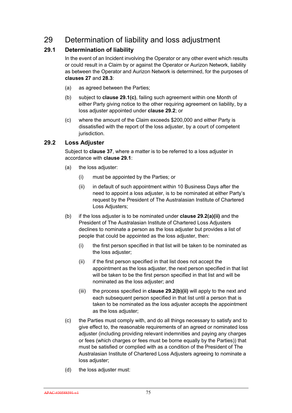# 29 Determination of liability and loss adjustment

# **29.1 Determination of liability**

In the event of an Incident involving the Operator or any other event which results or could result in a Claim by or against the Operator or Aurizon Network, liability as between the Operator and Aurizon Network is determined, for the purposes of **clauses 27** and **28.3**:

- (a) as agreed between the Parties;
- (b) subject to **clause 29.1(c)**, failing such agreement within one Month of either Party giving notice to the other requiring agreement on liability, by a loss adjuster appointed under **clause 29.2**; or
- (c) where the amount of the Claim exceeds \$200,000 and either Party is dissatisfied with the report of the loss adjuster, by a court of competent jurisdiction.

# **29.2 Loss Adjuster**

Subject to **clause 37**, where a matter is to be referred to a loss adjuster in accordance with **clause 29.1**:

- (a) the loss adjuster:
	- (i) must be appointed by the Parties; or
	- (ii) in default of such appointment within 10 Business Days after the need to appoint a loss adjuster, is to be nominated at either Party's request by the President of The Australasian Institute of Chartered Loss Adjusters;
- (b) if the loss adjuster is to be nominated under **clause 29.2(a)(ii)** and the President of The Australasian Institute of Chartered Loss Adjusters declines to nominate a person as the loss adjuster but provides a list of people that could be appointed as the loss adjuster, then:
	- (i) the first person specified in that list will be taken to be nominated as the loss adjuster;
	- (ii) if the first person specified in that list does not accept the appointment as the loss adjuster, the next person specified in that list will be taken to be the first person specified in that list and will be nominated as the loss adjuster; and
	- (iii) the process specified in **clause 29.2(b)(ii)** will apply to the next and each subsequent person specified in that list until a person that is taken to be nominated as the loss adjuster accepts the appointment as the loss adjuster;
- (c) the Parties must comply with, and do all things necessary to satisfy and to give effect to, the reasonable requirements of an agreed or nominated loss adjuster (including providing relevant indemnities and paying any charges or fees (which charges or fees must be borne equally by the Parties)) that must be satisfied or complied with as a condition of the President of The Australasian Institute of Chartered Loss Adjusters agreeing to nominate a loss adjuster;
- (d) the loss adjuster must: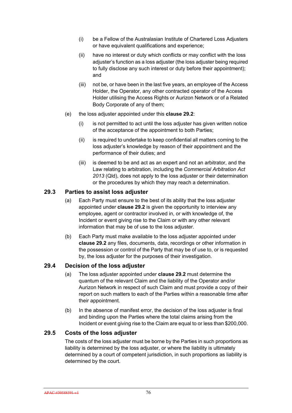- (i) be a Fellow of the Australasian Institute of Chartered Loss Adjusters or have equivalent qualifications and experience;
- (ii) have no interest or duty which conflicts or may conflict with the loss adjuster's function as a loss adjuster (the loss adjuster being required to fully disclose any such interest or duty before their appointment); and
- (iii) not be, or have been in the last five years, an employee of the Access Holder, the Operator, any other contracted operator of the Access Holder utilising the Access Rights or Aurizon Network or of a Related Body Corporate of any of them;
- (e) the loss adjuster appointed under this **clause 29.2**:
	- (i) is not permitted to act until the loss adjuster has given written notice of the acceptance of the appointment to both Parties;
	- (ii) is required to undertake to keep confidential all matters coming to the loss adjuster's knowledge by reason of their appointment and the performance of their duties; and
	- (iii) is deemed to be and act as an expert and not an arbitrator, and the Law relating to arbitration, including the *Commercial Arbitration Act 2013* (Qld), does not apply to the loss adjuster or their determination or the procedures by which they may reach a determination.

# **29.3 Parties to assist loss adjuster**

- (a) Each Party must ensure to the best of its ability that the loss adjuster appointed under **clause 29.2** is given the opportunity to interview any employee, agent or contractor involved in, or with knowledge of, the Incident or event giving rise to the Claim or with any other relevant information that may be of use to the loss adjuster.
- (b) Each Party must make available to the loss adjuster appointed under **clause 29.2** any files, documents, data, recordings or other information in the possession or control of the Party that may be of use to, or is requested by, the loss adjuster for the purposes of their investigation.

# **29.4 Decision of the loss adjuster**

- (a) The loss adjuster appointed under **clause 29.2** must determine the quantum of the relevant Claim and the liability of the Operator and/or Aurizon Network in respect of such Claim and must provide a copy of their report on such matters to each of the Parties within a reasonable time after their appointment.
- (b) In the absence of manifest error, the decision of the loss adjuster is final and binding upon the Parties where the total claims arising from the Incident or event giving rise to the Claim are equal to or less than \$200,000.

# **29.5 Costs of the loss adjuster**

The costs of the loss adjuster must be borne by the Parties in such proportions as liability is determined by the loss adjuster, or where the liability is ultimately determined by a court of competent jurisdiction, in such proportions as liability is determined by the court.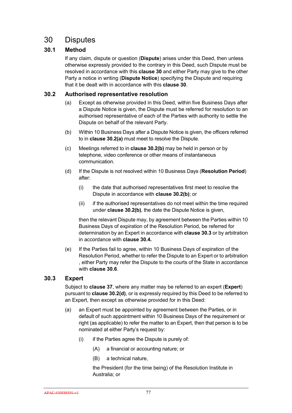# 30 Disputes

# **30.1 Method**

If any claim, dispute or question (**Dispute**) arises under this Deed, then unless otherwise expressly provided to the contrary in this Deed, such Dispute must be resolved in accordance with this **clause 30** and either Party may give to the other Party a notice in writing (**Dispute Notice**) specifying the Dispute and requiring that it be dealt with in accordance with this **clause 30**.

# **30.2 Authorised representative resolution**

- (a) Except as otherwise provided in this Deed, within five Business Days after a Dispute Notice is given, the Dispute must be referred for resolution to an authorised representative of each of the Parties with authority to settle the Dispute on behalf of the relevant Party.
- (b) Within 10 Business Days after a Dispute Notice is given, the officers referred to in **clause 30.2(a)** must meet to resolve the Dispute.
- (c) Meetings referred to in **clause 30.2(b)** may be held in person or by telephone, video conference or other means of instantaneous communication.
- (d) If the Dispute is not resolved within 10 Business Days (**Resolution Period**) after:
	- (i) the date that authorised representatives first meet to resolve the Dispute in accordance with **clause 30.2(b)**; or
	- (ii) if the authorised representatives do not meet within the time required under **clause 30.2(b)**, the date the Dispute Notice is given,

then the relevant Dispute may, by agreement between the Parties within 10 Business Days of expiration of the Resolution Period, be referred for determination by an Expert in accordance with **clause 30.3** or by arbitration in accordance with **clause 30.4.**

(e) If the Parties fail to agree, within 10 Business Days of expiration of the Resolution Period, whether to refer the Dispute to an Expert or to arbitration , either Party may refer the Dispute to the courts of the State in accordance with **clause 30.6**.

# **30.3 Expert**

Subject to **clause 37**, where any matter may be referred to an expert (**Expert**) pursuant to **clause 30.2(d)**, or is expressly required by this Deed to be referred to an Expert, then except as otherwise provided for in this Deed:

- (a) an Expert must be appointed by agreement between the Parties, or in default of such appointment within 10 Business Days of the requirement or right (as applicable) to refer the matter to an Expert, then that person is to be nominated at either Party's request by:
	- (i) if the Parties agree the Dispute is purely of:
		- (A) a financial or accounting nature; or
		- (B) a technical nature,

the President (for the time being) of the Resolution Institute in Australia; or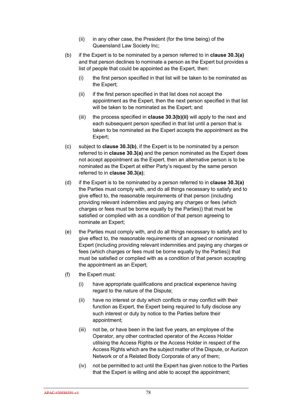- (ii) in any other case, the President (for the time being) of the Queensland Law Society Inc;
- (b) if the Expert is to be nominated by a person referred to in **clause 30.3(a)** and that person declines to nominate a person as the Expert but provides a list of people that could be appointed as the Expert, then:
	- (i) the first person specified in that list will be taken to be nominated as the Expert;
	- (ii) if the first person specified in that list does not accept the appointment as the Expert, then the next person specified in that list will be taken to be nominated as the Expert; and
	- (iii) the process specified in **clause 30.3(b)(ii)** will apply to the next and each subsequent person specified in that list until a person that is taken to be nominated as the Expert accepts the appointment as the Expert;
- (c) subject to **clause 30.3(b)**, if the Expert is to be nominated by a person referred to in **clause 30.3(a)** and the person nominated as the Expert does not accept appointment as the Expert, then an alternative person is to be nominated as the Expert at either Party's request by the same person referred to in **clause 30.3(a)**;
- (d) if the Expert is to be nominated by a person referred to in **clause 30.3(a)** the Parties must comply with, and do all things necessary to satisfy and to give effect to, the reasonable requirements of that person (including providing relevant indemnities and paying any charges or fees (which charges or fees must be borne equally by the Parties)) that must be satisfied or complied with as a condition of that person agreeing to nominate an Expert;
- (e) the Parties must comply with, and do all things necessary to satisfy and to give effect to, the reasonable requirements of an agreed or nominated Expert (including providing relevant indemnities and paying any charges or fees (which charges or fees must be borne equally by the Parties)) that must be satisfied or complied with as a condition of that person accepting the appointment as an Expert;
- (f) the Expert must:
	- (i) have appropriate qualifications and practical experience having regard to the nature of the Dispute;
	- (ii) have no interest or duty which conflicts or may conflict with their function as Expert, the Expert being required to fully disclose any such interest or duty by notice to the Parties before their appointment;
	- (iii) not be, or have been in the last five years, an employee of the Operator, any other contracted operator of the Access Holder utilising the Access Rights or the Access Holder in respect of the Access Rights which are the subject matter of the Dispute, or Aurizon Network or of a Related Body Corporate of any of them;
	- (iv) not be permitted to act until the Expert has given notice to the Parties that the Expert is willing and able to accept the appointment;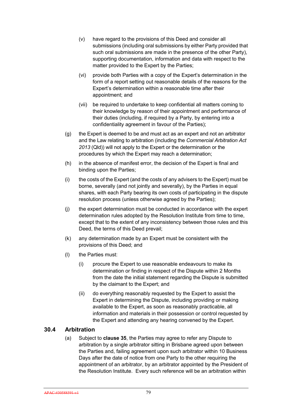- (v) have regard to the provisions of this Deed and consider all submissions (including oral submissions by either Party provided that such oral submissions are made in the presence of the other Party), supporting documentation, information and data with respect to the matter provided to the Expert by the Parties;
- (vi) provide both Parties with a copy of the Expert's determination in the form of a report setting out reasonable details of the reasons for the Expert's determination within a reasonable time after their appointment; and
- (vii) be required to undertake to keep confidential all matters coming to their knowledge by reason of their appointment and performance of their duties (including, if required by a Party, by entering into a confidentiality agreement in favour of the Parties);
- (g) the Expert is deemed to be and must act as an expert and not an arbitrator and the Law relating to arbitration (including the *Commercial Arbitration Act 2013* (Qld)) will not apply to the Expert or the determination or the procedures by which the Expert may reach a determination;
- (h) in the absence of manifest error, the decision of the Expert is final and binding upon the Parties;
- (i) the costs of the Expert (and the costs of any advisers to the Expert) must be borne, severally (and not jointly and severally), by the Parties in equal shares, with each Party bearing its own costs of participating in the dispute resolution process (unless otherwise agreed by the Parties);
- (j) the expert determination must be conducted in accordance with the expert determination rules adopted by the Resolution Institute from time to time, except that to the extent of any inconsistency between those rules and this Deed, the terms of this Deed prevail;
- (k) any determination made by an Expert must be consistent with the provisions of this Deed; and
- (l) the Parties must:
	- (i) procure the Expert to use reasonable endeavours to make its determination or finding in respect of the Dispute within 2 Months from the date the initial statement regarding the Dispute is submitted by the claimant to the Expert; and
	- (ii) do everything reasonably requested by the Expert to assist the Expert in determining the Dispute, including providing or making available to the Expert, as soon as reasonably practicable, all information and materials in their possession or control requested by the Expert and attending any hearing convened by the Expert.

# **30.4 Arbitration**

(a) Subject to **clause 35**, the Parties may agree to refer any Dispute to arbitration by a single arbitrator sitting in Brisbane agreed upon between the Parties and, failing agreement upon such arbitrator within 10 Business Days after the date of notice from one Party to the other requiring the appointment of an arbitrator, by an arbitrator appointed by the President of the Resolution Institute. Every such reference will be an arbitration within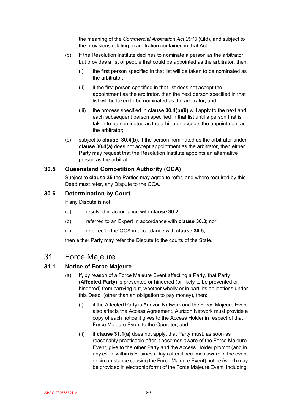the meaning of the *Commercial Arbitration Act 2013* (Qld), and subject to the provisions relating to arbitration contained in that Act.

- (b) If the Resolution Institute declines to nominate a person as the arbitrator but provides a list of people that could be appointed as the arbitrator, then:
	- (i) the first person specified in that list will be taken to be nominated as the arbitrator;
	- (ii) if the first person specified in that list does not accept the appointment as the arbitrator, then the next person specified in that list will be taken to be nominated as the arbitrator; and
	- (iii) the process specified in **clause 30.4(b)(ii)** will apply to the next and each subsequent person specified in that list until a person that is taken to be nominated as the arbitrator accepts the appointment as the arbitrator;
- (c) subject to **clause 30.4(b)**, if the person nominated as the arbitrator under **clause 30.4(a)** does not accept appointment as the arbitrator, then either Party may request that the Resolution Institute appoints an alternative person as the arbitrator.

# **30.5 Queensland Competition Authority (QCA)**

Subject to **clause 35** the Parties may agree to refer, and where required by this Deed must refer, any Dispute to the QCA.

# **30.6 Determination by Court**

If any Dispute is not:

- (a) resolved in accordance with **clause 30.2**;
- (b) referred to an Expert in accordance with **clause 30.3**; nor
- (c) referred to the QCA in accordance with **clause 30.5**,

then either Party may refer the Dispute to the courts of the State.

# 31 Force Majeure

# **31.1 Notice of Force Majeure**

- (a) If, by reason of a Force Majeure Event affecting a Party, that Party (**Affected Party**) is prevented or hindered (or likely to be prevented or hindered) from carrying out, whether wholly or in part, its obligations under this Deed (other than an obligation to pay money), then:
	- (i) if the Affected Party is Aurizon Network and the Force Majeure Event also affects the Access Agreement, Aurizon Network must provide a copy of each notice it gives to the Access Holder in respect of that Force Majeure Event to the Operator; and
	- (ii) if **clause 31.1(a)** does not apply, that Party must, as soon as reasonably practicable after it becomes aware of the Force Majeure Event, give to the other Party and the Access Holder prompt (and in any event within 5 Business Days after it becomes aware of the event or circumstance causing the Force Majeure Event) notice (which may be provided in electronic form) of the Force Majeure Event including: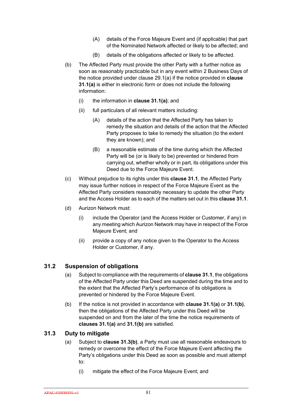- (A) details of the Force Majeure Event and (if applicable) that part of the Nominated Network affected or likely to be affected; and
- (B) details of the obligations affected or likely to be affected.
- (b) The Affected Party must provide the other Party with a further notice as soon as reasonably practicable but in any event within 2 Business Days of the notice provided under clause 29.1(a) if the notice provided in **clause 31.1(a)** is either in electronic form or does not include the following information:
	- (i) the information in **clause 31.1(a)**; and
	- (ii) full particulars of all relevant matters including:
		- (A) details of the action that the Affected Party has taken to remedy the situation and details of the action that the Affected Party proposes to take to remedy the situation (to the extent they are known); and
		- (B) a reasonable estimate of the time during which the Affected Party will be (or is likely to be) prevented or hindered from carrying out, whether wholly or in part, its obligations under this Deed due to the Force Majeure Event.
- (c) Without prejudice to its rights under this **clause 31.1**, the Affected Party may issue further notices in respect of the Force Majeure Event as the Affected Party considers reasonably necessary to update the other Party and the Access Holder as to each of the matters set out in this **clause 31.1**.
- (d) Aurizon Network must:
	- (i) include the Operator (and the Access Holder or Customer, if any) in any meeting which Aurizon Network may have in respect of the Force Majeure Event; and
	- (ii) provide a copy of any notice given to the Operator to the Access Holder or Customer, if any.

# **31.2 Suspension of obligations**

- (a) Subject to compliance with the requirements of **clause 31.1**, the obligations of the Affected Party under this Deed are suspended during the time and to the extent that the Affected Party's performance of its obligations is prevented or hindered by the Force Majeure Event.
- (b) If the notice is not provided in accordance with **clause 31.1(a)** or **31.1(b)**, then the obligations of the Affected Party under this Deed will be suspended on and from the later of the time the notice requirements of **clauses 31.1(a)** and **31.1(b)** are satisfied.

# **31.3 Duty to mitigate**

- (a) Subject to **clause 31.3(b)**, a Party must use all reasonable endeavours to remedy or overcome the effect of the Force Majeure Event affecting the Party's obligations under this Deed as soon as possible and must attempt to:
	- (i) mitigate the effect of the Force Majeure Event; and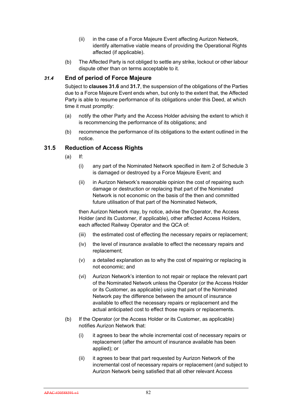- (ii) in the case of a Force Majeure Event affecting Aurizon Network, identify alternative viable means of providing the Operational Rights affected (if applicable).
- (b) The Affected Party is not obliged to settle any strike, lockout or other labour dispute other than on terms acceptable to it.

### *31.4* **End of period of Force Majeure**

Subject to **clauses 31.6** and **31.7**, the suspension of the obligations of the Parties due to a Force Majeure Event ends when, but only to the extent that, the Affected Party is able to resume performance of its obligations under this Deed, at which time it must promptly:

- (a) notify the other Party and the Access Holder advising the extent to which it is recommencing the performance of its obligations; and
- (b) recommence the performance of its obligations to the extent outlined in the notice.

#### **31.5 Reduction of Access Rights**

- (a) If:
	- (i) any part of the Nominated Network specified in item 2 of Schedule 3 is damaged or destroyed by a Force Majeure Event; and
	- (ii) in Aurizon Network's reasonable opinion the cost of repairing such damage or destruction or replacing that part of the Nominated Network is not economic on the basis of the then and committed future utilisation of that part of the Nominated Network,

then Aurizon Network may, by notice, advise the Operator, the Access Holder (and its Customer, if applicable), other affected Access Holders, each affected Railway Operator and the QCA of:

- (iii) the estimated cost of effecting the necessary repairs or replacement;
- (iv) the level of insurance available to effect the necessary repairs and replacement;
- (v) a detailed explanation as to why the cost of repairing or replacing is not economic; and
- (vi) Aurizon Network's intention to not repair or replace the relevant part of the Nominated Network unless the Operator (or the Access Holder or its Customer, as applicable) using that part of the Nominated Network pay the difference between the amount of insurance available to effect the necessary repairs or replacement and the actual anticipated cost to effect those repairs or replacements.
- (b) If the Operator (or the Access Holder or its Customer, as applicable) notifies Aurizon Network that:
	- (i) it agrees to bear the whole incremental cost of necessary repairs or replacement (after the amount of insurance available has been applied); or
	- (ii) it agrees to bear that part requested by Aurizon Network of the incremental cost of necessary repairs or replacement (and subject to Aurizon Network being satisfied that all other relevant Access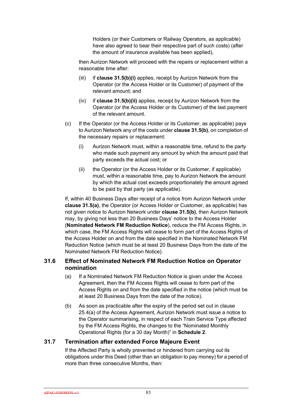Holders (or their Customers or Railway Operators, as applicable) have also agreed to bear their respective part of such costs) (after the amount of insurance available has been applied),

then Aurizon Network will proceed with the repairs or replacement within a reasonable time after:

- (iii) if **clause 31.5(b)(i)** applies, receipt by Aurizon Network from the Operator (or the Access Holder or its Customer) of payment of the relevant amount; and
- (iv) if **clause 31.5(b)(ii)** applies, receipt by Aurizon Network from the Operator (or the Access Holder or its Customer) of the last payment of the relevant amount.
- (c) If the Operator (or the Access Holder or its Customer, as applicable) pays to Aurizon Network any of the costs under **clause 31.5(b)**, on completion of the necessary repairs or replacement:
	- (i) Aurizon Network must, within a reasonable time, refund to the party who made such payment any amount by which the amount paid that party exceeds the actual cost; or
	- (ii) the Operator (or the Access Holder or its Customer, if applicable) must, within a reasonable time, pay to Aurizon Network the amount by which the actual cost exceeds proportionately the amount agreed to be paid by that party (as applicable).

If, within 40 Business Days after receipt of a notice from Aurizon Network under **clause 31.5(a)**, the Operator (or Access Holder or Customer, as applicable) has not given notice to Aurizon Network under **clause 31.5(b)**, then Aurizon Network may, by giving not less than 20 Business Days' notice to the Access Holder (**Nominated Network FM Reduction Notice**), reduce the FM Access Rights, in which case, the FM Access Rights will cease to form part of the Access Rights of the Access Holder on and from the date specified in the Nominated Network FM Reduction Notice (which must be at least 20 Business Days from the date of the Nominated Network FM Reduction Notice).

# **31.6 Effect of Nominated Network FM Reduction Notice on Operator nomination**

- (a) If a Nominated Network FM Reduction Notice is given under the Access Agreement, then the FM Access Rights will cease to form part of the Access Rights on and from the date specified in the notice (which must be at least 20 Business Days from the date of the notice).
- (b) As soon as practicable after the expiry of the period set out in clause 25.4(a) of the Access Agreement, Aurizon Network must issue a notice to the Operator summarising, in respect of each Train Service Type affected by the FM Access Rights, the changes to the "Nominated Monthly Operational Rights (for a 30 day Month)" in **Schedule 2**.

# **31.7 Termination after extended Force Majeure Event**

If the Affected Party is wholly prevented or hindered from carrying out its obligations under this Deed (other than an obligation to pay money) for a period of more than three consecutive Months, then: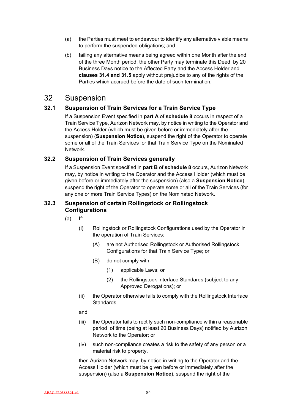- (a) the Parties must meet to endeavour to identify any alternative viable means to perform the suspended obligations; and
- (b) failing any alternative means being agreed within one Month after the end of the three Month period, the other Party may terminate this Deed by 20 Business Days notice to the Affected Party and the Access Holder and **clauses 31.4 and 31.5** apply without prejudice to any of the rights of the Parties which accrued before the date of such termination.

# 32 Suspension

# **32.1 Suspension of Train Services for a Train Service Type**

If a Suspension Event specified in **part A** of **schedule 8** occurs in respect of a Train Service Type, Aurizon Network may, by notice in writing to the Operator and the Access Holder (which must be given before or immediately after the suspension) (**Suspension Notice**), suspend the right of the Operator to operate some or all of the Train Services for that Train Service Type on the Nominated Network.

# **32.2 Suspension of Train Services generally**

If a Suspension Event specified in **part B** of **schedule 8** occurs, Aurizon Network may, by notice in writing to the Operator and the Access Holder (which must be given before or immediately after the suspension) (also a **Suspension Notice**), suspend the right of the Operator to operate some or all of the Train Services (for any one or more Train Service Types) on the Nominated Network.

# **32.3 Suspension of certain Rollingstock or Rollingstock Configurations**

- (a) If:
	- (i) Rollingstock or Rollingstock Configurations used by the Operator in the operation of Train Services:
		- (A) are not Authorised Rollingstock or Authorised Rollingstock Configurations for that Train Service Type; or
		- (B) do not comply with:
			- (1) applicable Laws; or
			- (2) the Rollingstock Interface Standards (subject to any Approved Derogations); or
	- (ii) the Operator otherwise fails to comply with the Rollingstock Interface Standards,

#### and

- (iii) the Operator fails to rectify such non-compliance within a reasonable period of time (being at least 20 Business Days) notified by Aurizon Network to the Operator; or
- (iv) such non-compliance creates a risk to the safety of any person or a material risk to property,

then Aurizon Network may, by notice in writing to the Operator and the Access Holder (which must be given before or immediately after the suspension) (also a **Suspension Notice**), suspend the right of the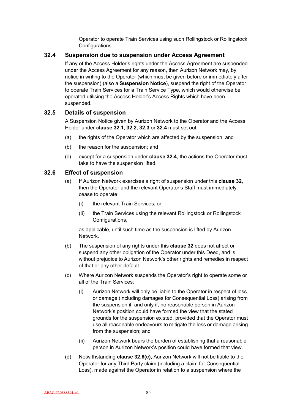Operator to operate Train Services using such Rollingstock or Rollingstock Configurations.

# **32.4 Suspension due to suspension under Access Agreement**

If any of the Access Holder's rights under the Access Agreement are suspended under the Access Agreement for any reason, then Aurizon Network may, by notice in writing to the Operator (which must be given before or immediately after the suspension) (also a **Suspension Notice**), suspend the right of the Operator to operate Train Services for a Train Service Type, which would otherwise be operated utilising the Access Holder's Access Rights which have been suspended.

# **32.5 Details of suspension**

A Suspension Notice given by Aurizon Network to the Operator and the Access Holder under **clause 32.1**, **32.2**, **32.3** or **32.4** must set out:

- (a) the rights of the Operator which are affected by the suspension; and
- (b) the reason for the suspension; and
- (c) except for a suspension under **clause 32.4**, the actions the Operator must take to have the suspension lifted.

#### **32.6 Effect of suspension**

- (a) If Aurizon Network exercises a right of suspension under this **clause 32**, then the Operator and the relevant Operator's Staff must immediately cease to operate:
	- (i) the relevant Train Services; or
	- (ii) the Train Services using the relevant Rollingstock or Rollingstock Configurations.

as applicable, until such time as the suspension is lifted by Aurizon Network.

- (b) The suspension of any rights under this **clause 32** does not affect or suspend any other obligation of the Operator under this Deed, and is without prejudice to Aurizon Network's other rights and remedies in respect of that or any other default.
- (c) Where Aurizon Network suspends the Operator's right to operate some or all of the Train Services:
	- (i) Aurizon Network will only be liable to the Operator in respect of loss or damage (including damages for Consequential Loss) arising from the suspension if, and only if, no reasonable person in Aurizon Network's position could have formed the view that the stated grounds for the suspension existed, provided that the Operator must use all reasonable endeavours to mitigate the loss or damage arising from the suspension; and
	- (ii) Aurizon Network bears the burden of establishing that a reasonable person in Aurizon Network's position could have formed that view.
- (d) Notwithstanding **clause 32.6(c)**, Aurizon Network will not be liable to the Operator for any Third Party claim (including a claim for Consequential Loss), made against the Operator in relation to a suspension where the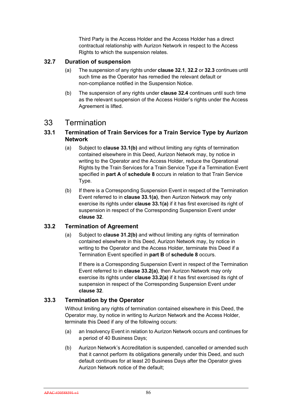Third Party is the Access Holder and the Access Holder has a direct contractual relationship with Aurizon Network in respect to the Access Rights to which the suspension relates.

# **32.7 Duration of suspension**

- (a) The suspension of any rights under **clause 32.1**, **32.2** or **32.3** continues until such time as the Operator has remedied the relevant default or non-compliance notified in the Suspension Notice.
- (b) The suspension of any rights under **clause 32.4** continues until such time as the relevant suspension of the Access Holder's rights under the Access Agreement is lifted.

# 33 Termination

# **33.1 Termination of Train Services for a Train Service Type by Aurizon Network**

- (a) Subject to **clause 33.1(b)** and without limiting any rights of termination contained elsewhere in this Deed, Aurizon Network may, by notice in writing to the Operator and the Access Holder, reduce the Operational Rights by the Train Services for a Train Service Type if a Termination Event specified in **part A** of **schedule 8** occurs in relation to that Train Service Type.
- (b) If there is a Corresponding Suspension Event in respect of the Termination Event referred to in **clause 33.1(a)**, then Aurizon Network may only exercise its rights under **clause 33.1(a)** if it has first exercised its right of suspension in respect of the Corresponding Suspension Event under **clause 32**.

# **33.2 Termination of Agreement**

(a) Subject to **clause 31.2(b)** and without limiting any rights of termination contained elsewhere in this Deed, Aurizon Network may, by notice in writing to the Operator and the Access Holder, terminate this Deed if a Termination Event specified in **part B** of **schedule 8** occurs.

If there is a Corresponding Suspension Event in respect of the Termination Event referred to in **clause 33.2(a)**, then Aurizon Network may only exercise its rights under **clause 33.2(a)** if it has first exercised its right of suspension in respect of the Corresponding Suspension Event under **clause 32**.

# **33.3 Termination by the Operator**

Without limiting any rights of termination contained elsewhere in this Deed, the Operator may, by notice in writing to Aurizon Network and the Access Holder, terminate this Deed if any of the following occurs:

- (a) an Insolvency Event in relation to Aurizon Network occurs and continues for a period of 40 Business Days;
- (b) Aurizon Network's Accreditation is suspended, cancelled or amended such that it cannot perform its obligations generally under this Deed, and such default continues for at least 20 Business Days after the Operator gives Aurizon Network notice of the default;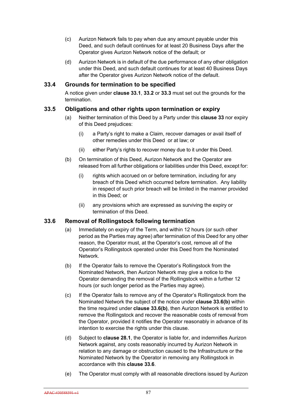- (c) Aurizon Network fails to pay when due any amount payable under this Deed, and such default continues for at least 20 Business Days after the Operator gives Aurizon Network notice of the default; or
- (d) Aurizon Network is in default of the due performance of any other obligation under this Deed, and such default continues for at least 40 Business Days after the Operator gives Aurizon Network notice of the default.

# **33.4 Grounds for termination to be specified**

A notice given under **clause 33.1**, **33.2** or **33.3** must set out the grounds for the termination.

#### **33.5 Obligations and other rights upon termination or expiry**

- (a) Neither termination of this Deed by a Party under this **clause 33** nor expiry of this Deed prejudices:
	- (i) a Party's right to make a Claim, recover damages or avail itself of other remedies under this Deed or at law; or
	- (ii) either Party's rights to recover money due to it under this Deed.
- (b) On termination of this Deed, Aurizon Network and the Operator are released from all further obligations or liabilities under this Deed, except for:
	- (i) rights which accrued on or before termination, including for any breach of this Deed which occurred before termination. Any liability in respect of such prior breach will be limited in the manner provided in this Deed; or
	- (ii) any provisions which are expressed as surviving the expiry or termination of this Deed.

#### **33.6 Removal of Rollingstock following termination**

- (a) Immediately on expiry of the Term, and within 12 hours (or such other period as the Parties may agree) after termination of this Deed for any other reason, the Operator must, at the Operator's cost, remove all of the Operator's Rollingstock operated under this Deed from the Nominated Network.
- (b) If the Operator fails to remove the Operator's Rollingstock from the Nominated Network, then Aurizon Network may give a notice to the Operator demanding the removal of the Rollingstock within a further 12 hours (or such longer period as the Parties may agree).
- (c) If the Operator fails to remove any of the Operator's Rollingstock from the Nominated Network the subject of the notice under **clause 33.6(b)** within the time required under **clause 33.6(b)**, then Aurizon Network is entitled to remove the Rollingstock and recover the reasonable costs of removal from the Operator, provided it notifies the Operator reasonably in advance of its intention to exercise the rights under this clause.
- (d) Subject to **clause 28.1**, the Operator is liable for, and indemnifies Aurizon Network against, any costs reasonably incurred by Aurizon Network in relation to any damage or obstruction caused to the Infrastructure or the Nominated Network by the Operator in removing any Rollingstock in accordance with this **clause 33.6**.
- (e) The Operator must comply with all reasonable directions issued by Aurizon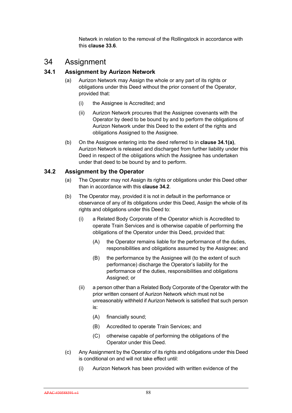Network in relation to the removal of the Rollingstock in accordance with this **clause 33.6**.

# 34 Assignment

# **34.1 Assignment by Aurizon Network**

- (a) Aurizon Network may Assign the whole or any part of its rights or obligations under this Deed without the prior consent of the Operator, provided that:
	- (i) the Assignee is Accredited; and
	- (ii) Aurizon Network procures that the Assignee covenants with the Operator by deed to be bound by and to perform the obligations of Aurizon Network under this Deed to the extent of the rights and obligations Assigned to the Assignee.
- (b) On the Assignee entering into the deed referred to in **clause 34.1(a)**, Aurizon Network is released and discharged from further liability under this Deed in respect of the obligations which the Assignee has undertaken under that deed to be bound by and to perform.

# **34.2 Assignment by the Operator**

- (a) The Operator may not Assign its rights or obligations under this Deed other than in accordance with this **clause 34.2**.
- (b) The Operator may, provided it is not in default in the performance or observance of any of its obligations under this Deed, Assign the whole of its rights and obligations under this Deed to:
	- (i) a Related Body Corporate of the Operator which is Accredited to operate Train Services and is otherwise capable of performing the obligations of the Operator under this Deed, provided that:
		- (A) the Operator remains liable for the performance of the duties, responsibilities and obligations assumed by the Assignee; and
		- (B) the performance by the Assignee will (to the extent of such performance) discharge the Operator's liability for the performance of the duties, responsibilities and obligations Assigned; or
	- (ii) a person other than a Related Body Corporate of the Operator with the prior written consent of Aurizon Network which must not be unreasonably withheld if Aurizon Network is satisfied that such person is:
		- (A) financially sound;
		- (B) Accredited to operate Train Services; and
		- (C) otherwise capable of performing the obligations of the Operator under this Deed.
- (c) Any Assignment by the Operator of its rights and obligations under this Deed is conditional on and will not take effect until:
	- (i) Aurizon Network has been provided with written evidence of the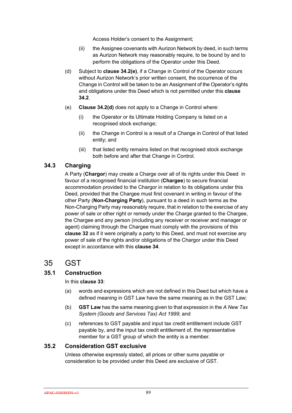Access Holder's consent to the Assignment;

- (ii) the Assignee covenants with Aurizon Network by deed, in such terms as Aurizon Network may reasonably require, to be bound by and to perform the obligations of the Operator under this Deed.
- (d) Subject to **clause 34.2(e)**, if a Change in Control of the Operator occurs without Aurizon Network's prior written consent, the occurrence of the Change in Control will be taken to be an Assignment of the Operator's rights and obligations under this Deed which is not permitted under this **clause 34.2**.
- (e) **Clause 34.2(d)** does not apply to a Change in Control where:
	- (i) the Operator or its Ultimate Holding Company is listed on a recognised stock exchange;
	- (ii) the Change in Control is a result of a Change in Control of that listed entity; and
	- (iii) that listed entity remains listed on that recognised stock exchange both before and after that Change in Control.

# **34.3 Charging**

A Party (**Chargor**) may create a Charge over all of its rights under this Deed in favour of a recognised financial institution (**Chargee**) to secure financial accommodation provided to the Chargor in relation to its obligations under this Deed, provided that the Chargee must first covenant in writing in favour of the other Party (**Non-Charging Party**), pursuant to a deed in such terms as the Non-Charging Party may reasonably require, that in relation to the exercise of any power of sale or other right or remedy under the Charge granted to the Chargee, the Chargee and any person (including any receiver or receiver and manager or agent) claiming through the Chargee must comply with the provisions of this **clause 32** as if it were originally a party to this Deed, and must not exercise any power of sale of the rights and/or obligations of the Chargor under this Deed except in accordance with this **clause 34**.

# 35 GST

# **35.1 Construction**

In this **clause 33**:

- (a) words and expressions which are not defined in this Deed but which have a defined meaning in GST Law have the same meaning as in the GST Law;
- (b) **GST Law** has the same meaning given to that expression in the *A New Tax System (Goods and Services Tax) Act 1999*; and
- (c) references to GST payable and input tax credit entitlement include GST payable by, and the input tax credit entitlement of, the representative member for a GST group of which the entity is a member.

# **35.2 Consideration GST exclusive**

Unless otherwise expressly stated, all prices or other sums payable or consideration to be provided under this Deed are exclusive of GST.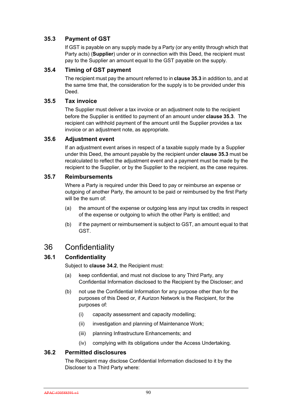# **35.3 Payment of GST**

If GST is payable on any supply made by a Party (or any entity through which that Party acts) (**Supplier**) under or in connection with this Deed, the recipient must pay to the Supplier an amount equal to the GST payable on the supply.

# **35.4 Timing of GST payment**

The recipient must pay the amount referred to in **clause 35.3** in addition to, and at the same time that, the consideration for the supply is to be provided under this Deed.

# **35.5 Tax invoice**

The Supplier must deliver a tax invoice or an adjustment note to the recipient before the Supplier is entitled to payment of an amount under **clause 35.3**. The recipient can withhold payment of the amount until the Supplier provides a tax invoice or an adjustment note, as appropriate.

# **35.6 Adjustment event**

If an adjustment event arises in respect of a taxable supply made by a Supplier under this Deed, the amount payable by the recipient under **clause 35.3** must be recalculated to reflect the adjustment event and a payment must be made by the recipient to the Supplier, or by the Supplier to the recipient, as the case requires.

# **35.7 Reimbursements**

Where a Party is required under this Deed to pay or reimburse an expense or outgoing of another Party, the amount to be paid or reimbursed by the first Party will be the sum of:

- (a) the amount of the expense or outgoing less any input tax credits in respect of the expense or outgoing to which the other Party is entitled; and
- (b) if the payment or reimbursement is subject to GST, an amount equal to that GST.

# 36 Confidentiality

# **36.1 Confidentiality**

Subject to **clause 34.2**, the Recipient must:

- (a) keep confidential, and must not disclose to any Third Party, any Confidential Information disclosed to the Recipient by the Discloser; and
- (b) not use the Confidential Information for any purpose other than for the purposes of this Deed or, if Aurizon Network is the Recipient, for the purposes of:
	- (i) capacity assessment and capacity modelling;
	- (ii) investigation and planning of Maintenance Work;
	- (iii) planning Infrastructure Enhancements; and
	- (iv) complying with its obligations under the Access Undertaking.

# **36.2 Permitted disclosures**

The Recipient may disclose Confidential Information disclosed to it by the Discloser to a Third Party where: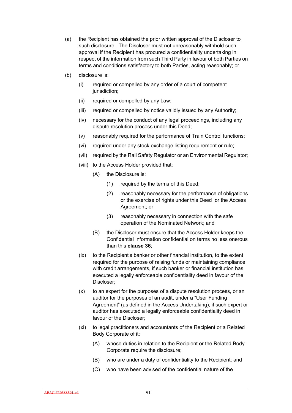- (a) the Recipient has obtained the prior written approval of the Discloser to such disclosure. The Discloser must not unreasonably withhold such approval if the Recipient has procured a confidentiality undertaking in respect of the information from such Third Party in favour of both Parties on terms and conditions satisfactory to both Parties, acting reasonably; or
- (b) disclosure is:
	- (i) required or compelled by any order of a court of competent jurisdiction;
	- (ii) required or compelled by any Law;
	- (iii) required or compelled by notice validly issued by any Authority;
	- (iv) necessary for the conduct of any legal proceedings, including any dispute resolution process under this Deed;
	- (v) reasonably required for the performance of Train Control functions;
	- (vi) required under any stock exchange listing requirement or rule;
	- (vii) required by the Rail Safety Regulator or an Environmental Regulator;
	- (viii) to the Access Holder provided that:
		- (A) the Disclosure is:
			- (1) required by the terms of this Deed;
			- (2) reasonably necessary for the performance of obligations or the exercise of rights under this Deed or the Access Agreement; or
			- (3) reasonably necessary in connection with the safe operation of the Nominated Network; and
		- (B) the Discloser must ensure that the Access Holder keeps the Confidential Information confidential on terms no less onerous than this **clause 36**;
	- (ix) to the Recipient's banker or other financial institution, to the extent required for the purpose of raising funds or maintaining compliance with credit arrangements, if such banker or financial institution has executed a legally enforceable confidentiality deed in favour of the Discloser;
	- (x) to an expert for the purposes of a dispute resolution process, or an auditor for the purposes of an audit, under a "User Funding Agreement" (as defined in the Access Undertaking), if such expert or auditor has executed a legally enforceable confidentiality deed in favour of the Discloser;
	- (xi) to legal practitioners and accountants of the Recipient or a Related Body Corporate of it:
		- (A) whose duties in relation to the Recipient or the Related Body Corporate require the disclosure;
		- (B) who are under a duty of confidentiality to the Recipient; and
		- (C) who have been advised of the confidential nature of the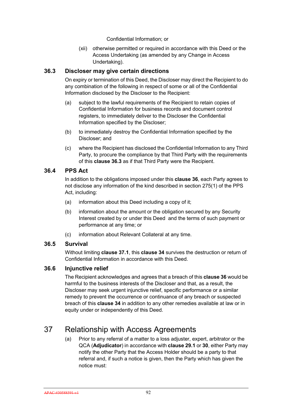Confidential Information; or

(xii) otherwise permitted or required in accordance with this Deed or the Access Undertaking (as amended by any Change in Access Undertaking).

# **36.3 Discloser may give certain directions**

On expiry or termination of this Deed, the Discloser may direct the Recipient to do any combination of the following in respect of some or all of the Confidential Information disclosed by the Discloser to the Recipient:

- (a) subject to the lawful requirements of the Recipient to retain copies of Confidential Information for business records and document control registers, to immediately deliver to the Discloser the Confidential Information specified by the Discloser;
- (b) to immediately destroy the Confidential Information specified by the Discloser; and
- (c) where the Recipient has disclosed the Confidential Information to any Third Party, to procure the compliance by that Third Party with the requirements of this **clause 36.3** as if that Third Party were the Recipient.

# **36.4 PPS Act**

In addition to the obligations imposed under this **clause 36**, each Party agrees to not disclose any information of the kind described in section 275(1) of the PPS Act, including:

- (a) information about this Deed including a copy of it;
- (b) information about the amount or the obligation secured by any Security Interest created by or under this Deed and the terms of such payment or performance at any time; or
- (c) information about Relevant Collateral at any time.

# **36.5 Survival**

Without limiting **clause 37.1**, this **clause 34** survives the destruction or return of Confidential Information in accordance with this Deed.

# **36.6 Injunctive relief**

The Recipient acknowledges and agrees that a breach of this **clause 36** would be harmful to the business interests of the Discloser and that, as a result, the Discloser may seek urgent injunctive relief, specific performance or a similar remedy to prevent the occurrence or continuance of any breach or suspected breach of this **clause 34** in addition to any other remedies available at law or in equity under or independently of this Deed.

# 37 Relationship with Access Agreements

(a) Prior to any referral of a matter to a loss adjuster, expert, arbitrator or the QCA (**Adjudicator**) in accordance with **clause 29.1** or **30**, either Party may notify the other Party that the Access Holder should be a party to that referral and, if such a notice is given, then the Party which has given the notice must: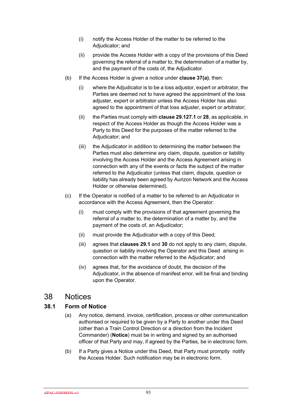- (i) notify the Access Holder of the matter to be referred to the Adjudicator; and
- (ii) provide the Access Holder with a copy of the provisions of this Deed governing the referral of a matter to, the determination of a matter by, and the payment of the costs of, the Adjudicator.
- (b) If the Access Holder is given a notice under **clause 37(a)**, then:
	- (i) where the Adjudicator is to be a loss adjustor, expert or arbitrator, the Parties are deemed not to have agreed the appointment of the loss adjuster, expert or arbitrator unless the Access Holder has also agreed to the appointment of that loss adjuster, expert or arbitrator;
	- (ii) the Parties must comply with **clause 29.127.1** or **28**, as applicable, in respect of the Access Holder as though the Access Holder was a Party to this Deed for the purposes of the matter referred to the Adjudicator; and
	- (iii) the Adjudicator in addition to determining the matter between the Parties must also determine any claim, dispute, question or liability involving the Access Holder and the Access Agreement arising in connection with any of the events or facts the subject of the matter referred to the Adjudicator (unless that claim, dispute, question or liability has already been agreed by Aurizon Network and the Access Holder or otherwise determined).
- (c) If the Operator is notified of a matter to be referred to an Adjudicator in accordance with the Access Agreement, then the Operator:
	- (i) must comply with the provisions of that agreement governing the referral of a matter to, the determination of a matter by, and the payment of the costs of, an Adjudicator;
	- (ii) must provide the Adjudicator with a copy of this Deed;
	- (iii) agrees that **clauses 29.1** and **30** do not apply to any claim, dispute, question or liability involving the Operator and this Deed arising in connection with the matter referred to the Adjudicator; and
	- (iv) agrees that, for the avoidance of doubt, the decision of the Adjudicator, in the absence of manifest error, will be final and binding upon the Operator.

# 38 Notices

# **38.1 Form of Notice**

- (a) Any notice, demand, invoice, certification, process or other communication authorised or required to be given by a Party to another under this Deed (other than a Train Control Direction or a direction from the Incident Commander) (**Notice**) must be in writing and signed by an authorised officer of that Party and may, if agreed by the Parties, be in electronic form.
- (b) If a Party gives a Notice under this Deed, that Party must promptly notify the Access Holder. Such notification may be in electronic form.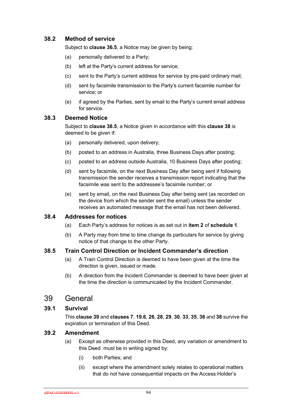# **38.2 Method of service**

Subject to **clause 36.5**, a Notice may be given by being:

- (a) personally delivered to a Party;
- (b) left at the Party's current address for service;
- (c) sent to the Party's current address for service by pre-paid ordinary mail;
- (d) sent by facsimile transmission to the Party's current facsimile number for service; or
- (e) if agreed by the Parties, sent by email to the Party's current email address for service.

#### **38.3 Deemed Notice**

Subject to **clause 38.5**, a Notice given in accordance with this **clause 38** is deemed to be given if:

- (a) personally delivered, upon delivery;
- (b) posted to an address in Australia, three Business Days after posting;
- (c) posted to an address outside Australia, 10 Business Days after posting;
- (d) sent by facsimile, on the next Business Day after being sent if following transmission the sender receives a transmission report indicating that the facsimile was sent to the addressee's facsimile number; or
- (e) sent by email, on the next Business Day after being sent (as recorded on the device from which the sender sent the email) unless the sender receives an automated message that the email has not been delivered.

#### **38.4 Addresses for notices**

- (a) Each Party's address for notices is as set out in **item 2** of **schedule 1**.
- (b) A Party may from time to time change its particulars for service by giving notice of that change to the other Party.

#### **38.5 Train Control Direction or Incident Commander's direction**

- (a) A Train Control Direction is deemed to have been given at the time the direction is given, issued or made.
- (b) A direction from the Incident Commander is deemed to have been given at the time the direction is communicated by the Incident Commander.

# 39 General

#### **39.1 Survival**

This **clause 39** and **clauses 7**, **19.6**, **26**, **28**, **29**, **30**, **33**, **35**, **36** and **38** survive the expiration or termination of this Deed.

# **39.2 Amendment**

- (a) Except as otherwise provided in this Deed, any variation or amendment to this Deed must be in writing signed by:
	- (i) both Parties; and
	- (ii) except where the amendment solely relates to operational matters that do not have consequential impacts on the Access Holder's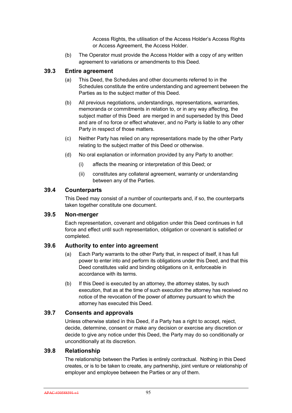Access Rights, the utilisation of the Access Holder's Access Rights or Access Agreement, the Access Holder.

(b) The Operator must provide the Access Holder with a copy of any written agreement to variations or amendments to this Deed.

#### **39.3 Entire agreement**

- (a) This Deed, the Schedules and other documents referred to in the Schedules constitute the entire understanding and agreement between the Parties as to the subject matter of this Deed.
- (b) All previous negotiations, understandings, representations, warranties, memoranda or commitments in relation to, or in any way affecting, the subject matter of this Deed are merged in and superseded by this Deed and are of no force or effect whatever, and no Party is liable to any other Party in respect of those matters.
- (c) Neither Party has relied on any representations made by the other Party relating to the subject matter of this Deed or otherwise.
- (d) No oral explanation or information provided by any Party to another:
	- (i) affects the meaning or interpretation of this Deed; or
	- (ii) constitutes any collateral agreement, warranty or understanding between any of the Parties.

#### **39.4 Counterparts**

This Deed may consist of a number of counterparts and, if so, the counterparts taken together constitute one document.

#### **39.5 Non-merger**

Each representation, covenant and obligation under this Deed continues in full force and effect until such representation, obligation or covenant is satisfied or completed.

# **39.6 Authority to enter into agreement**

- (a) Each Party warrants to the other Party that, in respect of itself, it has full power to enter into and perform its obligations under this Deed, and that this Deed constitutes valid and binding obligations on it, enforceable in accordance with its terms.
- (b) If this Deed is executed by an attorney, the attorney states, by such execution, that as at the time of such execution the attorney has received no notice of the revocation of the power of attorney pursuant to which the attorney has executed this Deed.

# **39.7 Consents and approvals**

Unless otherwise stated in this Deed, if a Party has a right to accept, reject, decide, determine, consent or make any decision or exercise any discretion or decide to give any notice under this Deed, the Party may do so conditionally or unconditionally at its discretion.

# **39.8 Relationship**

The relationship between the Parties is entirely contractual. Nothing in this Deed creates, or is to be taken to create, any partnership, joint venture or relationship of employer and employee between the Parties or any of them.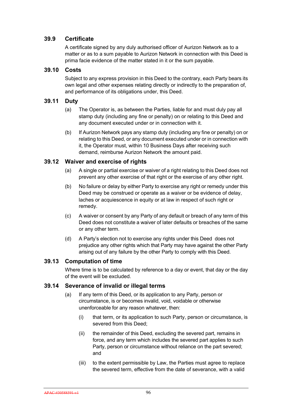# **39.9 Certificate**

A certificate signed by any duly authorised officer of Aurizon Network as to a matter or as to a sum payable to Aurizon Network in connection with this Deed is prima facie evidence of the matter stated in it or the sum payable.

### **39.10 Costs**

Subject to any express provision in this Deed to the contrary, each Party bears its own legal and other expenses relating directly or indirectly to the preparation of, and performance of its obligations under, this Deed.

# **39.11 Duty**

- (a) The Operator is, as between the Parties, liable for and must duly pay all stamp duty (including any fine or penalty) on or relating to this Deed and any document executed under or in connection with it.
- (b) If Aurizon Network pays any stamp duty (including any fine or penalty) on or relating to this Deed, or any document executed under or in connection with it, the Operator must, within 10 Business Days after receiving such demand, reimburse Aurizon Network the amount paid.

# **39.12 Waiver and exercise of rights**

- (a) A single or partial exercise or waiver of a right relating to this Deed does not prevent any other exercise of that right or the exercise of any other right.
- (b) No failure or delay by either Party to exercise any right or remedy under this Deed may be construed or operate as a waiver or be evidence of delay, laches or acquiescence in equity or at law in respect of such right or remedy.
- (c) A waiver or consent by any Party of any default or breach of any term of this Deed does not constitute a waiver of later defaults or breaches of the same or any other term.
- (d) A Party's election not to exercise any rights under this Deed does not prejudice any other rights which that Party may have against the other Party arising out of any failure by the other Party to comply with this Deed.

# **39.13 Computation of time**

Where time is to be calculated by reference to a day or event, that day or the day of the event will be excluded.

#### **39.14 Severance of invalid or illegal terms**

- (a) If any term of this Deed, or its application to any Party, person or circumstance, is or becomes invalid, void, voidable or otherwise unenforceable for any reason whatever, then:
	- (i) that term, or its application to such Party, person or circumstance, is severed from this Deed;
	- (ii) the remainder of this Deed, excluding the severed part, remains in force, and any term which includes the severed part applies to such Party, person or circumstance without reliance on the part severed; and
	- (iii) to the extent permissible by Law, the Parties must agree to replace the severed term, effective from the date of severance, with a valid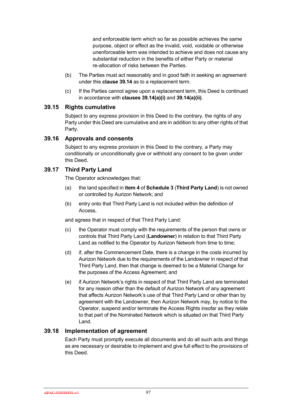and enforceable term which so far as possible achieves the same purpose, object or effect as the invalid, void, voidable or otherwise unenforceable term was intended to achieve and does not cause any substantial reduction in the benefits of either Party or material re-allocation of risks between the Parties.

- (b) The Parties must act reasonably and in good faith in seeking an agreement under this **clause 39.14** as to a replacement term.
- (c) If the Parties cannot agree upon a replacement term, this Deed is continued in accordance with **clauses 39.14(a)(i)** and **39.14(a)(ii)**.

# **39.15 Rights cumulative**

Subject to any express provision in this Deed to the contrary, the rights of any Party under this Deed are cumulative and are in addition to any other rights of that Party.

#### **39.16 Approvals and consents**

Subject to any express provision in this Deed to the contrary, a Party may conditionally or unconditionally give or withhold any consent to be given under this Deed.

# **39.17 Third Party Land**

The Operator acknowledges that:

- (a) the land specified in **item 4** of **Schedule 3** (**Third Party Land**) is not owned or controlled by Aurizon Network; and
- (b) entry onto that Third Party Land is not included within the definition of Access,

and agrees that in respect of that Third Party Land:

- (c) the Operator must comply with the requirements of the person that owns or controls that Third Party Land (**Landowner**) in relation to that Third Party Land as notified to the Operator by Aurizon Network from time to time;
- (d) if, after the Commencement Date, there is a change in the costs incurred by Aurizon Network due to the requirements of the Landowner in respect of that Third Party Land, then that change is deemed to be a Material Change for the purposes of the Access Agreement; and
- (e) if Aurizon Network's rights in respect of that Third Party Land are terminated for any reason other than the default of Aurizon Network of any agreement that affects Aurizon Network's use of that Third Party Land or other than by agreement with the Landowner, then Aurizon Network may, by notice to the Operator, suspend and/or terminate the Access Rights insofar as they relate to that part of the Nominated Network which is situated on that Third Party Land.

# **39.18 Implementation of agreement**

Each Party must promptly execute all documents and do all such acts and things as are necessary or desirable to implement and give full effect to the provisions of this Deed.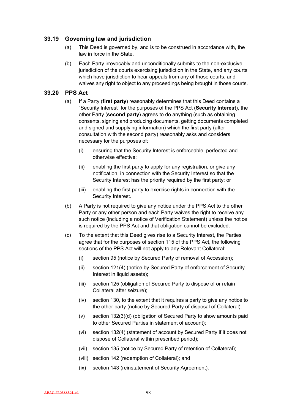# **39.19 Governing law and jurisdiction**

- (a) This Deed is governed by, and is to be construed in accordance with, the law in force in the State.
- (b) Each Party irrevocably and unconditionally submits to the non-exclusive jurisdiction of the courts exercising jurisdiction in the State, and any courts which have jurisdiction to hear appeals from any of those courts, and waives any right to object to any proceedings being brought in those courts.

### **39.20 PPS Act**

- (a) If a Party (**first party**) reasonably determines that this Deed contains a "Security Interest" for the purposes of the PPS Act (**Security Interest**), the other Party (**second party**) agrees to do anything (such as obtaining consents, signing and producing documents, getting documents completed and signed and supplying information) which the first party (after consultation with the second party) reasonably asks and considers necessary for the purposes of:
	- (i) ensuring that the Security Interest is enforceable, perfected and otherwise effective;
	- (ii) enabling the first party to apply for any registration, or give any notification, in connection with the Security Interest so that the Security Interest has the priority required by the first party; or
	- (iii) enabling the first party to exercise rights in connection with the Security Interest.
- (b) A Party is not required to give any notice under the PPS Act to the other Party or any other person and each Party waives the right to receive any such notice (including a notice of Verification Statement) unless the notice is required by the PPS Act and that obligation cannot be excluded.
- (c) To the extent that this Deed gives rise to a Security Interest, the Parties agree that for the purposes of section 115 of the PPS Act, the following sections of the PPS Act will not apply to any Relevant Collateral:
	- (i) section 95 (notice by Secured Party of removal of Accession);
	- (ii) section 121(4) (notice by Secured Party of enforcement of Security Interest in liquid assets);
	- (iii) section 125 (obligation of Secured Party to dispose of or retain Collateral after seizure);
	- (iv) section 130, to the extent that it requires a party to give any notice to the other party (notice by Secured Party of disposal of Collateral);
	- (v) section 132(3)(d) (obligation of Secured Party to show amounts paid to other Secured Parties in statement of account);
	- (vi) section 132(4) (statement of account by Secured Party if it does not dispose of Collateral within prescribed period);
	- (vii) section 135 (notice by Secured Party of retention of Collateral);
	- (viii) section 142 (redemption of Collateral); and
	- (ix) section 143 (reinstatement of Security Agreement).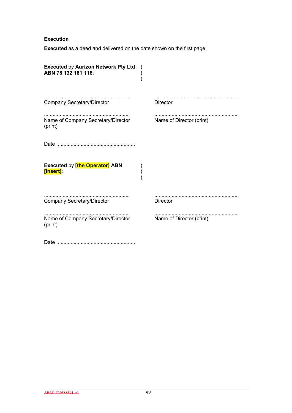#### **Execution**

**Executed** as a deed and delivered on the date shown on the first page.

| <b>Executed by Aurizon Network Pty Ltd</b><br>ABN 78 132 181 116: |                          |
|-------------------------------------------------------------------|--------------------------|
| <b>Company Secretary/Director</b>                                 | <b>Director</b>          |
| Name of Company Secretary/Director<br>(print)                     | Name of Director (print) |
|                                                                   |                          |
| <b>Executed by [the Operator] ABN</b><br>[insert]:                |                          |
| <b>Company Secretary/Director</b>                                 | <b>Director</b>          |
| Name of Company Secretary/Director<br>(print)                     | Name of Director (print) |
|                                                                   |                          |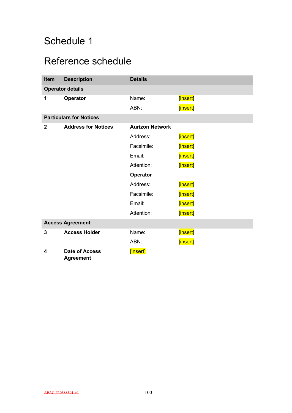# Schedule 1

# Reference schedule

| Item                           | <b>Description</b>                        | <b>Details</b>         |          |  |
|--------------------------------|-------------------------------------------|------------------------|----------|--|
| <b>Operator details</b>        |                                           |                        |          |  |
| 1                              | <b>Operator</b>                           | Name:                  | [insert] |  |
|                                |                                           | ABN:                   | [insert] |  |
| <b>Particulars for Notices</b> |                                           |                        |          |  |
| $\overline{2}$                 | <b>Address for Notices</b>                | <b>Aurizon Network</b> |          |  |
|                                |                                           | Address:               | [insert] |  |
|                                |                                           | Facsimile:             | [insert] |  |
|                                |                                           | Email:                 | [insert] |  |
|                                |                                           | Attention:             | [insert] |  |
|                                |                                           | Operator               |          |  |
|                                |                                           | Address:               | [insert] |  |
|                                |                                           | Facsimile:             | [insert] |  |
|                                |                                           | Email:                 | [insert] |  |
|                                |                                           | Attention:             | [insert] |  |
| <b>Access Agreement</b>        |                                           |                        |          |  |
| 3                              | <b>Access Holder</b>                      | Name:                  | [insert] |  |
|                                |                                           | ABN:                   | [insert] |  |
| 4                              | <b>Date of Access</b><br><b>Agreement</b> | [insert]               |          |  |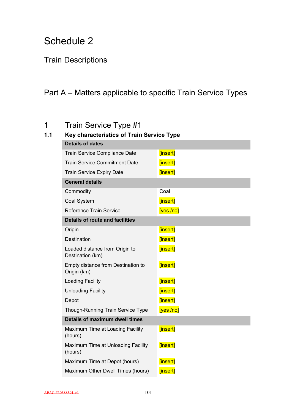# Schedule 2

# Train Descriptions

# Part A – Matters applicable to specific Train Service Types

# 1 Train Service Type #1

# **1.1 Key characteristics of Train Service Type**

| [insert]                               |  |  |  |  |
|----------------------------------------|--|--|--|--|
| [insert]                               |  |  |  |  |
| [insert]                               |  |  |  |  |
|                                        |  |  |  |  |
| Coal                                   |  |  |  |  |
| [insert]                               |  |  |  |  |
| [yes/no]                               |  |  |  |  |
| <b>Details of route and facilities</b> |  |  |  |  |
| [insert]                               |  |  |  |  |
| [insert]                               |  |  |  |  |
| [insert]                               |  |  |  |  |
| [insert]                               |  |  |  |  |
| [insert]                               |  |  |  |  |
| [insert]                               |  |  |  |  |
| [insert]                               |  |  |  |  |
| [yes/no]                               |  |  |  |  |
| Details of maximum dwell times         |  |  |  |  |
| [insert]                               |  |  |  |  |
| [insert]                               |  |  |  |  |
| [insert]                               |  |  |  |  |
| [insert]                               |  |  |  |  |
|                                        |  |  |  |  |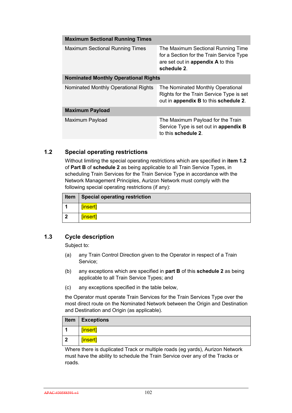| <b>Maximum Sectional Running Times</b>      |                                                                                                                                    |
|---------------------------------------------|------------------------------------------------------------------------------------------------------------------------------------|
| <b>Maximum Sectional Running Times</b>      | The Maximum Sectional Running Time<br>for a Section for the Train Service Type<br>are set out in appendix A to this<br>schedule 2. |
| <b>Nominated Monthly Operational Rights</b> |                                                                                                                                    |
| Nominated Monthly Operational Rights        | The Nominated Monthly Operational<br>Rights for the Train Service Type is set<br>out in appendix B to this schedule 2.             |
| <b>Maximum Payload</b>                      |                                                                                                                                    |
| Maximum Payload                             | The Maximum Payload for the Train<br>Service Type is set out in appendix B<br>to this schedule 2.                                  |

### **1.2 Special operating restrictions**

Without limiting the special operating restrictions which are specified in **item 1.2** of **Part B** of **schedule 2** as being applicable to all Train Service Types, in scheduling Train Services for the Train Service Type in accordance with the Network Management Principles, Aurizon Network must comply with the following special operating restrictions (if any):

| Item | Special operating restriction |
|------|-------------------------------|
|      | [insert]                      |
| -7   | [insert]                      |

### **1.3 Cycle description**

Subject to:

- (a) any Train Control Direction given to the Operator in respect of a Train Service;
- (b) any exceptions which are specified in **part B** of this **schedule 2** as being applicable to all Train Service Types; and
- (c) any exceptions specified in the table below,

the Operator must operate Train Services for the Train Services Type over the most direct route on the Nominated Network between the Origin and Destination and Destination and Origin (as applicable).

|    | Item $ $ Exceptions |
|----|---------------------|
|    | [insert]            |
| -2 | [insert]            |

Where there is duplicated Track or multiple roads (eg yards), Aurizon Network must have the ability to schedule the Train Service over any of the Tracks or roads.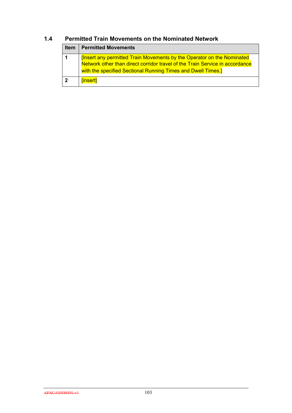| <b>Item</b>  | <b>Permitted Movements</b>                                                                                                                                                                                                      |
|--------------|---------------------------------------------------------------------------------------------------------------------------------------------------------------------------------------------------------------------------------|
| 1            | <u>  [Insert any permitted Train Movements by the Operator on the Nominated</u><br>Network other than direct corridor travel of the Train Service in accordance<br>with the specified Sectional Running Times and Dwell Times.] |
| $\mathbf{2}$ | [insert]                                                                                                                                                                                                                        |

### **1.4 Permitted Train Movements on the Nominated Network**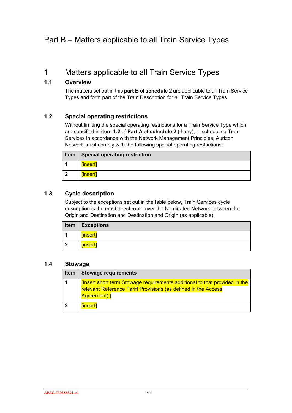## Part B – Matters applicable to all Train Service Types

## 1 Matters applicable to all Train Service Types

### **1.1 Overview**

The matters set out in this **part B** of **schedule 2** are applicable to all Train Service Types and form part of the Train Description for all Train Service Types.

### **1.2 Special operating restrictions**

Without limiting the special operating restrictions for a Train Service Type which are specified in **item 1.2** of **Part A** of **schedule 2** (if any), in scheduling Train Services in accordance with the Network Management Principles, Aurizon Network must comply with the following special operating restrictions:

|     | <b>Item   Special operating restriction</b> |
|-----|---------------------------------------------|
|     | [insert]                                    |
| - 2 | [insert]                                    |

### **1.3 Cycle description**

Subject to the exceptions set out in the table below, Train Services cycle description is the most direct route over the Nominated Network between the Origin and Destination and Destination and Origin (as applicable).

| Item                    | <b>Exceptions</b> |
|-------------------------|-------------------|
|                         | [insert]          |
| $\overline{\mathbf{2}}$ | [insert]          |

### **1.4 Stowage**

| Item | <b>Stowage requirements</b>                                                                                                                                        |
|------|--------------------------------------------------------------------------------------------------------------------------------------------------------------------|
|      | <b>Insert short term Stowage requirements additional to that provided in the</b><br>relevant Reference Tariff Provisions (as defined in the Access<br>Agreement).] |
|      | [insert]                                                                                                                                                           |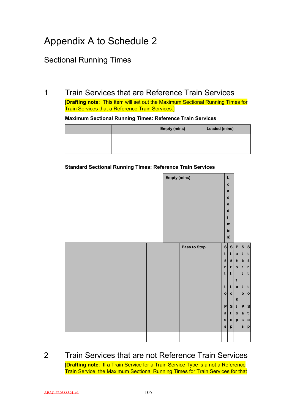# Appendix A to Schedule 2

## Sectional Running Times

## 1 Train Services that are Reference Train Services

[**Drafting note**: This item will set out the Maximum Sectional Running Times for Train Services that a Reference Train Services.]

#### **Maximum Sectional Running Times: Reference Train Services**

|  | <b>Empty (mins)</b> | Loaded (mins) |  |  |  |  |  |
|--|---------------------|---------------|--|--|--|--|--|
|  |                     |               |  |  |  |  |  |
|  |                     |               |  |  |  |  |  |

#### **Standard Sectional Running Times: Reference Train Services**

|  | <b>Empty (mins)</b> |              |              | Г              |              |                |              |
|--|---------------------|--------------|--------------|----------------|--------------|----------------|--------------|
|  |                     |              |              | $\mathbf{o}$   |              |                |              |
|  |                     |              |              | a              |              |                |              |
|  |                     |              |              | $\mathbf d$    |              |                |              |
|  |                     |              |              | $\mathbf e$    |              |                |              |
|  |                     |              |              | $\mathbf d$    |              |                |              |
|  |                     |              | V            |                |              |                |              |
|  |                     |              |              | m              |              |                |              |
|  |                     |              |              | in             |              |                |              |
|  |                     |              |              | s)             |              |                |              |
|  |                     | Pass to Stop | s            | s              | P            | s <sub>l</sub> | $\mathbf{s}$ |
|  |                     |              | $\mathbf t$  | $\mathbf t$    | a            | t              | t            |
|  |                     |              | a            | $\mathbf a$    | s            | a              | a            |
|  |                     |              | $\mathbf{r}$ | $\mathbf{r}$   | $\mathbf{s}$ | $\mathbf{r}$   | r            |
|  |                     |              | t            | t              |              | t              | t            |
|  |                     |              |              |                | $\mathbf t$  |                |              |
|  |                     |              | t            | t              |              | $o$   t        | t            |
|  |                     |              | $\circ$      | $\circ$        |              | o              | $\mathbf{o}$ |
|  |                     |              |              |                | ${\bf S}$    |                |              |
|  |                     |              | P            | s <sub>l</sub> | t            | P              | $\mathbf{s}$ |
|  |                     |              | a            | t              | o            | a              | t            |
|  |                     |              | $\mathbf{s}$ | $\circ$        | p            | s              | $\mathbf{o}$ |
|  |                     |              | $\mathbf{s}$ | $\mathsf{p}$   |              | s              | p            |
|  |                     |              |              |                |              |                |              |
|  |                     |              |              |                |              |                |              |

### 2 Train Services that are not Reference Train Services [**Drafting note**: If a Train Service for a Train Service Type is a not a Reference Train Service, the Maximum Sectional Running Times for Train Services for that

APAC-#30588591-v1 105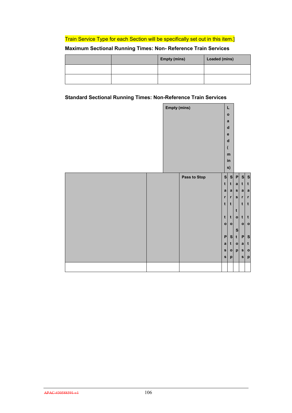### Train Service Type for each Section will be specifically set out in this item.]

### **Maximum Sectional Running Times: Non- Reference Train Services**

|  | <b>Empty (mins)</b> | Loaded (mins) |
|--|---------------------|---------------|
|  |                     |               |
|  |                     |               |

### **Standard Sectional Running Times: Non-Reference Train Services**

|  | <b>Empty (mins)</b> |              |                            | L                           |                |                                |                           |
|--|---------------------|--------------|----------------------------|-----------------------------|----------------|--------------------------------|---------------------------|
|  |                     |              |                            | $\mathbf{o}$                |                |                                |                           |
|  |                     |              |                            | $\mathbf{a}$                |                |                                |                           |
|  |                     |              |                            | $\mathbf d$                 |                |                                |                           |
|  |                     |              |                            | e                           |                |                                |                           |
|  |                     |              |                            | $\mathbf d$                 |                |                                |                           |
|  |                     |              |                            | $\overline{\mathcal{L}}$    |                |                                |                           |
|  |                     |              |                            | ${\bf m}$<br>in             |                |                                |                           |
|  |                     |              |                            | s)                          |                |                                |                           |
|  |                     |              |                            |                             |                |                                |                           |
|  |                     | Pass to Stop | s <sub>l</sub>             | s <sub>l</sub>              | P              | s <sub>l</sub>                 | $\mathbf{s}$              |
|  |                     |              | t                          | t                           | a              | t                              | t                         |
|  |                     |              | a                          | a                           | s <sub>1</sub> | a l                            | $\mathbf{a}$              |
|  |                     |              | $\mathbf r$<br>$\mathbf t$ | $\mathbf r$<br>$\mathbf{t}$ | s              | $r_{\parallel}$<br>$\mathbf t$ | $\mathbf{r}$<br>t         |
|  |                     |              |                            |                             | t              |                                |                           |
|  |                     |              | $\mathbf t$                | t                           | $\circ$        | t                              | t                         |
|  |                     |              | $\circ$                    | o                           |                | $\circ$                        | $\mathbf{o}$              |
|  |                     |              |                            |                             | $\mathbf{s}$   |                                |                           |
|  |                     |              | P                          | s                           | t              | P                              | $\mathbf{s}$              |
|  |                     |              | $\mathbf a$                | t                           | $\mathbf{o}$   | a                              | t                         |
|  |                     |              | $\mathbf{s}$               | $\circ$                     | p              | $\mathbf{s}$                   | $\mathbf{o}$              |
|  |                     |              | $\mathbf{s}$               | p                           |                | $\mathbf{s}$                   | $\boldsymbol{\mathsf{p}}$ |
|  |                     |              |                            |                             |                |                                |                           |
|  |                     |              |                            |                             |                |                                |                           |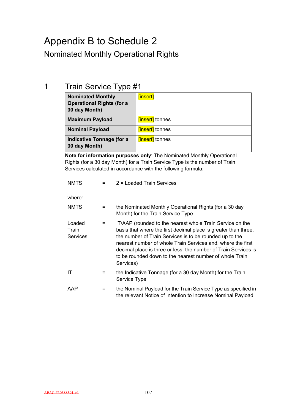# Appendix B to Schedule 2

## Nominated Monthly Operational Rights

## 1 Train Service Type #1

| <b>Nominated Monthly</b><br><b>Operational Rights (for a</b><br>30 day Month) | [insert]               |
|-------------------------------------------------------------------------------|------------------------|
| <b>Maximum Payload</b>                                                        | <b>finsert</b> tonnes  |
| <b>Nominal Payload</b>                                                        | [insert] tonnes        |
| Indicative Tonnage (for a<br>30 day Month)                                    | <b>[insert]</b> tonnes |

**Note for information purposes only**: The Nominated Monthly Operational Rights (for a 30 day Month) for a Train Service Type is the number of Train Services calculated in accordance with the following formula:

| <b>NMTS</b>                        | $=$ | 2 × Loaded Train Services                                                                                                                                                                                                                                                                                                                                                                         |
|------------------------------------|-----|---------------------------------------------------------------------------------------------------------------------------------------------------------------------------------------------------------------------------------------------------------------------------------------------------------------------------------------------------------------------------------------------------|
| where:                             |     |                                                                                                                                                                                                                                                                                                                                                                                                   |
| <b>NMTS</b>                        | $=$ | the Nominated Monthly Operational Rights (for a 30 day<br>Month) for the Train Service Type                                                                                                                                                                                                                                                                                                       |
| Loaded<br>Train<br><b>Services</b> | $=$ | IT/AAP (rounded to the nearest whole Train Service on the<br>basis that where the first decimal place is greater than three,<br>the number of Train Services is to be rounded up to the<br>nearest number of whole Train Services and, where the first<br>decimal place is three or less, the number of Train Services is<br>to be rounded down to the nearest number of whole Train<br>Services) |
| ΙT                                 | $=$ | the Indicative Tonnage (for a 30 day Month) for the Train<br>Service Type                                                                                                                                                                                                                                                                                                                         |
| AAP                                | =   | the Nominal Payload for the Train Service Type as specified in<br>the relevant Notice of Intention to Increase Nominal Payload                                                                                                                                                                                                                                                                    |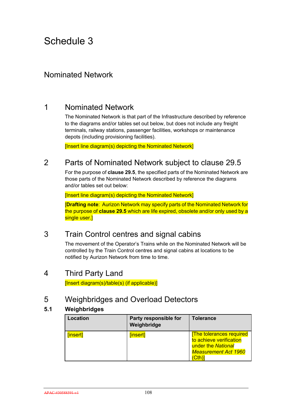## Nominated Network

## 1 Nominated Network

The Nominated Network is that part of the Infrastructure described by reference to the diagrams and/or tables set out below, but does not include any freight terminals, railway stations, passenger facilities, workshops or maintenance depots (including provisioning facilities).

[Insert line diagram(s) depicting the Nominated Network]

### 2 Parts of Nominated Network subject to clause 29.5

For the purpose of **clause 29.5**, the specified parts of the Nominated Network are those parts of the Nominated Network described by reference the diagrams and/or tables set out below:

[Insert line diagram(s) depicting the Nominated Network]

[**Drafting note**: Aurizon Network may specify parts of the Nominated Network for the purpose of **clause 29.5** which are life expired, obsolete and/or only used by a single user.1

## 3 Train Control centres and signal cabins

The movement of the Operator's Trains while on the Nominated Network will be controlled by the Train Control centres and signal cabins at locations to be notified by Aurizon Network from time to time.

### 4 Third Party Land

[Insert diagram(s)/table(s) (if applicable)]

### 5 Weighbridges and Overload Detectors

### **5.1 Weighbridges**

| Location | Party responsible for<br>Weighbridge | <b>Tolerance</b>                                                                                                        |
|----------|--------------------------------------|-------------------------------------------------------------------------------------------------------------------------|
| [insert] | [insert]                             | <b>The tolerances required</b><br>to achieve verification<br>under the National<br><b>Measurement Act 1960</b><br>(Cth) |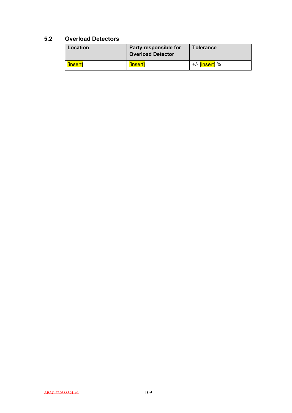### **5.2 Overload Detectors**

| Location | Party responsible for<br><b>Overload Detector</b> | <b>Tolerance</b>            |
|----------|---------------------------------------------------|-----------------------------|
| [insert] | [insert]                                          | +/- <mark>[insert]</mark> % |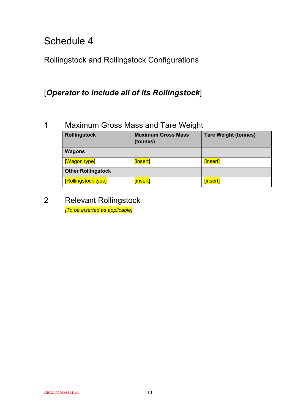Rollingstock and Rollingstock Configurations

## [*Operator to include all of its Rollingstock*]

## 1 Maximum Gross Mass and Tare Weight

| <b>Rollingstock</b>       | <b>Maximum Gross Mass</b><br>(tonnes) | <b>Tare Weight (tonnes)</b> |
|---------------------------|---------------------------------------|-----------------------------|
| <b>Wagons</b>             |                                       |                             |
| [Wagon type]              | [insert]                              | [insert]                    |
| <b>Other Rollingstock</b> |                                       |                             |
| [Rollingstock type]       | [insert]                              | [insert]                    |

2 Relevant Rollingstock *[To be inserted as applicable]*

APAC-#30588591-v1 110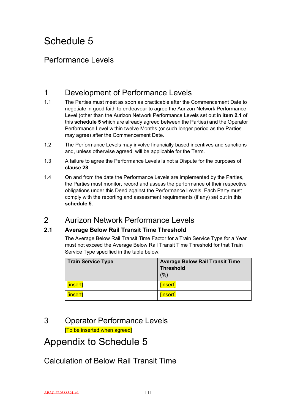## Performance Levels

## 1 Development of Performance Levels

- 1.1 The Parties must meet as soon as practicable after the Commencement Date to negotiate in good faith to endeavour to agree the Aurizon Network Performance Level (other than the Aurizon Network Performance Levels set out in **item 2.1** of this **schedule 5** which are already agreed between the Parties) and the Operator Performance Level within twelve Months (or such longer period as the Parties may agree) after the Commencement Date.
- 1.2 The Performance Levels may involve financially based incentives and sanctions and, unless otherwise agreed, will be applicable for the Term.
- 1.3 A failure to agree the Performance Levels is not a Dispute for the purposes of **clause 28**.
- 1.4 On and from the date the Performance Levels are implemented by the Parties, the Parties must monitor, record and assess the performance of their respective obligations under this Deed against the Performance Levels. Each Party must comply with the reporting and assessment requirements (if any) set out in this **schedule 5**.

## 2 Aurizon Network Performance Levels

### **2.1 Average Below Rail Transit Time Threshold**

The Average Below Rail Transit Time Factor for a Train Service Type for a Year must not exceed the Average Below Rail Transit Time Threshold for that Train Service Type specified in the table below:

| Train Service Type | <b>Average Below Rail Transit Time</b><br><b>Threshold</b><br>(%) |
|--------------------|-------------------------------------------------------------------|
| [insert]           | [insert]                                                          |
| [insert]           | [insert]                                                          |

## 3 Operator Performance Levels

[To be inserted when agreed]

## Appendix to Schedule 5

## Calculation of Below Rail Transit Time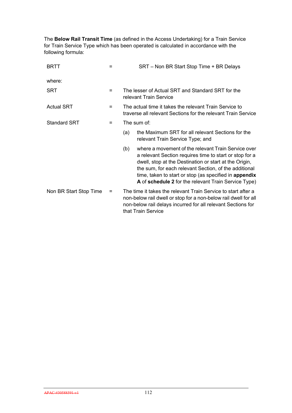The **Below Rail Transit Time** (as defined in the Access Undertaking) for a Train Service for Train Service Type which has been operated is calculated in accordance with the following formula:

| <b>BRTT</b>            |   | SRT – Non BR Start Stop Time + BR Delays                                                                                                                                                                                                                                                                                                                   |  |  |
|------------------------|---|------------------------------------------------------------------------------------------------------------------------------------------------------------------------------------------------------------------------------------------------------------------------------------------------------------------------------------------------------------|--|--|
| where:                 |   |                                                                                                                                                                                                                                                                                                                                                            |  |  |
| <b>SRT</b>             | = | The lesser of Actual SRT and Standard SRT for the<br>relevant Train Service                                                                                                                                                                                                                                                                                |  |  |
| <b>Actual SRT</b>      | = | The actual time it takes the relevant Train Service to<br>traverse all relevant Sections for the relevant Train Service                                                                                                                                                                                                                                    |  |  |
| <b>Standard SRT</b>    | = | The sum of:                                                                                                                                                                                                                                                                                                                                                |  |  |
|                        |   | the Maximum SRT for all relevant Sections for the<br>(a)<br>relevant Train Service Type; and                                                                                                                                                                                                                                                               |  |  |
|                        |   | where a movement of the relevant Train Service over<br>(b)<br>a relevant Section requires time to start or stop for a<br>dwell, stop at the Destination or start at the Origin,<br>the sum, for each relevant Section, of the additional<br>time, taken to start or stop (as specified in appendix<br>A of schedule 2 for the relevant Train Service Type) |  |  |
| Non BR Start Stop Time | = | The time it takes the relevant Train Service to start after a<br>non-below rail dwell or stop for a non-below rail dwell for all<br>non-below rail delays incurred for all relevant Sections for<br>that Train Service                                                                                                                                     |  |  |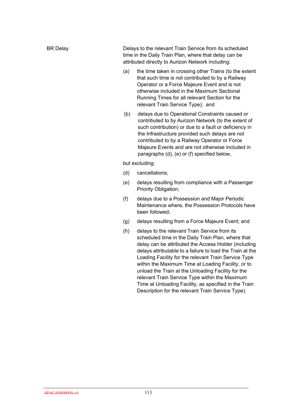| <b>BR Delay</b> |     | Delays to the relevant Train Service from its scheduled<br>time in the Daily Train Plan, where that delay can be<br>attributed directly to Aurizon Network including:                                      |
|-----------------|-----|------------------------------------------------------------------------------------------------------------------------------------------------------------------------------------------------------------|
|                 | (a) | the time taken in crossing other Trains (to the extent<br>that such time is not contributed to by a Railway<br>Operator or a Force Majeure Event and is not<br>otherwise included in the Maximum Sectional |

(b) delays due to Operational Constraints caused or contributed to by Aurizon Network (to the extent of such contribution) or due to a fault or deficiency in the Infrastructure provided such delays are not contributed to by a Railway Operator or Force Majeure Events and are not otherwise included in paragraphs (d), (e) or (f) specified below,

Running Times for all relevant Section for the

relevant Train Service Type); and

but excluding:

- (d) cancellations;
- (e) delays resulting from compliance with a Passenger Priority Obligation;
- (f) delays due to a Possession and Major Periodic Maintenance where, the Possession Protocols have been followed;
- (g) delays resulting from a Force Majeure Event; and
- (h) delays to the relevant Train Service from its scheduled time in the Daily Train Plan, where that delay can be attributed the Access Holder (including delays attributable to a failure to load the Train at the Loading Facility for the relevant Train Service Type within the Maximum Time at Loading Facility, or to unload the Train at the Unloading Facility for the relevant Train Service Type within the Maximum Time at Unloading Facility, as specified in the Train Description for the relevant Train Service Type).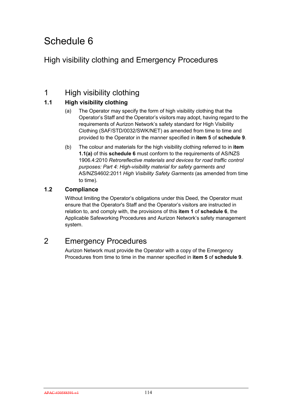## High visibility clothing and Emergency Procedures

## 1 High visibility clothing

### **1.1 High visibility clothing**

- (a) The Operator may specify the form of high visibility clothing that the Operator's Staff and the Operator's visitors may adopt, having regard to the requirements of Aurizon Network's safety standard for High Visibility Clothing (SAF/STD/0032/SWK/NET) as amended from time to time and provided to the Operator in the manner specified in **item 5** of **schedule 9**.
- (b) The colour and materials for the high visibility clothing referred to in **item 1.1(a)** of this **schedule 6** must conform to the requirements of AS/NZS 1906.4:2010 *Retroreflective materials and devices for road traffic control purposes: Part 4: High-visibility material for safety garments and*  AS/NZS4602:2011 *High Visibility Safety Garments* (as amended from time to time)*.*

### **1.2 Compliance**

Without limiting the Operator's obligations under this Deed, the Operator must ensure that the Operator's Staff and the Operator's visitors are instructed in relation to, and comply with, the provisions of this **item 1** of **schedule 6**, the Applicable Safeworking Procedures and Aurizon Network's safety management system.

## 2 Emergency Procedures

Aurizon Network must provide the Operator with a copy of the Emergency Procedures from time to time in the manner specified in **item 5** of **schedule 9**.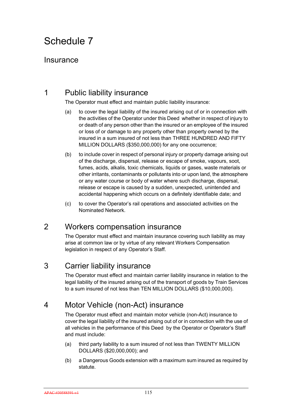### Insurance

## 1 Public liability insurance

The Operator must effect and maintain public liability insurance:

- (a) to cover the legal liability of the insured arising out of or in connection with the activities of the Operator under this Deed whether in respect of injury to or death of any person other than the insured or an employee of the insured or loss of or damage to any property other than property owned by the insured in a sum insured of not less than THREE HUNDRED AND FIFTY MILLION DOLLARS (\$350,000,000) for any one occurrence;
- (b) to include cover in respect of personal injury or property damage arising out of the discharge, dispersal, release or escape of smoke, vapours, soot, fumes, acids, alkalis, toxic chemicals, liquids or gases, waste materials or other irritants, contaminants or pollutants into or upon land, the atmosphere or any water course or body of water where such discharge, dispersal, release or escape is caused by a sudden, unexpected, unintended and accidental happening which occurs on a definitely identifiable date; and
- (c) to cover the Operator's rail operations and associated activities on the Nominated Network.

## 2 Workers compensation insurance

The Operator must effect and maintain insurance covering such liability as may arise at common law or by virtue of any relevant Workers Compensation legislation in respect of any Operator's Staff.

## 3 Carrier liability insurance

The Operator must effect and maintain carrier liability insurance in relation to the legal liability of the insured arising out of the transport of goods by Train Services to a sum insured of not less than TEN MILLION DOLLARS (\$10,000,000).

## 4 Motor Vehicle (non-Act) insurance

The Operator must effect and maintain motor vehicle (non-Act) insurance to cover the legal liability of the insured arising out of or in connection with the use of all vehicles in the performance of this Deed by the Operator or Operator's Staff and must include:

- (a) third party liability to a sum insured of not less than TWENTY MILLION DOLLARS (\$20,000,000); and
- (b) a Dangerous Goods extension with a maximum sum insured as required by statute.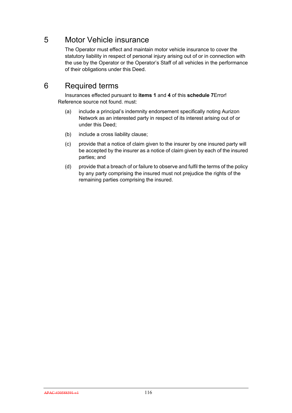## 5 Motor Vehicle insurance

The Operator must effect and maintain motor vehicle insurance to cover the statutory liability in respect of personal injury arising out of or in connection with the use by the Operator or the Operator's Staff of all vehicles in the performance of their obligations under this Deed.

## 6 Required terms

Insurances effected pursuant to **items 1** and **4** of this **schedule 7**Error! Reference source not found. must:

- (a) include a principal's indemnity endorsement specifically noting Aurizon Network as an interested party in respect of its interest arising out of or under this Deed;
- (b) include a cross liability clause;
- (c) provide that a notice of claim given to the insurer by one insured party will be accepted by the insurer as a notice of claim given by each of the insured parties; and
- (d) provide that a breach of or failure to observe and fulfil the terms of the policy by any party comprising the insured must not prejudice the rights of the remaining parties comprising the insured.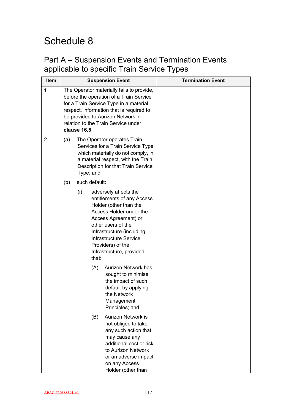## Part A – Suspension Events and Termination Events applicable to specific Train Service Types

| Item           |     |                                                                                                                                                                                                 |                        | <b>Suspension Event</b>                                                                                                                                                                                                                                        | <b>Termination Event</b> |
|----------------|-----|-------------------------------------------------------------------------------------------------------------------------------------------------------------------------------------------------|------------------------|----------------------------------------------------------------------------------------------------------------------------------------------------------------------------------------------------------------------------------------------------------------|--------------------------|
| 1              |     | clause 16.5.                                                                                                                                                                                    |                        | The Operator materially fails to provide,<br>before the operation of a Train Service<br>for a Train Service Type in a material<br>respect, information that is required to<br>be provided to Aurizon Network in<br>relation to the Train Service under         |                          |
| $\overline{2}$ | (a) | The Operator operates Train<br>Services for a Train Service Type<br>which materially do not comply, in<br>a material respect, with the Train<br>Description for that Train Service<br>Type; and |                        |                                                                                                                                                                                                                                                                |                          |
|                | (b) | (i)                                                                                                                                                                                             | such default:<br>that: | adversely affects the<br>entitlements of any Access<br>Holder (other than the<br>Access Holder under the<br>Access Agreement) or<br>other users of the<br>Infrastructure (including<br>Infrastructure Service<br>Providers) of the<br>Infrastructure, provided |                          |
|                |     |                                                                                                                                                                                                 | (A)                    | <b>Aurizon Network has</b><br>sought to minimise<br>the impact of such<br>default by applying<br>the Network<br>Management<br>Principles; and                                                                                                                  |                          |
|                |     |                                                                                                                                                                                                 | (B)                    | Aurizon Network is<br>not obliged to take<br>any such action that<br>may cause any<br>additional cost or risk<br>to Aurizon Network<br>or an adverse impact<br>on any Access<br>Holder (other than                                                             |                          |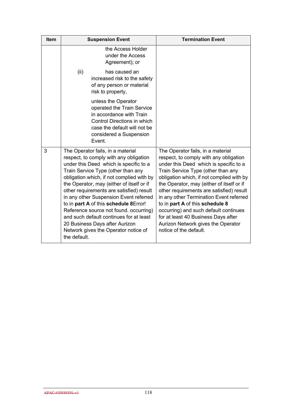| Item | <b>Suspension Event</b>                                                                                                                                                                                                                                                                                                                                                                                                                                                                                                                                             | <b>Termination Event</b>                                                                                                                                                                                                                                                                                                                                                                                                                                                                                                        |
|------|---------------------------------------------------------------------------------------------------------------------------------------------------------------------------------------------------------------------------------------------------------------------------------------------------------------------------------------------------------------------------------------------------------------------------------------------------------------------------------------------------------------------------------------------------------------------|---------------------------------------------------------------------------------------------------------------------------------------------------------------------------------------------------------------------------------------------------------------------------------------------------------------------------------------------------------------------------------------------------------------------------------------------------------------------------------------------------------------------------------|
|      | the Access Holder<br>under the Access<br>Agreement); or                                                                                                                                                                                                                                                                                                                                                                                                                                                                                                             |                                                                                                                                                                                                                                                                                                                                                                                                                                                                                                                                 |
|      | (ii)<br>has caused an<br>increased risk to the safety<br>of any person or material<br>risk to property,                                                                                                                                                                                                                                                                                                                                                                                                                                                             |                                                                                                                                                                                                                                                                                                                                                                                                                                                                                                                                 |
|      | unless the Operator<br>operated the Train Service<br>in accordance with Train<br>Control Directions in which<br>case the default will not be<br>considered a Suspension<br>Event.                                                                                                                                                                                                                                                                                                                                                                                   |                                                                                                                                                                                                                                                                                                                                                                                                                                                                                                                                 |
| 3    | The Operator fails, in a material<br>respect, to comply with any obligation<br>under this Deed which is specific to a<br>Train Service Type (other than any<br>obligation which, if not complied with by<br>the Operator, may (either of itself or if<br>other requirements are satisfied) result<br>in any other Suspension Event referred<br>to in part A of this schedule 8Error!<br>Reference source not found. occurring)<br>and such default continues for at least<br>20 Business Days after Aurizon<br>Network gives the Operator notice of<br>the default. | The Operator fails, in a material<br>respect, to comply with any obligation<br>under this Deed which is specific to a<br>Train Service Type (other than any<br>obligation which, if not complied with by<br>the Operator, may (either of itself or if<br>other requirements are satisfied) result<br>in any other Termination Event referred<br>to in part A of this schedule 8<br>occurring) and such default continues<br>for at least 40 Business Days after<br>Aurizon Network gives the Operator<br>notice of the default. |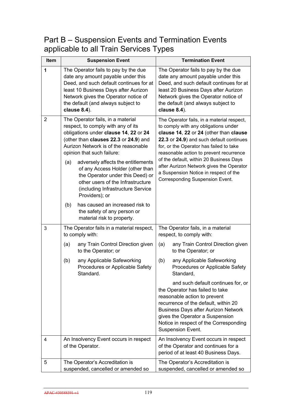## Part B – Suspension Events and Termination Events applicable to all Train Services Types

| <b>Item</b>    | <b>Suspension Event</b>                                                                                                                                                                                                                                                                                                                                                                                                                                                                                                                                 | <b>Termination Event</b>                                                                                                                                                                                                                                                                                                                                                                                                          |  |  |
|----------------|---------------------------------------------------------------------------------------------------------------------------------------------------------------------------------------------------------------------------------------------------------------------------------------------------------------------------------------------------------------------------------------------------------------------------------------------------------------------------------------------------------------------------------------------------------|-----------------------------------------------------------------------------------------------------------------------------------------------------------------------------------------------------------------------------------------------------------------------------------------------------------------------------------------------------------------------------------------------------------------------------------|--|--|
| 1              | The Operator fails to pay by the due<br>date any amount payable under this<br>Deed, and such default continues for at<br>least 10 Business Days after Aurizon<br>Network gives the Operator notice of<br>the default (and always subject to<br>clause 8.4).                                                                                                                                                                                                                                                                                             | The Operator fails to pay by the due<br>date any amount payable under this<br>Deed, and such default continues for at<br>least 20 Business Days after Aurizon<br>Network gives the Operator notice of<br>the default (and always subject to<br>clause 8.4).                                                                                                                                                                       |  |  |
| $\overline{2}$ | The Operator fails, in a material<br>respect, to comply with any of its<br>obligations under clause 14, 22 or 24<br>(other than clauses 22.3 or 24.9) and<br>Aurizon Network is of the reasonable<br>opinion that such failure:<br>adversely affects the entitlements<br>(a)<br>of any Access Holder (other than<br>the Operator under this Deed) or<br>other users of the Infrastructure<br>(including Infrastructure Service<br>Providers); or<br>has caused an increased risk to<br>(b)<br>the safety of any person or<br>material risk to property. | The Operator fails, in a material respect,<br>to comply with any obligations under<br>clause 14, 22 or 24 (other than clause<br>22.3 or 24.9) and such default continues<br>for, or the Operator has failed to take<br>reasonable action to prevent recurrence<br>of the default, within 20 Business Days<br>after Aurizon Network gives the Operator<br>a Suspension Notice in respect of the<br>Corresponding Suspension Event. |  |  |
| 3              | The Operator fails in a material respect,<br>to comply with:                                                                                                                                                                                                                                                                                                                                                                                                                                                                                            | The Operator fails, in a material<br>respect, to comply with:                                                                                                                                                                                                                                                                                                                                                                     |  |  |
|                | (a)<br>any Train Control Direction given<br>to the Operator; or                                                                                                                                                                                                                                                                                                                                                                                                                                                                                         | any Train Control Direction given<br>(a)<br>to the Operator; or                                                                                                                                                                                                                                                                                                                                                                   |  |  |
|                | any Applicable Safeworking<br>(b)<br>Procedures or Applicable Safety<br>Standard.                                                                                                                                                                                                                                                                                                                                                                                                                                                                       | any Applicable Safeworking<br>(b)<br>Procedures or Applicable Safety<br>Standard,                                                                                                                                                                                                                                                                                                                                                 |  |  |
|                |                                                                                                                                                                                                                                                                                                                                                                                                                                                                                                                                                         | and such default continues for, or<br>the Operator has failed to take<br>reasonable action to prevent<br>recurrence of the default, within 20<br><b>Business Days after Aurizon Network</b><br>gives the Operator a Suspension<br>Notice in respect of the Corresponding<br>Suspension Event.                                                                                                                                     |  |  |
| 4              | An Insolvency Event occurs in respect<br>of the Operator.                                                                                                                                                                                                                                                                                                                                                                                                                                                                                               | An Insolvency Event occurs in respect<br>of the Operator and continues for a<br>period of at least 40 Business Days.                                                                                                                                                                                                                                                                                                              |  |  |
| 5              | The Operator's Accreditation is<br>suspended, cancelled or amended so                                                                                                                                                                                                                                                                                                                                                                                                                                                                                   | The Operator's Accreditation is<br>suspended, cancelled or amended so                                                                                                                                                                                                                                                                                                                                                             |  |  |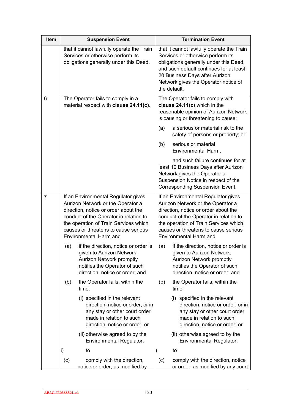| Item           |                                                                                                                                                                                                                                                                       | <b>Suspension Event</b>                                                                                                                                           | <b>Termination Event</b> |                                                                                                                                                                                                                                                                       |  |
|----------------|-----------------------------------------------------------------------------------------------------------------------------------------------------------------------------------------------------------------------------------------------------------------------|-------------------------------------------------------------------------------------------------------------------------------------------------------------------|--------------------------|-----------------------------------------------------------------------------------------------------------------------------------------------------------------------------------------------------------------------------------------------------------------------|--|
|                |                                                                                                                                                                                                                                                                       | that it cannot lawfully operate the Train<br>Services or otherwise perform its<br>obligations generally under this Deed.                                          |                          | that it cannot lawfully operate the Train<br>Services or otherwise perform its<br>obligations generally under this Deed,<br>and such default continues for at least<br>20 Business Days after Aurizon<br>Network gives the Operator notice of<br>the default.         |  |
| 6              |                                                                                                                                                                                                                                                                       | The Operator fails to comply in a<br>material respect with clause 24.11(c).                                                                                       |                          | The Operator fails to comply with<br>clause 24.11(c) which in the<br>reasonable opinion of Aurizon Network<br>is causing or threatening to cause:                                                                                                                     |  |
|                |                                                                                                                                                                                                                                                                       |                                                                                                                                                                   | (a)                      | a serious or material risk to the<br>safety of persons or property; or                                                                                                                                                                                                |  |
|                |                                                                                                                                                                                                                                                                       |                                                                                                                                                                   | (b)                      | serious or material<br>Environmental Harm,                                                                                                                                                                                                                            |  |
|                |                                                                                                                                                                                                                                                                       |                                                                                                                                                                   |                          | and such failure continues for at<br>least 10 Business Days after Aurizon<br>Network gives the Operator a<br>Suspension Notice in respect of the<br>Corresponding Suspension Event.                                                                                   |  |
| $\overline{7}$ | If an Environmental Regulator gives<br>Aurizon Network or the Operator a<br>direction, notice or order about the<br>conduct of the Operator in relation to<br>the operation of Train Services which<br>causes or threatens to cause serious<br>Environmental Harm and |                                                                                                                                                                   |                          | If an Environmental Regulator gives<br>Aurizon Network or the Operator a<br>direction, notice or order about the<br>conduct of the Operator in relation to<br>the operation of Train Services which<br>causes or threatens to cause serious<br>Environmental Harm and |  |
|                | (a)                                                                                                                                                                                                                                                                   | if the direction, notice or order is<br>given to Aurizon Network,<br>Aurizon Network promptly<br>notifies the Operator of such<br>direction, notice or order; and | (a)                      | if the direction, notice or order is<br>given to Aurizon Network,<br>Aurizon Network promptly<br>notifies the Operator of such<br>direction, notice or order; and                                                                                                     |  |
|                | (b)                                                                                                                                                                                                                                                                   | the Operator fails, within the<br>time:                                                                                                                           | (b)                      | the Operator fails, within the<br>time:                                                                                                                                                                                                                               |  |
|                |                                                                                                                                                                                                                                                                       | (i) specified in the relevant<br>direction, notice or order, or in<br>any stay or other court order<br>made in relation to such<br>direction, notice or order; or |                          | (i) specified in the relevant<br>direction, notice or order, or in<br>any stay or other court order<br>made in relation to such<br>direction, notice or order; or                                                                                                     |  |
|                |                                                                                                                                                                                                                                                                       | (ii) otherwise agreed to by the<br>Environmental Regulator,                                                                                                       |                          | (ii) otherwise agreed to by the<br>Environmental Regulator,                                                                                                                                                                                                           |  |
|                |                                                                                                                                                                                                                                                                       | to                                                                                                                                                                |                          | to                                                                                                                                                                                                                                                                    |  |
|                | (c)                                                                                                                                                                                                                                                                   | comply with the direction,<br>notice or order, as modified by                                                                                                     | (c)                      | comply with the direction, notice<br>or order, as modified by any court                                                                                                                                                                                               |  |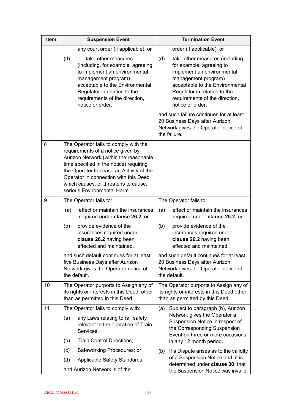| Item | <b>Suspension Event</b>                                                                                                                                                                                                                                                                                                     | <b>Termination Event</b>                                                                                                                                                                                                                         |  |  |
|------|-----------------------------------------------------------------------------------------------------------------------------------------------------------------------------------------------------------------------------------------------------------------------------------------------------------------------------|--------------------------------------------------------------------------------------------------------------------------------------------------------------------------------------------------------------------------------------------------|--|--|
|      | any court order (if applicable); or                                                                                                                                                                                                                                                                                         | order (if applicable); or                                                                                                                                                                                                                        |  |  |
|      | (d)<br>take other measures<br>(including, for example, agreeing<br>to implement an environmental<br>management program)<br>acceptable to the Environmental<br>Regulator in relation to the<br>requirements of the direction,<br>notice or order.                                                                            | (d)<br>take other measures (including,<br>for example, agreeing to<br>implement an environmental<br>management program)<br>acceptable to the Environmental<br>Regulator in relation to the<br>requirements of the direction,<br>notice or order, |  |  |
|      |                                                                                                                                                                                                                                                                                                                             | and such failure continues for at least<br>20 Business Days after Aurizon<br>Network gives the Operator notice of<br>the failure.                                                                                                                |  |  |
| 8    | The Operator fails to comply with the<br>requirements of a notice given by<br>Aurizon Network (within the reasonable<br>time specified in the notice) requiring<br>the Operator to cease an Activity of the<br>Operator in connection with this Deed<br>which causes, or threatens to cause,<br>serious Environmental Harm. |                                                                                                                                                                                                                                                  |  |  |
| 9    | The Operator fails to:                                                                                                                                                                                                                                                                                                      | The Operator fails to:                                                                                                                                                                                                                           |  |  |
|      | effect or maintain the insurances<br>(a)<br>required under clause 26.2; or                                                                                                                                                                                                                                                  | effect or maintain the insurances<br>(a)<br>required under clause 26.2; or                                                                                                                                                                       |  |  |
|      | provide evidence of the<br>(b)<br>insurances required under<br>clause 26.2 having been<br>effected and maintained,                                                                                                                                                                                                          | provide evidence of the<br>(b)<br>insurances required under<br>clause 26.2 having been<br>effected and maintained,                                                                                                                               |  |  |
|      | and such default continues for at least<br>five Business Days after Aurizon<br>Network gives the Operator notice of<br>the default.                                                                                                                                                                                         | and such default continues for at least<br>20 Business Days after Aurizon<br>Network gives the Operator notice of<br>the default.                                                                                                                |  |  |
| 10   | The Operator purports to Assign any of<br>its rights or interests in this Deed other<br>than as permitted in this Deed.                                                                                                                                                                                                     | The Operator purports to Assign any of<br>its rights or interests in this Deed other<br>than as permitted by this Deed.                                                                                                                          |  |  |
| 11   | The Operator fails to comply with:                                                                                                                                                                                                                                                                                          | Subject to paragraph (b), Aurizon<br>(a)                                                                                                                                                                                                         |  |  |
|      | any Laws relating to rail safety<br>(a)<br>relevant to the operation of Train<br>Services;<br>Train Control Directions;<br>(b)                                                                                                                                                                                              | Network gives the Operator a<br>Suspension Notice in respect of<br>the Corresponding Suspension<br>Event on three or more occasions<br>in any 12 month period.                                                                                   |  |  |
|      | Safeworking Procedures; or<br>(c)                                                                                                                                                                                                                                                                                           | If a Dispute arises as to the validity<br>(b)                                                                                                                                                                                                    |  |  |
|      | Applicable Safety Standards,<br>(d)                                                                                                                                                                                                                                                                                         | of a Suspension Notice and it is<br>determined under clause 30 that                                                                                                                                                                              |  |  |
|      | and Aurizon Network is of the                                                                                                                                                                                                                                                                                               | the Suspension Notice was invalid,                                                                                                                                                                                                               |  |  |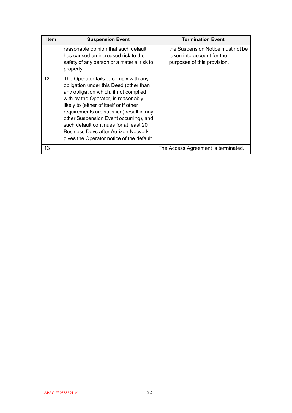| Item              | <b>Suspension Event</b>                                                                                                                                                                                                                                                                                                                                                                                                                | <b>Termination Event</b>                                                                       |
|-------------------|----------------------------------------------------------------------------------------------------------------------------------------------------------------------------------------------------------------------------------------------------------------------------------------------------------------------------------------------------------------------------------------------------------------------------------------|------------------------------------------------------------------------------------------------|
|                   | reasonable opinion that such default<br>has caused an increased risk to the<br>safety of any person or a material risk to<br>property.                                                                                                                                                                                                                                                                                                 | the Suspension Notice must not be<br>taken into account for the<br>purposes of this provision. |
| $12 \overline{ }$ | The Operator fails to comply with any<br>obligation under this Deed (other than<br>any obligation which, if not complied<br>with by the Operator, is reasonably<br>likely to (either of itself or if other<br>requirements are satisfied) result in any<br>other Suspension Event occurring), and<br>such default continues for at least 20<br><b>Business Days after Aurizon Network</b><br>gives the Operator notice of the default. |                                                                                                |
| 13                |                                                                                                                                                                                                                                                                                                                                                                                                                                        | The Access Agreement is terminated.                                                            |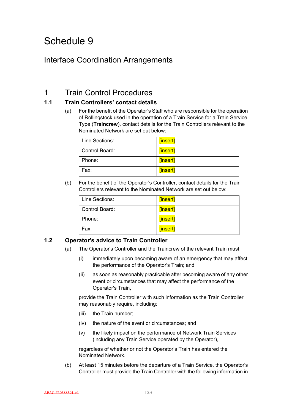## Interface Coordination Arrangements

## 1 Train Control Procedures

### **1.1 Train Controllers' contact details**

(a) For the benefit of the Operator's Staff who are responsible for the operation of Rollingstock used in the operation of a Train Service for a Train Service Type (**Traincrew**), contact details for the Train Controllers relevant to the Nominated Network are set out below:

| Line Sections: | [insert] |
|----------------|----------|
| Control Board: | [insert] |
| Phone:         | [insert] |
| Fax:           | [insert] |

(b) For the benefit of the Operator's Controller, contact details for the Train Controllers relevant to the Nominated Network are set out below:

| Line Sections: | [insert] |
|----------------|----------|
| Control Board: | [insert] |
| Phone:         | [insert] |
| Fax:           | [insert] |

### **1.2 Operator's advice to Train Controller**

- (a) The Operator's Controller and the Traincrew of the relevant Train must:
	- (i) immediately upon becoming aware of an emergency that may affect the performance of the Operator's Train; and
	- (ii) as soon as reasonably practicable after becoming aware of any other event or circumstances that may affect the performance of the Operator's Train,

provide the Train Controller with such information as the Train Controller may reasonably require, including:

- (iii) the Train number;
- (iv) the nature of the event or circumstances; and
- (v) the likely impact on the performance of Network Train Services (including any Train Service operated by the Operator),

regardless of whether or not the Operator's Train has entered the Nominated Network.

(b) At least 15 minutes before the departure of a Train Service, the Operator's Controller must provide the Train Controller with the following information in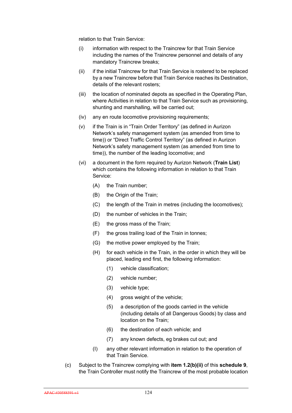relation to that Train Service:

- (i) information with respect to the Traincrew for that Train Service including the names of the Traincrew personnel and details of any mandatory Traincrew breaks;
- (ii) if the initial Traincrew for that Train Service is rostered to be replaced by a new Traincrew before that Train Service reaches its Destination, details of the relevant rosters;
- (iii) the location of nominated depots as specified in the Operating Plan, where Activities in relation to that Train Service such as provisioning, shunting and marshalling, will be carried out;
- (iv) any en route locomotive provisioning requirements;
- (v) if the Train is in "Train Order Territory" (as defined in Aurizon Network's safety management system (as amended from time to time)) or "Direct Traffic Control Territory" (as defined in Aurizon Network's safety management system (as amended from time to time)), the number of the leading locomotive; and
- (vi) a document in the form required by Aurizon Network (**Train List**) which contains the following information in relation to that Train Service:
	- (A) the Train number;
	- (B) the Origin of the Train;
	- (C) the length of the Train in metres (including the locomotives);
	- (D) the number of vehicles in the Train;
	- (E) the gross mass of the Train;
	- (F) the gross trailing load of the Train in tonnes;
	- (G) the motive power employed by the Train;
	- (H) for each vehicle in the Train, in the order in which they will be placed, leading end first, the following information:
		- (1) vehicle classification;
		- (2) vehicle number;
		- (3) vehicle type;
		- (4) gross weight of the vehicle;
		- (5) a description of the goods carried in the vehicle (including details of all Dangerous Goods) by class and location on the Train;
		- (6) the destination of each vehicle; and
		- (7) any known defects, eg brakes cut out; and
	- (I) any other relevant information in relation to the operation of that Train Service.
- (c) Subject to the Traincrew complying with **item 1.2(b)(ii)** of this **schedule 9**, the Train Controller must notify the Traincrew of the most probable location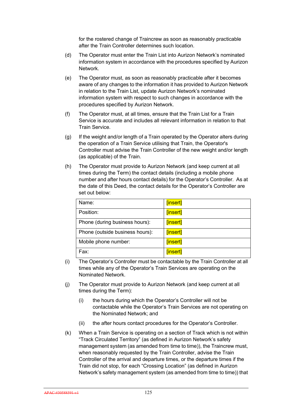for the rostered change of Traincrew as soon as reasonably practicable after the Train Controller determines such location.

- (d) The Operator must enter the Train List into Aurizon Network's nominated information system in accordance with the procedures specified by Aurizon Network.
- (e) The Operator must, as soon as reasonably practicable after it becomes aware of any changes to the information it has provided to Aurizon Network in relation to the Train List, update Aurizon Network's nominated information system with respect to such changes in accordance with the procedures specified by Aurizon Network.
- (f) The Operator must, at all times, ensure that the Train List for a Train Service is accurate and includes all relevant information in relation to that Train Service.
- (g) If the weight and/or length of a Train operated by the Operator alters during the operation of a Train Service utilising that Train, the Operator's Controller must advise the Train Controller of the new weight and/or length (as applicable) of the Train.
- (h) The Operator must provide to Aurizon Network (and keep current at all times during the Term) the contact details (including a mobile phone number and after hours contact details) for the Operator's Controller. As at the date of this Deed, the contact details for the Operator's Controller are set out below:

| Name:                           | [insert] |
|---------------------------------|----------|
| Position:                       | [insert] |
| Phone (during business hours):  | [insert] |
| Phone (outside business hours): | [insert] |
| Mobile phone number:            | [insert] |
| Fax:                            | [insert] |

- (i) The Operator's Controller must be contactable by the Train Controller at all times while any of the Operator's Train Services are operating on the Nominated Network.
- (j) The Operator must provide to Aurizon Network (and keep current at all times during the Term):
	- (i) the hours during which the Operator's Controller will not be contactable while the Operator's Train Services are not operating on the Nominated Network; and
	- (ii) the after hours contact procedures for the Operator's Controller.
- (k) When a Train Service is operating on a section of Track which is not within "Track Circulated Territory" (as defined in Aurizon Network's safety management system (as amended from time to time)), the Traincrew must, when reasonably requested by the Train Controller, advise the Train Controller of the arrival and departure times, or the departure times if the Train did not stop, for each "Crossing Location" (as defined in Aurizon Network's safety management system (as amended from time to time)) that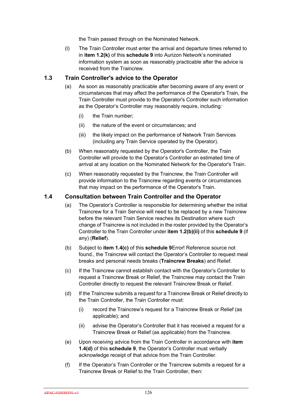the Train passed through on the Nominated Network.

(l) The Train Controller must enter the arrival and departure times referred to in **item 1.2(k)** of this **schedule 9** into Aurizon Network's nominated information system as soon as reasonably practicable after the advice is received from the Traincrew.

#### **1.3 Train Controller's advice to the Operator**

- (a) As soon as reasonably practicable after becoming aware of any event or circumstances that may affect the performance of the Operator's Train, the Train Controller must provide to the Operator's Controller such information as the Operator's Controller may reasonably require, including:
	- (i) the Train number;
	- (ii) the nature of the event or circumstances; and
	- (iii) the likely impact on the performance of Network Train Services (including any Train Service operated by the Operator).
- (b) When reasonably requested by the Operator's Controller, the Train Controller will provide to the Operator's Controller an estimated time of arrival at any location on the Nominated Network for the Operator's Train.
- (c) When reasonably requested by the Traincrew, the Train Controller will provide information to the Traincrew regarding events or circumstances that may impact on the performance of the Operator's Train.

#### **1.4 Consultation between Train Controller and the Operator**

- (a) The Operator's Controller is responsible for determining whether the initial Traincrew for a Train Service will need to be replaced by a new Traincrew before the relevant Train Service reaches its Destination where such change of Traincrew is not included in the roster provided by the Operator's Controller to the Train Controller under **item 1.2(b)(ii)** of this **schedule 9** (if any) (**Relief**).
- (b) Subject to **item 1.4(c)** of this **schedule 9**Error! Reference source not found., the Traincrew will contact the Operator's Controller to request meal breaks and personal needs breaks (**Traincrew Breaks**) and Relief.
- (c) If the Traincrew cannot establish contact with the Operator's Controller to request a Traincrew Break or Relief, the Traincrew may contact the Train Controller directly to request the relevant Traincrew Break or Relief.
- (d) If the Traincrew submits a request for a Traincrew Break or Relief directly to the Train Controller, the Train Controller must:
	- (i) record the Traincrew's request for a Traincrew Break or Relief (as applicable); and
	- (ii) advise the Operator's Controller that it has received a request for a Traincrew Break or Relief (as applicable) from the Traincrew.
- (e) Upon receiving advice from the Train Controller in accordance with **item 1.4(d)** of this **schedule 9**, the Operator's Controller must verbally acknowledge receipt of that advice from the Train Controller.
- (f) If the Operator's Train Controller or the Traincrew submits a request for a Traincrew Break or Relief to the Train Controller, then: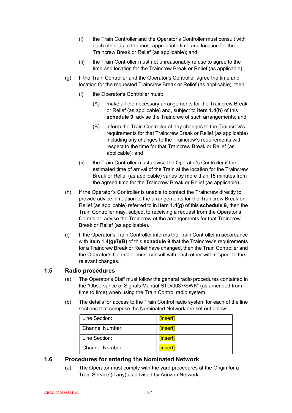- (i) the Train Controller and the Operator's Controller must consult with each other as to the most appropriate time and location for the Traincrew Break or Relief (as applicable); and
- (ii) the Train Controller must not unreasonably refuse to agree to the time and location for the Traincrew Break or Relief (as applicable).
- (g) If the Train Controller and the Operator's Controller agree the time and location for the requested Traincrew Break or Relief (as applicable), then:
	- (i) the Operator's Controller must:
		- (A) make all the necessary arrangements for the Traincrew Break or Relief (as applicable) and, subject to **item 1.4(h)** of this **schedule 9**, advise the Traincrew of such arrangements; and
		- (B) inform the Train Controller of any changes to the Traincrew's requirements for that Traincrew Break or Relief (as applicable) including any changes to the Traincrew's requirements with respect to the time for that Traincrew Break or Relief (as applicable); and
	- (ii) the Train Controller must advise the Operator's Controller if the estimated time of arrival of the Train at the location for the Traincrew Break or Relief (as applicable) varies by more than 15 minutes from the agreed time for the Traincrew Break or Relief (as applicable).
- (h) If the Operator's Controller is unable to contact the Traincrew directly to provide advice in relation to the arrangements for the Traincrew Break or Relief (as applicable) referred to in **item 1.4(g)** of this **schedule 9**, then the Train Controller may, subject to receiving a request from the Operator's Controller, advise the Traincrew of the arrangements for that Traincrew Break or Relief (as applicable).
- (i) If the Operator's Train Controller informs the Train Controller in accordance with **item 1.4(g)(i)(B)** of this **schedule 9** that the Traincrew's requirements for a Traincrew Break or Relief have changed, then the Train Controller and the Operator's Controller must consult with each other with respect to the relevant changes.

### **1.5 Radio procedures**

- (a) The Operator's Staff must follow the general radio procedures contained in the "Observance of Signals Manual STD/0037/SWK" (as amended from time to time) when using the Train Control radio system.
- (b) The details for access to the Train Control radio system for each of the line sections that comprise the Nominated Network are set out below:

| Line Section:          | [insert] |
|------------------------|----------|
| Channel Number:        | [insert] |
| Line Section:          | [insert] |
| <b>Channel Number:</b> | [insert] |

#### **1.6 Procedures for entering the Nominated Network**

(a) The Operator must comply with the yard procedures at the Origin for a Train Service (if any) as advised by Aurizon Network.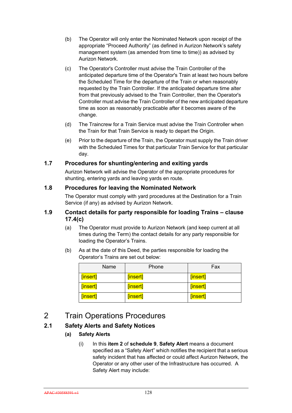- (b) The Operator will only enter the Nominated Network upon receipt of the appropriate "Proceed Authority" (as defined in Aurizon Network's safety management system (as amended from time to time)) as advised by Aurizon Network.
- (c) The Operator's Controller must advise the Train Controller of the anticipated departure time of the Operator's Train at least two hours before the Scheduled Time for the departure of the Train or when reasonably requested by the Train Controller. If the anticipated departure time alter from that previously advised to the Train Controller, then the Operator's Controller must advise the Train Controller of the new anticipated departure time as soon as reasonably practicable after it becomes aware of the change.
- (d) The Traincrew for a Train Service must advise the Train Controller when the Train for that Train Service is ready to depart the Origin.
- (e) Prior to the departure of the Train, the Operator must supply the Train driver with the Scheduled Times for that particular Train Service for that particular day.

### **1.7 Procedures for shunting/entering and exiting yards**

Aurizon Network will advise the Operator of the appropriate procedures for shunting, entering yards and leaving yards en route.

#### **1.8 Procedures for leaving the Nominated Network**

The Operator must comply with yard procedures at the Destination for a Train Service (if any) as advised by Aurizon Network.

#### **1.9 Contact details for party responsible for loading Trains – clause 17.4(c)**

- (a) The Operator must provide to Aurizon Network (and keep current at all times during the Term) the contact details for any party responsible for loading the Operator's Trains.
- (b) As at the date of this Deed, the parties responsible for loading the Operator's Trains are set out below:

| Name     | Phone    | Fax      |
|----------|----------|----------|
| [insert] | [insert] | [insert] |
| [insert] | [insert] | [insert] |
| [insert] | [insert] | [insert] |

## 2 Train Operations Procedures

### **2.1 Safety Alerts and Safety Notices**

- **(a) Safety Alerts**
	- (i) In this **item 2** of **schedule 9**, **Safety Alert** means a document specified as a "Safety Alert" which notifies the recipient that a serious safety incident that has affected or could affect Aurizon Network, the Operator or any other user of the Infrastructure has occurred. A Safety Alert may include: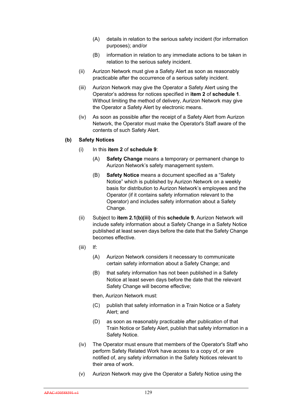- (A) details in relation to the serious safety incident (for information purposes); and/or
- (B) information in relation to any immediate actions to be taken in relation to the serious safety incident.
- (ii) Aurizon Network must give a Safety Alert as soon as reasonably practicable after the occurrence of a serious safety incident.
- (iii) Aurizon Network may give the Operator a Safety Alert using the Operator's address for notices specified in **item 2** of **schedule 1**. Without limiting the method of delivery, Aurizon Network may give the Operator a Safety Alert by electronic means.
- (iv) As soon as possible after the receipt of a Safety Alert from Aurizon Network, the Operator must make the Operator's Staff aware of the contents of such Safety Alert.

#### **(b) Safety Notices**

- (i) In this **item 2** of **schedule 9**:
	- (A) **Safety Change** means a temporary or permanent change to Aurizon Network's safety management system.
	- (B) **Safety Notice** means a document specified as a "Safety Notice" which is published by Aurizon Network on a weekly basis for distribution to Aurizon Network's employees and the Operator (if it contains safety information relevant to the Operator) and includes safety information about a Safety Change.
- (ii) Subject to **item 2.1(b)(iii)** of this **schedule 9**, Aurizon Network will include safety information about a Safety Change in a Safety Notice published at least seven days before the date that the Safety Change becomes effective.
- (iii) If:
	- (A) Aurizon Network considers it necessary to communicate certain safety information about a Safety Change; and
	- (B) that safety information has not been published in a Safety Notice at least seven days before the date that the relevant Safety Change will become effective;
	- then, Aurizon Network must:
	- (C) publish that safety information in a Train Notice or a Safety Alert; and
	- (D) as soon as reasonably practicable after publication of that Train Notice or Safety Alert, publish that safety information in a Safety Notice.
- (iv) The Operator must ensure that members of the Operator's Staff who perform Safety Related Work have access to a copy of, or are notified of, any safety information in the Safety Notices relevant to their area of work.
- (v) Aurizon Network may give the Operator a Safety Notice using the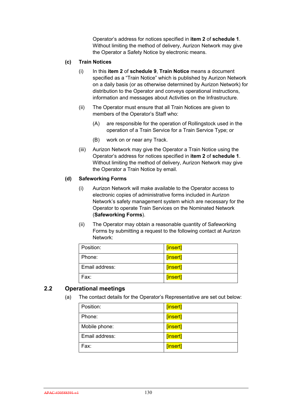Operator's address for notices specified in **item 2** of **schedule 1**. Without limiting the method of delivery, Aurizon Network may give the Operator a Safety Notice by electronic means.

#### **(c) Train Notices**

- (i) In this **item 2** of **schedule 9**, **Train Notice** means a document specified as a "Train Notice" which is published by Aurizon Network on a daily basis (or as otherwise determined by Aurizon Network) for distribution to the Operator and conveys operational instructions, information and messages about Activities on the Infrastructure.
- (ii) The Operator must ensure that all Train Notices are given to members of the Operator's Staff who:
	- (A) are responsible for the operation of Rollingstock used in the operation of a Train Service for a Train Service Type; or
	- (B) work on or near any Track.
- (iii) Aurizon Network may give the Operator a Train Notice using the Operator's address for notices specified in **item 2** of **schedule 1**. Without limiting the method of delivery, Aurizon Network may give the Operator a Train Notice by email.

#### **(d) Safeworking Forms**

- (i) Aurizon Network will make available to the Operator access to electronic copies of administrative forms included in Aurizon Network's safety management system which are necessary for the Operator to operate Train Services on the Nominated Network (**Safeworking Forms**).
- (ii) The Operator may obtain a reasonable quantity of Safeworking Forms by submitting a request to the following contact at Aurizon Network:

| Position:      | [insert] |
|----------------|----------|
| Phone:         | [insert] |
| Email address: | [insert] |
| Fax:           | [insert] |

#### **2.2 Operational meetings**

(a) The contact details for the Operator's Representative are set out below:

| Position:      | [insert] |
|----------------|----------|
| Phone:         | [insert] |
| Mobile phone:  | [insert] |
| Email address: | [insert] |
| Fax:           | [insert] |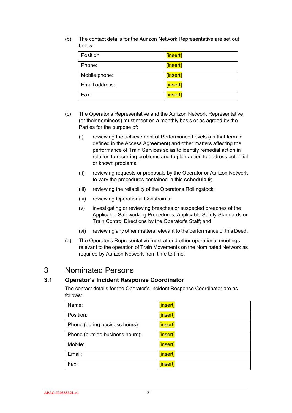(b) The contact details for the Aurizon Network Representative are set out below:

| Position:      | [insert] |
|----------------|----------|
| Phone:         | [insert] |
| Mobile phone:  | [insert] |
| Email address: | [insert] |
| Fax:           | [insert] |

- (c) The Operator's Representative and the Aurizon Network Representative (or their nominees) must meet on a monthly basis or as agreed by the Parties for the purpose of:
	- (i) reviewing the achievement of Performance Levels (as that term in defined in the Access Agreement) and other matters affecting the performance of Train Services so as to identify remedial action in relation to recurring problems and to plan action to address potential or known problems;
	- (ii) reviewing requests or proposals by the Operator or Aurizon Network to vary the procedures contained in this **schedule 9**;
	- (iii) reviewing the reliability of the Operator's Rollingstock;
	- (iv) reviewing Operational Constraints;
	- (v) investigating or reviewing breaches or suspected breaches of the Applicable Safeworking Procedures, Applicable Safety Standards or Train Control Directions by the Operator's Staff; and
	- (vi) reviewing any other matters relevant to the performance of this Deed.
- (d) The Operator's Representative must attend other operational meetings relevant to the operation of Train Movements on the Nominated Network as required by Aurizon Network from time to time.

## 3 Nominated Persons

### **3.1 Operator's Incident Response Coordinator**

The contact details for the Operator's Incident Response Coordinator are as follows:

| Name:                           | [insert] |
|---------------------------------|----------|
| Position:                       | [insert] |
| Phone (during business hours):  | [insert] |
| Phone (outside business hours): | [insert] |
| Mobile:                         | [insert] |
| Email:                          | [insert] |
| Fax:                            | [insert] |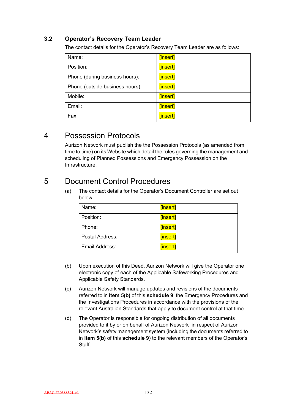### **3.2 Operator's Recovery Team Leader**

The contact details for the Operator's Recovery Team Leader are as follows:

| Name:                           | [insert] |
|---------------------------------|----------|
| Position:                       | [insert] |
| Phone (during business hours):  | [insert] |
| Phone (outside business hours): | [insert] |
| Mobile:                         | [insert] |
| Email:                          | [insert] |
| Fax:                            | [insert] |

### 4 Possession Protocols

Aurizon Network must publish the the Possession Protocols (as amended from time to time) on its Website which detail the rules governing the management and scheduling of Planned Possessions and Emergency Possession on the Infrastructure.

## 5 Document Control Procedures

(a) The contact details for the Operator's Document Controller are set out below:

| Name:           | [insert] |
|-----------------|----------|
|                 |          |
| Position:       | [insert] |
|                 |          |
| Phone:          | [insert] |
|                 |          |
| Postal Address: | [insert] |
|                 |          |
| Email Address:  | [insert] |
|                 |          |
|                 |          |

- (b) Upon execution of this Deed, Aurizon Network will give the Operator one electronic copy of each of the Applicable Safeworking Procedures and Applicable Safety Standards.
- (c) Aurizon Network will manage updates and revisions of the documents referred to in **item 5(b)** of this **schedule 9**, the Emergency Procedures and the Investigations Procedures in accordance with the provisions of the relevant Australian Standards that apply to document control at that time.
- (d) The Operator is responsible for ongoing distribution of all documents provided to it by or on behalf of Aurizon Network in respect of Aurizon Network's safety management system (including the documents referred to in **item 5(b)** of this **schedule 9**) to the relevant members of the Operator's Staff.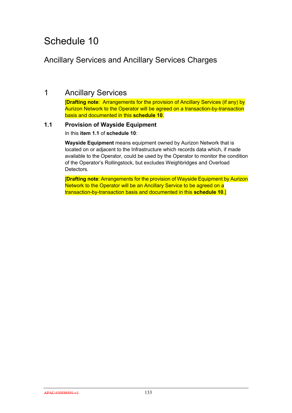## Ancillary Services and Ancillary Services Charges

### 1 Ancillary Services

[**Drafting note**: Arrangements for the provision of Ancillary Services (if any) by Aurizon Network to the Operator will be agreed on a transaction-by-transaction basis and documented in this **schedule 10**.

### **1.1 Provision of Wayside Equipment**

In this **item 1.1** of **schedule 10**:

**Wayside Equipment** means equipment owned by Aurizon Network that is located on or adjacent to the Infrastructure which records data which, if made available to the Operator, could be used by the Operator to monitor the condition of the Operator's Rollingstock, but excludes Weighbridges and Overload Detectors.

[**Drafting note**: Arrangements for the provision of Wayside Equipment by Aurizon Network to the Operator will be an Ancillary Service to be agreed on a transaction-by-transaction basis and documented in this **schedule 10**.]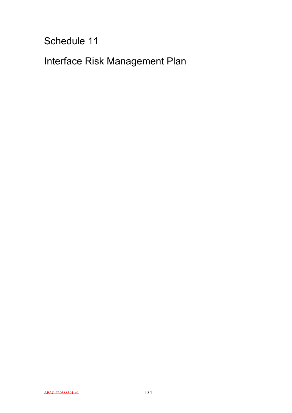Interface Risk Management Plan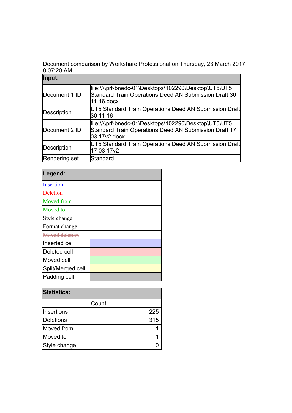Document comparison by Workshare Professional on Thursday, 23 March 2017 8:07:20 AM

| Input:        |                                                                                                                                |
|---------------|--------------------------------------------------------------------------------------------------------------------------------|
| Document 1 ID | file://\\prf-bnedc-01\Desktops\102290\Desktop\UT5\UT5<br>Standard Train Operations Deed AN Submission Draft 30<br>11 16. docx  |
| Description   | UT5 Standard Train Operations Deed AN Submission Draft<br>30 11 16                                                             |
| Document 2 ID | file://\\prf-bnedc-01\Desktops\102290\Desktop\UT5\UT5<br>Standard Train Operations Deed AN Submission Draft 17<br>03 17v2.docx |
| Description   | UT5 Standard Train Operations Deed AN Submission Draft<br>17 03 17 v2                                                          |
| Rendering set | Standard                                                                                                                       |

## **Legend:**

| Moved from    |  |  |
|---------------|--|--|
| Moved to      |  |  |
| Style change  |  |  |
| Format change |  |  |
|               |  |  |
|               |  |  |
|               |  |  |
|               |  |  |
|               |  |  |
|               |  |  |
|               |  |  |

| <b>Statistics:</b> |       |  |
|--------------------|-------|--|
|                    | Count |  |
| Insertions         | 225   |  |
| <b>Deletions</b>   | 315   |  |
| Moved from         |       |  |
| Moved to           |       |  |
| Style change       |       |  |